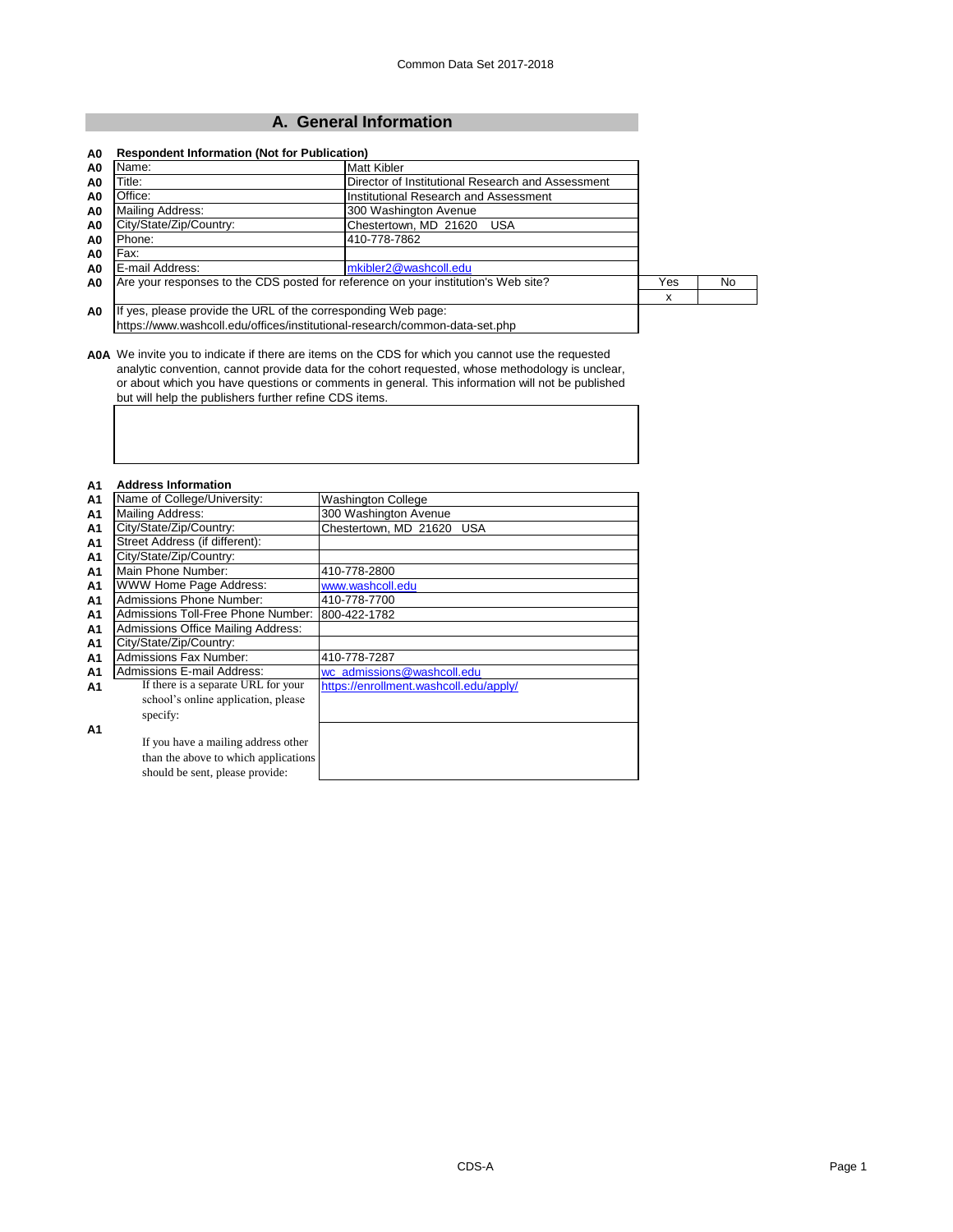# **A. General Information**

| Title:<br>Director of Institutional Research and Assessment<br>A0<br>Office:<br>Institutional Research and Assessment<br>A0<br>Mailing Address:<br>300 Washington Avenue<br>A <sub>0</sub><br>City/State/Zip/Country:<br>Chestertown, MD 21620<br>USA<br>A <sub>0</sub><br>Phone:<br>410-778-7862<br>A <sub>0</sub><br>Fax:<br>A <sub>0</sub><br>E-mail Address:<br>mkibler2@washcoll.edu<br>A <sub>0</sub><br>Are your responses to the CDS posted for reference on your institution's Web site?<br>Yes<br>No.<br>A <sub>0</sub><br>x | Name:                                                                       | Matt Kibler |  |  |  |
|----------------------------------------------------------------------------------------------------------------------------------------------------------------------------------------------------------------------------------------------------------------------------------------------------------------------------------------------------------------------------------------------------------------------------------------------------------------------------------------------------------------------------------------|-----------------------------------------------------------------------------|-------------|--|--|--|
|                                                                                                                                                                                                                                                                                                                                                                                                                                                                                                                                        |                                                                             |             |  |  |  |
|                                                                                                                                                                                                                                                                                                                                                                                                                                                                                                                                        |                                                                             |             |  |  |  |
|                                                                                                                                                                                                                                                                                                                                                                                                                                                                                                                                        |                                                                             |             |  |  |  |
|                                                                                                                                                                                                                                                                                                                                                                                                                                                                                                                                        |                                                                             |             |  |  |  |
|                                                                                                                                                                                                                                                                                                                                                                                                                                                                                                                                        |                                                                             |             |  |  |  |
|                                                                                                                                                                                                                                                                                                                                                                                                                                                                                                                                        |                                                                             |             |  |  |  |
|                                                                                                                                                                                                                                                                                                                                                                                                                                                                                                                                        |                                                                             |             |  |  |  |
|                                                                                                                                                                                                                                                                                                                                                                                                                                                                                                                                        |                                                                             |             |  |  |  |
|                                                                                                                                                                                                                                                                                                                                                                                                                                                                                                                                        |                                                                             |             |  |  |  |
|                                                                                                                                                                                                                                                                                                                                                                                                                                                                                                                                        | https://www.washcoll.edu/offices/institutional-research/common-data-set.php |             |  |  |  |

**A0A** We invite you to indicate if there are items on the CDS for which you cannot use the requested analytic convention, cannot provide data for the cohort requested, whose methodology is unclear, or about which you have questions or comments in general. This information will not be published but will help the publishers further refine CDS items.

| <b>Address Information</b>           |                                                  |
|--------------------------------------|--------------------------------------------------|
| Name of College/University:          | <b>Washington College</b>                        |
| <b>Mailing Address:</b>              | 300 Washington Avenue                            |
| City/State/Zip/Country:              | Chestertown, MD 21620 USA                        |
| Street Address (if different):       |                                                  |
| City/State/Zip/Country:              |                                                  |
| Main Phone Number:                   | 410-778-2800                                     |
| WWW Home Page Address:               | www.washcoll.edu                                 |
| <b>Admissions Phone Number:</b>      | 410-778-7700                                     |
|                                      |                                                  |
| Admissions Office Mailing Address:   |                                                  |
| City/State/Zip/Country:              |                                                  |
| Admissions Fax Number:               | 410-778-7287                                     |
| Admissions E-mail Address:           | wc admissions@washcoll.edu                       |
| If there is a separate URL for your  | https://enrollment.washcoll.edu/apply/           |
| school's online application, please  |                                                  |
| specify:                             |                                                  |
|                                      |                                                  |
| If you have a mailing address other  |                                                  |
| than the above to which applications |                                                  |
| should be sent, please provide:      |                                                  |
|                                      | Admissions Toll-Free Phone Number: 1800-422-1782 |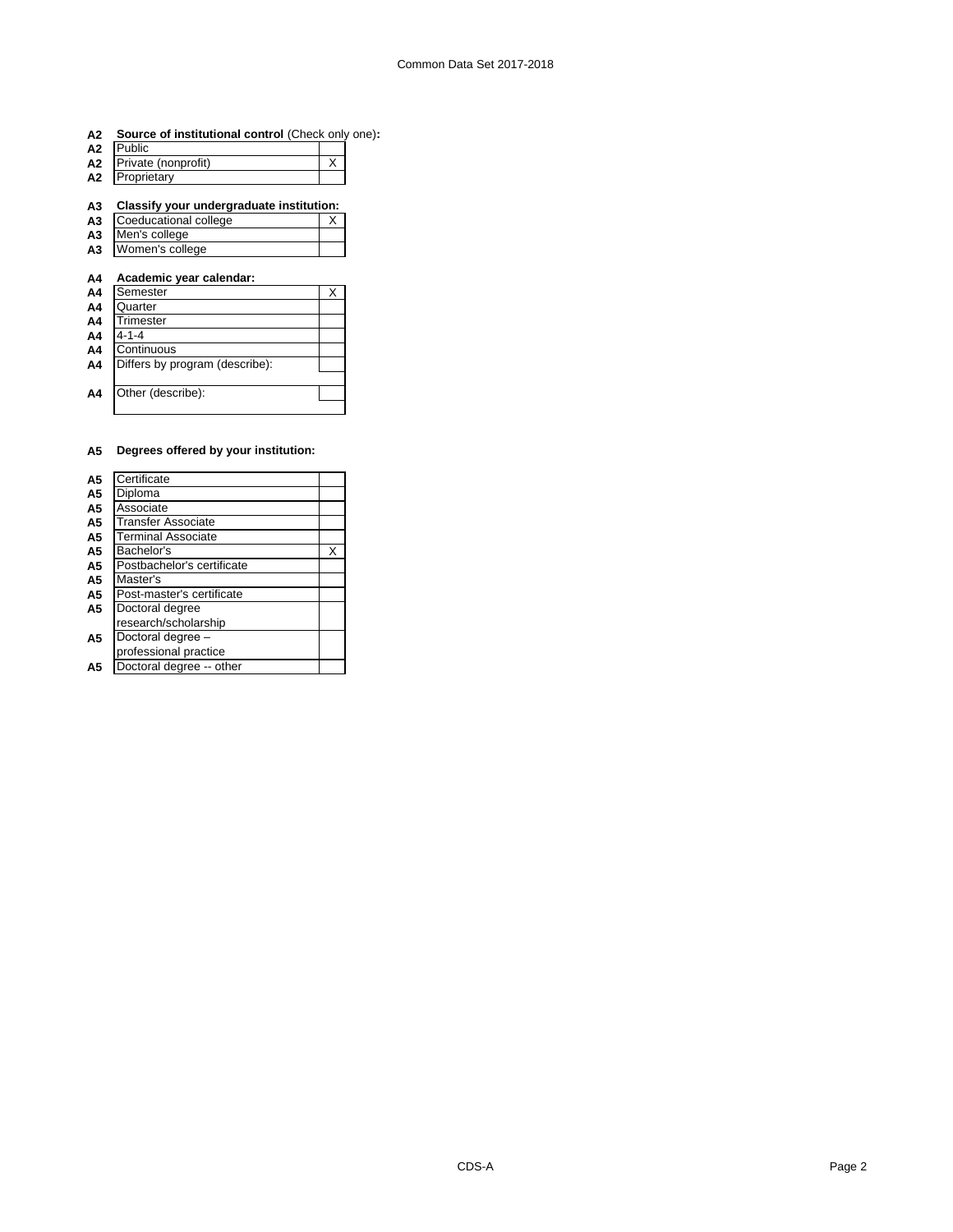| A2 Source of institutional control (Check only one): |  |
|------------------------------------------------------|--|
|------------------------------------------------------|--|

| A2 | Public              |  |
|----|---------------------|--|
| А2 | Private (nonprofit) |  |
| A2 | Proprietary         |  |

### **A3 Classify your undergraduate institution:**

- A3 Coeducational college X
- **A3** Men's college **A3** Women's college

# **A4 Academic year calendar:**

| A4             | Semester                       | × |
|----------------|--------------------------------|---|
| A4             | Quarter                        |   |
| A4             | Trimester                      |   |
| A4             | $4 - 1 - 4$                    |   |
| A <sub>4</sub> | Continuous                     |   |
| A <sub>4</sub> | Differs by program (describe): |   |
|                |                                |   |
| A <sub>4</sub> | Other (describe):              |   |
|                |                                |   |

### **A5 Degrees offered by your institution:**

| A <sub>5</sub> | Certificate                |   |
|----------------|----------------------------|---|
| A <sub>5</sub> | Diploma                    |   |
| A <sub>5</sub> | Associate                  |   |
| A5             | <b>Transfer Associate</b>  |   |
| A <sub>5</sub> | <b>Terminal Associate</b>  |   |
| A <sub>5</sub> | Bachelor's                 | X |
| A5             | Postbachelor's certificate |   |
| A <sub>5</sub> | Master's                   |   |
| A <sub>5</sub> | Post-master's certificate  |   |
| A <sub>5</sub> | Doctoral degree            |   |
|                | research/scholarship       |   |
| A <sub>5</sub> | Doctoral degree -          |   |
|                | professional practice      |   |
| Α5             | Doctoral degree -- other   |   |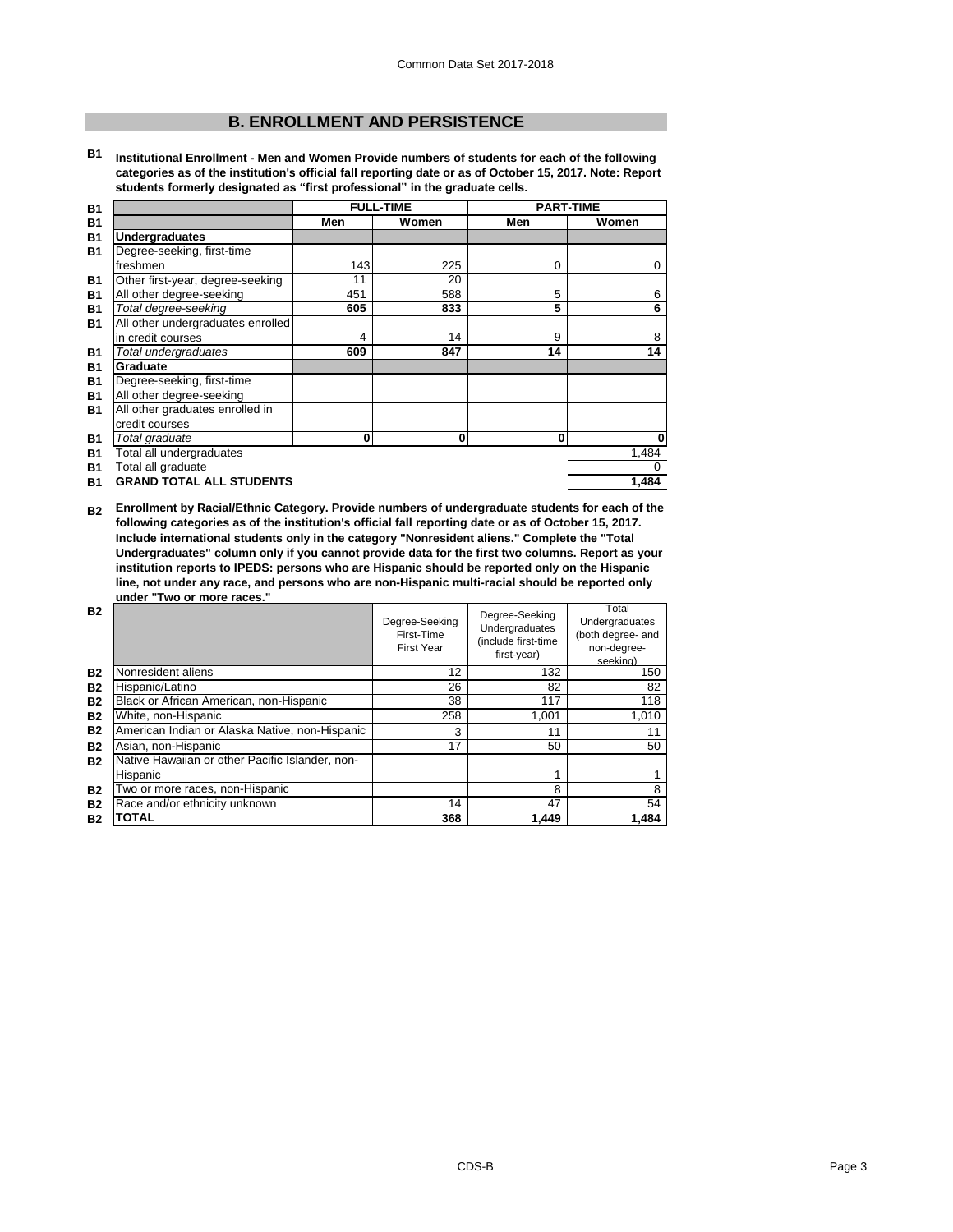# **B. ENROLLMENT AND PERSISTENCE**

**B1 Institutional Enrollment - Men and Women Provide numbers of students for each of the following categories as of the institution's official fall reporting date or as of October 15, 2017. Note: Report students formerly designated as "first professional" in the graduate cells.**

|                                   | Men                                                    | Women | Men              | Women            |
|-----------------------------------|--------------------------------------------------------|-------|------------------|------------------|
| <b>Undergraduates</b>             |                                                        |       |                  |                  |
| Degree-seeking, first-time        |                                                        |       |                  |                  |
| freshmen                          | 143                                                    | 225   | 0                | 0                |
| Other first-year, degree-seeking  | 11                                                     | 20    |                  |                  |
| All other degree-seeking          | 451                                                    | 588   | 5                | 6                |
| Total degree-seeking              | 605                                                    | 833   | 5                | 6                |
| All other undergraduates enrolled |                                                        |       |                  |                  |
| in credit courses                 | 4                                                      | 14    | 9                | 8                |
| Total undergraduates              | 609                                                    | 847   | 14               | 14               |
| Graduate                          |                                                        |       |                  |                  |
|                                   |                                                        |       |                  |                  |
|                                   |                                                        |       |                  |                  |
| All other graduates enrolled in   |                                                        |       |                  |                  |
| credit courses                    |                                                        |       |                  |                  |
| Total graduate                    | 0                                                      | 0     | 0                | $\bf{0}$         |
| Total all undergraduates          |                                                        |       |                  | 1,484            |
| Total all graduate                |                                                        |       |                  | 0                |
| <b>GRAND TOTAL ALL STUDENTS</b>   |                                                        |       |                  | 1.484            |
|                                   | Degree-seeking, first-time<br>All other degree-seeking |       | <b>FULL-TIME</b> | <b>PART-TIME</b> |

**B2 Enrollment by Racial/Ethnic Category. Provide numbers of undergraduate students for each of the following categories as of the institution's official fall reporting date or as of October 15, 2017. Include international students only in the category "Nonresident aliens." Complete the "Total Undergraduates" column only if you cannot provide data for the first two columns. Report as your institution reports to IPEDS: persons who are Hispanic should be reported only on the Hispanic line, not under any race, and persons who are non-Hispanic multi-racial should be reported only under "Two or more races."** 

| <b>B2</b> |                                                 | Degree-Seeking<br>First-Time<br><b>First Year</b> | Degree-Seeking<br>Undergraduates<br>(include first-time<br>first-year) | Total<br>Undergraduates<br>(both degree- and<br>non-degree-<br>seeking) |
|-----------|-------------------------------------------------|---------------------------------------------------|------------------------------------------------------------------------|-------------------------------------------------------------------------|
| <b>B2</b> | Nonresident aliens                              | 12                                                | 132                                                                    | 150                                                                     |
| <b>B2</b> | Hispanic/Latino                                 | 26                                                | 82                                                                     | 82                                                                      |
| <b>B2</b> | Black or African American, non-Hispanic         | 38                                                | 117                                                                    | 118                                                                     |
| <b>B2</b> | White, non-Hispanic                             | 258                                               | 1.001                                                                  | 1,010                                                                   |
| <b>B2</b> | American Indian or Alaska Native, non-Hispanic  | 3                                                 | 11                                                                     | 11                                                                      |
| <b>B2</b> | Asian, non-Hispanic                             | 17                                                | 50                                                                     | 50                                                                      |
| <b>B2</b> | Native Hawaiian or other Pacific Islander, non- |                                                   |                                                                        |                                                                         |
|           | Hispanic                                        |                                                   |                                                                        |                                                                         |
| <b>B2</b> | Two or more races, non-Hispanic                 |                                                   | 8                                                                      | 8                                                                       |
| <b>B2</b> | Race and/or ethnicity unknown                   | 14                                                | 47                                                                     | 54                                                                      |
| <b>B2</b> | ΤΟΤΑL                                           | 368                                               | 1.449                                                                  | 1.484                                                                   |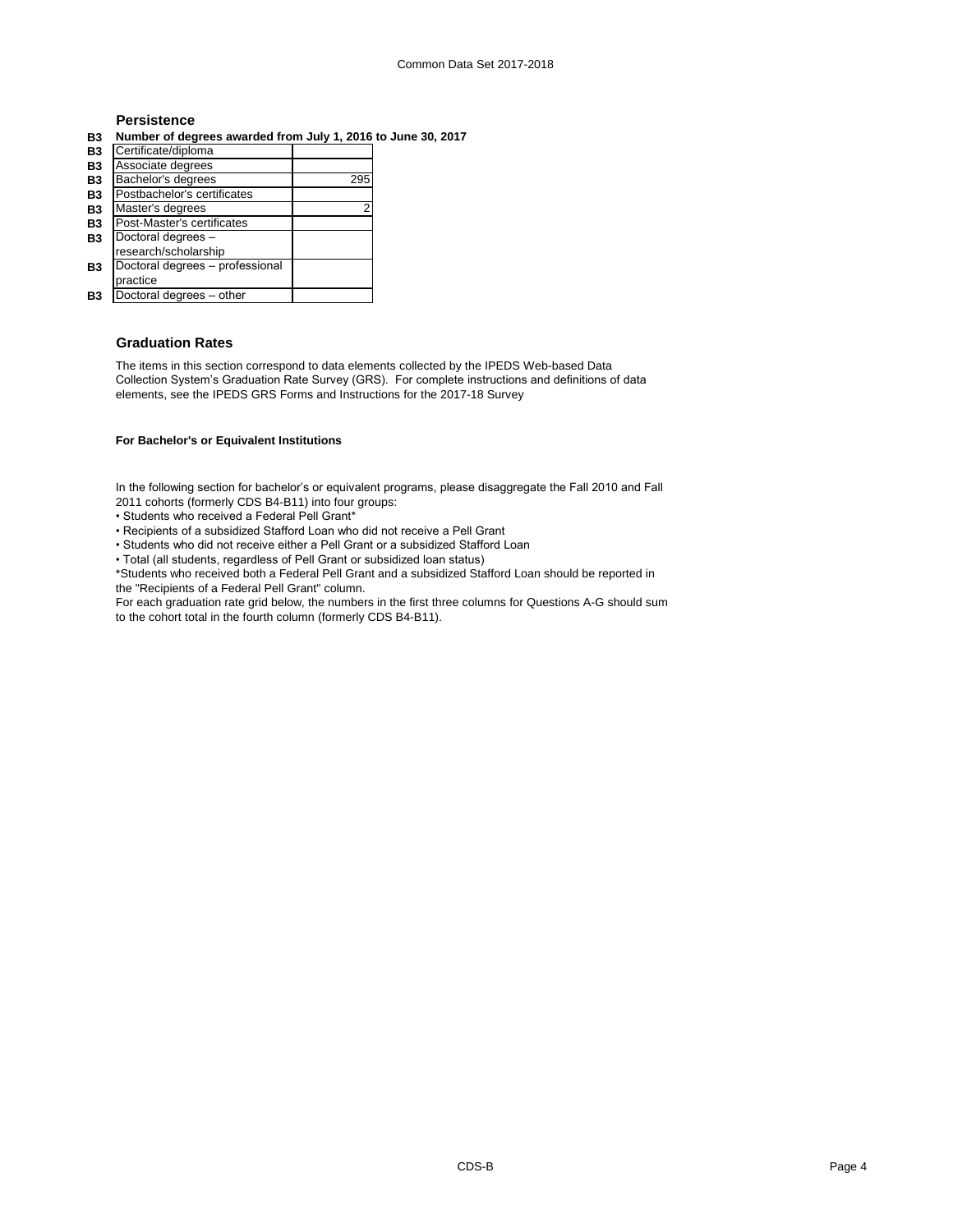# **Persistence**

**B3 Number of degrees awarded from July 1, 2016 to June 30, 2017**

| B <sub>3</sub> | Certificate/diploma             |     |
|----------------|---------------------------------|-----|
| <b>B3</b>      | Associate degrees               |     |
| B <sub>3</sub> | Bachelor's degrees              | 295 |
| <b>B3</b>      | Postbachelor's certificates     |     |
| B <sub>3</sub> | Master's degrees                | 2   |
| <b>B3</b>      | Post-Master's certificates      |     |
| B <sub>3</sub> | Doctoral degrees -              |     |
|                | research/scholarship            |     |
| <b>B3</b>      | Doctoral degrees - professional |     |
|                | practice                        |     |
| Β3             | Doctoral degrees - other        |     |

# **Graduation Rates**

The items in this section correspond to data elements collected by the IPEDS Web-based Data Collection System's Graduation Rate Survey (GRS). For complete instructions and definitions of data elements, see the IPEDS GRS Forms and Instructions for the 2017-18 Survey

### **For Bachelor's or Equivalent Institutions**

In the following section for bachelor's or equivalent programs, please disaggregate the Fall 2010 and Fall 2011 cohorts (formerly CDS B4-B11) into four groups:

- Students who received a Federal Pell Grant\*
- Recipients of a subsidized Stafford Loan who did not receive a Pell Grant
- Students who did not receive either a Pell Grant or a subsidized Stafford Loan
- Total (all students, regardless of Pell Grant or subsidized loan status)

\*Students who received both a Federal Pell Grant and a subsidized Stafford Loan should be reported in the "Recipients of a Federal Pell Grant" column.

For each graduation rate grid below, the numbers in the first three columns for Questions A-G should sum to the cohort total in the fourth column (formerly CDS B4-B11).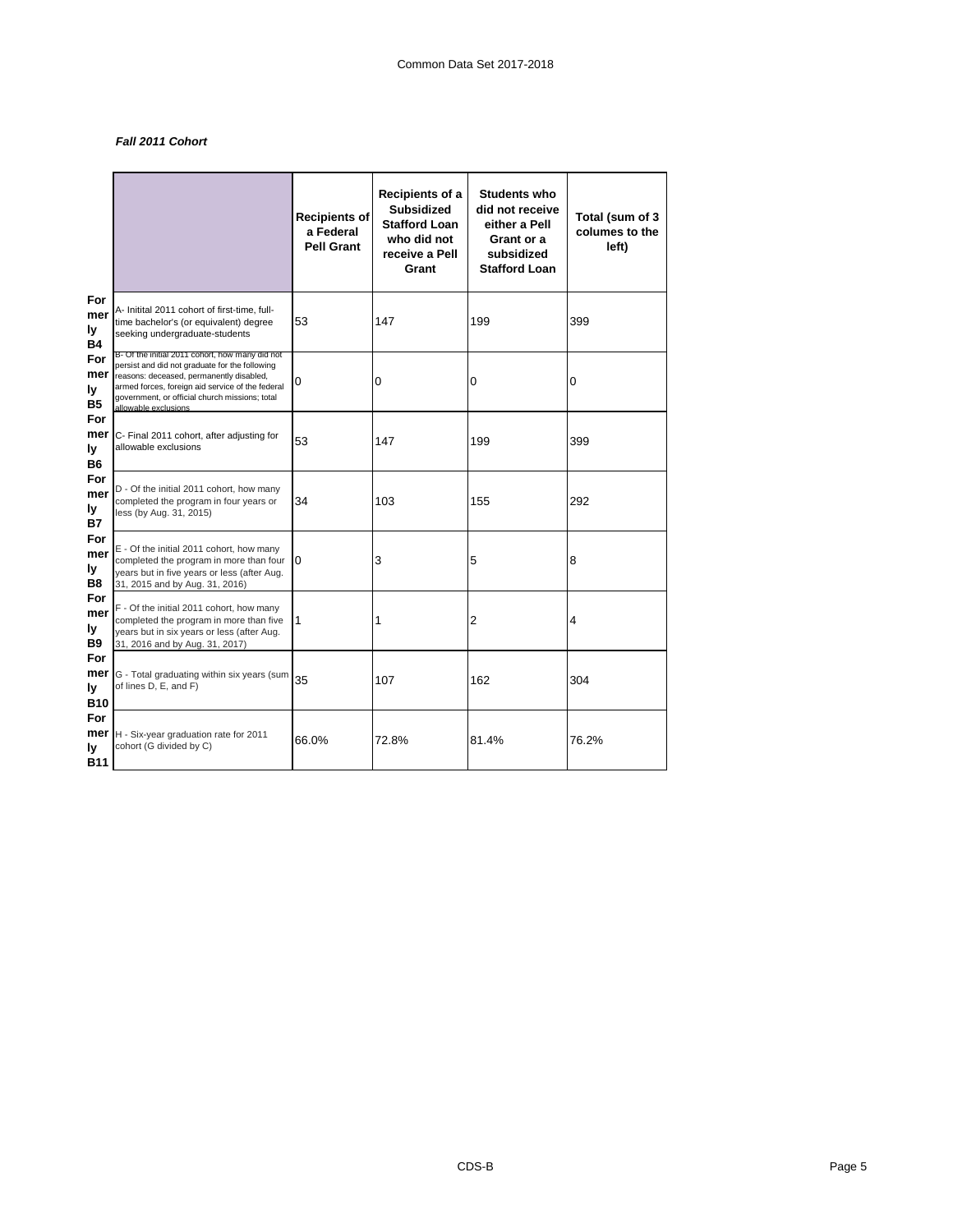# *Fall 2011 Cohort*

|                                |                                                                                                                                                                                                                                                                             | <b>Recipients of</b><br>a Federal<br><b>Pell Grant</b> | Recipients of a<br><b>Subsidized</b><br><b>Stafford Loan</b><br>who did not<br>receive a Pell<br>Grant | <b>Students who</b><br>did not receive<br>either a Pell<br>Grant or a<br>subsidized<br><b>Stafford Loan</b> | Total (sum of 3<br>columes to the<br>left) |
|--------------------------------|-----------------------------------------------------------------------------------------------------------------------------------------------------------------------------------------------------------------------------------------------------------------------------|--------------------------------------------------------|--------------------------------------------------------------------------------------------------------|-------------------------------------------------------------------------------------------------------------|--------------------------------------------|
| For<br>mer<br>ly<br>Β4         | A- Initital 2011 cohort of first-time, full-<br>time bachelor's (or equivalent) degree<br>seeking undergraduate-students                                                                                                                                                    | 53                                                     | 147                                                                                                    | 199                                                                                                         | 399                                        |
| For<br>mer<br>ly<br><b>B5</b>  | B- Of the initial 2011 cohort, how many did not<br>persist and did not graduate for the following<br>reasons: deceased, permanently disabled,<br>armed forces, foreign aid service of the federal<br>government, or official church missions; total<br>allowable exclusions | 0                                                      | 0                                                                                                      | 0                                                                                                           | 0                                          |
| For<br>mer<br>ly<br>B6         | C- Final 2011 cohort, after adjusting for<br>allowable exclusions                                                                                                                                                                                                           | 53                                                     | 147                                                                                                    | 199                                                                                                         | 399                                        |
| For<br>mer<br>ly<br><b>B7</b>  | D - Of the initial 2011 cohort, how many<br>completed the program in four years or<br>less (by Aug. 31, 2015)                                                                                                                                                               | 34                                                     | 103                                                                                                    | 155                                                                                                         | 292                                        |
| For<br>mer<br>ly<br>B8         | E - Of the initial 2011 cohort, how many<br>completed the program in more than four<br>years but in five years or less (after Aug.<br>31, 2015 and by Aug. 31, 2016)                                                                                                        | 0                                                      | 3                                                                                                      | 5                                                                                                           | 8                                          |
| For<br>mer<br>ly<br>B9         | F - Of the initial 2011 cohort, how many<br>completed the program in more than five<br>years but in six years or less (after Aug.<br>31, 2016 and by Aug. 31, 2017)                                                                                                         | 1                                                      | 1                                                                                                      | $\overline{c}$                                                                                              | 4                                          |
| For<br>mer<br>ly<br><b>B10</b> | G - Total graduating within six years (sum<br>of lines D, E, and F)                                                                                                                                                                                                         | 35                                                     | 107                                                                                                    | 162                                                                                                         | 304                                        |
| For<br>mer<br>ly<br>B11        | H - Six-year graduation rate for 2011<br>cohort (G divided by C)                                                                                                                                                                                                            | 66.0%                                                  | 72.8%                                                                                                  | 81.4%                                                                                                       | 76.2%                                      |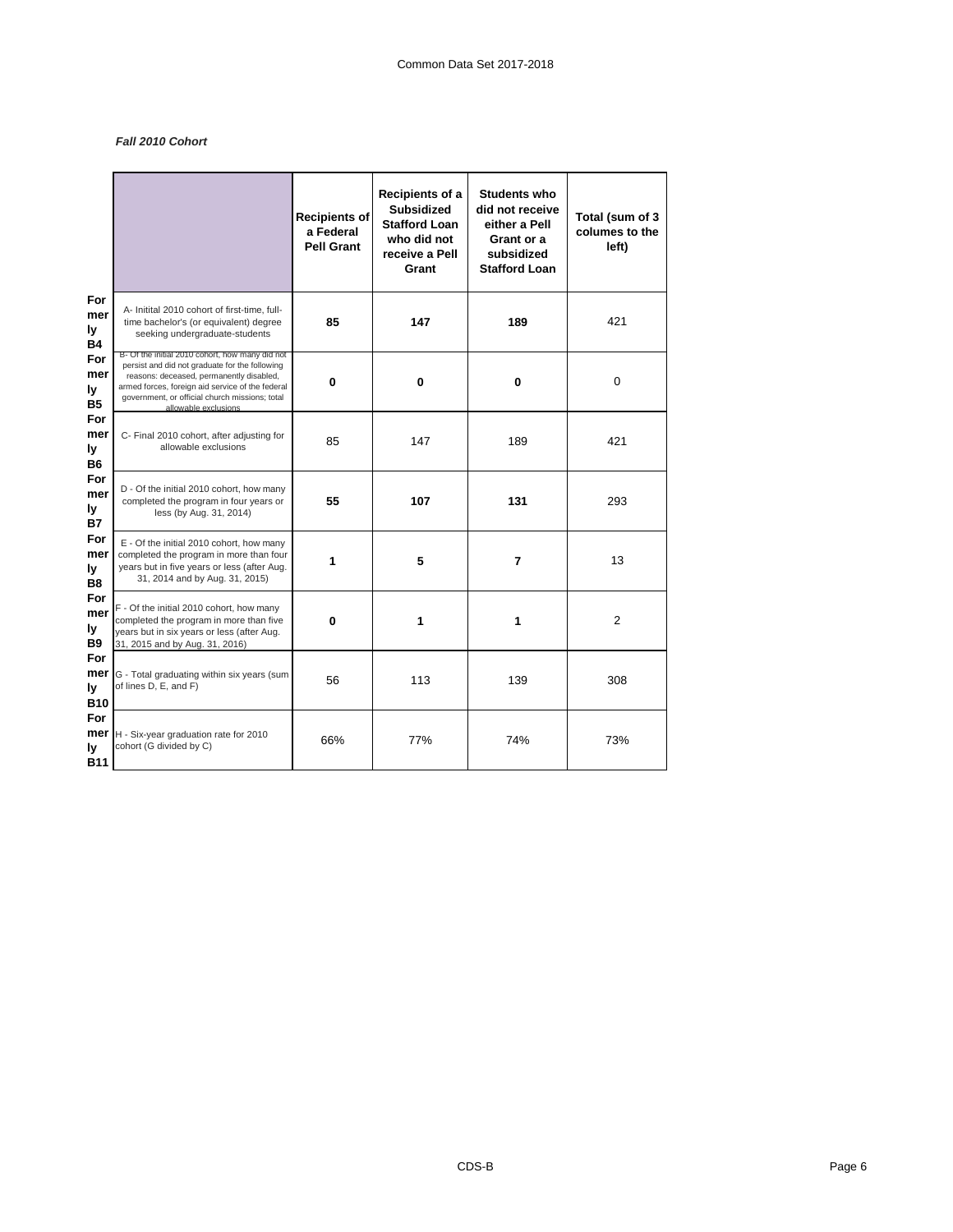# *Fall 2010 Cohort*

|                                    |                                                                                                                                                                                                                                                                             | <b>Recipients of</b><br>a Federal<br><b>Pell Grant</b> | Recipients of a<br><b>Subsidized</b><br><b>Stafford Loan</b><br>who did not<br>receive a Pell<br>Grant | <b>Students who</b><br>did not receive<br>either a Pell<br>Grant or a<br>subsidized<br><b>Stafford Loan</b> | Total (sum of 3<br>columes to the<br>left) |
|------------------------------------|-----------------------------------------------------------------------------------------------------------------------------------------------------------------------------------------------------------------------------------------------------------------------------|--------------------------------------------------------|--------------------------------------------------------------------------------------------------------|-------------------------------------------------------------------------------------------------------------|--------------------------------------------|
| For<br>mer<br>ly<br><b>B4</b>      | A- Initital 2010 cohort of first-time, full-<br>time bachelor's (or equivalent) degree<br>seeking undergraduate-students                                                                                                                                                    | 85                                                     | 147                                                                                                    | 189                                                                                                         | 421                                        |
| For<br>mer<br>ly<br><b>B5</b>      | B- Of the initial 2010 cohort, how many did not<br>persist and did not graduate for the following<br>reasons: deceased, permanently disabled,<br>armed forces, foreign aid service of the federal<br>government, or official church missions; total<br>allowable exclusions | 0                                                      | 0                                                                                                      | 0                                                                                                           | $\mathbf 0$                                |
| For<br>mer<br>ly<br>B6             | C- Final 2010 cohort, after adjusting for<br>allowable exclusions                                                                                                                                                                                                           | 85                                                     | 147                                                                                                    | 189                                                                                                         | 421                                        |
| For<br>mer<br>ly<br><b>B7</b>      | D - Of the initial 2010 cohort, how many<br>completed the program in four years or<br>less (by Aug. 31, 2014)                                                                                                                                                               | 55                                                     | 107                                                                                                    | 131                                                                                                         | 293                                        |
| For<br>mer<br>ly<br>B <sub>8</sub> | E - Of the initial 2010 cohort, how many<br>completed the program in more than four<br>years but in five years or less (after Aug.<br>31, 2014 and by Aug. 31, 2015)                                                                                                        | 1                                                      | 5                                                                                                      | 7                                                                                                           | 13                                         |
| For<br>mer<br>ly<br><b>B9</b>      | F - Of the initial 2010 cohort, how many<br>completed the program in more than five<br>years but in six years or less (after Aug.<br>31, 2015 and by Aug. 31, 2016)                                                                                                         | 0                                                      | 1                                                                                                      | 1                                                                                                           | $\overline{2}$                             |
| For<br>mer<br>ly<br><b>B10</b>     | G - Total graduating within six years (sum<br>of lines D, E, and F)                                                                                                                                                                                                         | 56                                                     | 113                                                                                                    | 139                                                                                                         | 308                                        |
| For<br>mer<br>ly<br><b>B11</b>     | H - Six-year graduation rate for 2010<br>cohort (G divided by C)                                                                                                                                                                                                            | 66%                                                    | 77%                                                                                                    | 74%                                                                                                         | 73%                                        |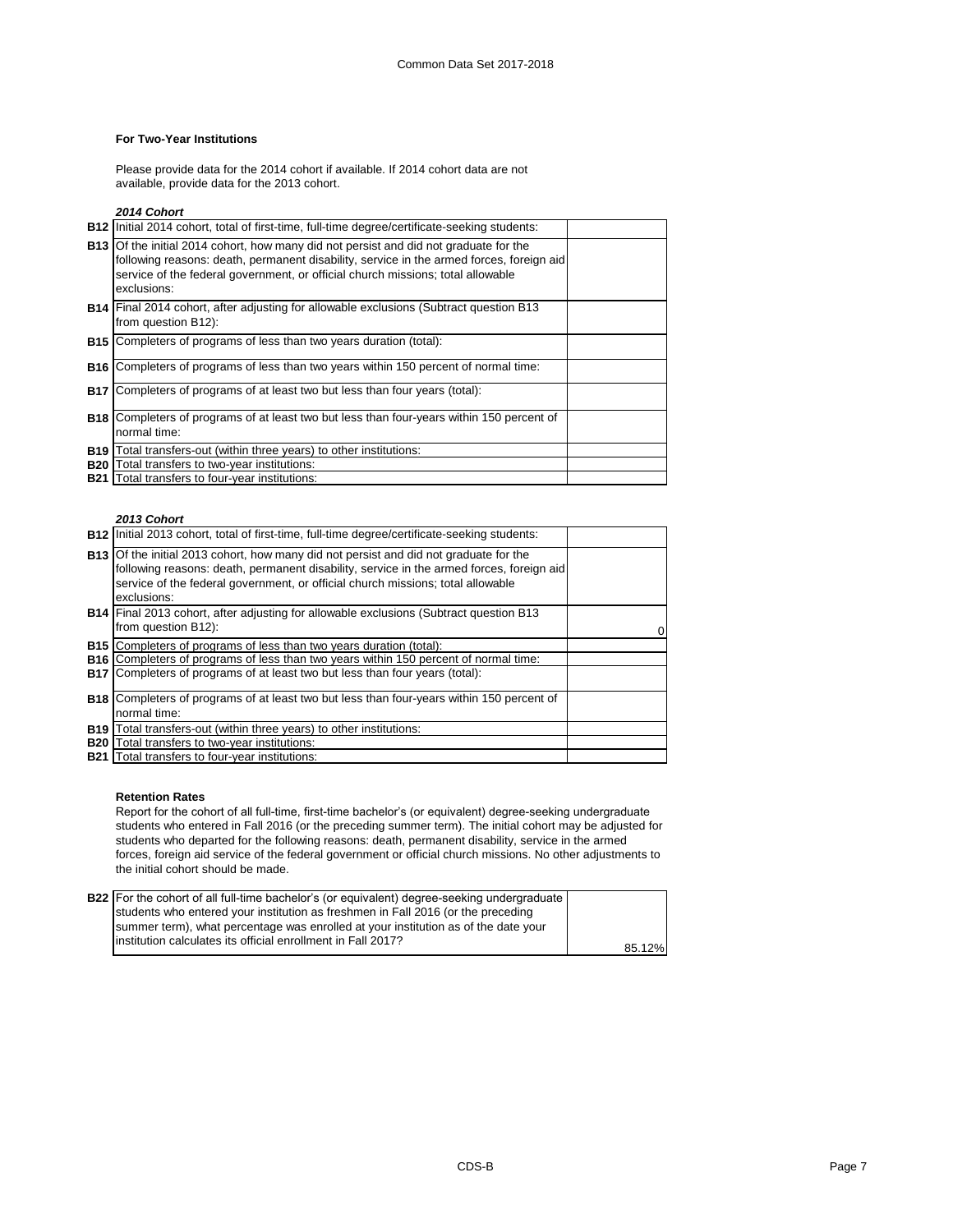### **For Two-Year Institutions**

Please provide data for the 2014 cohort if available. If 2014 cohort data are not available, provide data for the 2013 cohort.

### *2014 Cohort*

| <b>B12</b> Initial 2014 cohort, total of first-time, full-time degree/certificate-seeking students:                                                                                                                                                                                        |  |
|--------------------------------------------------------------------------------------------------------------------------------------------------------------------------------------------------------------------------------------------------------------------------------------------|--|
| <b>B13</b> Of the initial 2014 cohort, how many did not persist and did not graduate for the<br>following reasons: death, permanent disability, service in the armed forces, foreign aid<br>service of the federal government, or official church missions; total allowable<br>exclusions: |  |
| <b>B14</b> Final 2014 cohort, after adjusting for allowable exclusions (Subtract question B13<br>from question B12):                                                                                                                                                                       |  |
| <b>B15</b> Completers of programs of less than two years duration (total):                                                                                                                                                                                                                 |  |
| <b>B16</b> Completers of programs of less than two years within 150 percent of normal time:                                                                                                                                                                                                |  |
| <b>B17</b> Completers of programs of at least two but less than four years (total):                                                                                                                                                                                                        |  |
| <b>B18</b> Completers of programs of at least two but less than four-years within 150 percent of<br>normal time:                                                                                                                                                                           |  |
| <b>B19</b> Total transfers-out (within three years) to other institutions:                                                                                                                                                                                                                 |  |
| <b>B20</b> Total transfers to two-year institutions:                                                                                                                                                                                                                                       |  |
| <b>B21</b> Total transfers to four-year institutions:                                                                                                                                                                                                                                      |  |

### *2013 Cohort*

| <b>B12</b> Initial 2013 cohort, total of first-time, full-time degree/certificate-seeking students:                                                                                                                                                                                        |  |
|--------------------------------------------------------------------------------------------------------------------------------------------------------------------------------------------------------------------------------------------------------------------------------------------|--|
| <b>B13</b> Of the initial 2013 cohort, how many did not persist and did not graduate for the<br>following reasons: death, permanent disability, service in the armed forces, foreign aid<br>service of the federal government, or official church missions; total allowable<br>exclusions: |  |
| <b>B14</b> Final 2013 cohort, after adjusting for allowable exclusions (Subtract question B13<br>from question B12):                                                                                                                                                                       |  |
| <b>B15</b> Completers of programs of less than two years duration (total):                                                                                                                                                                                                                 |  |
| <b>B16</b> Completers of programs of less than two years within 150 percent of normal time:                                                                                                                                                                                                |  |
| <b>B17</b> Completers of programs of at least two but less than four years (total):                                                                                                                                                                                                        |  |
| <b>B18</b> Completers of programs of at least two but less than four-years within 150 percent of                                                                                                                                                                                           |  |
| normal time:                                                                                                                                                                                                                                                                               |  |
| <b>B19</b> Total transfers-out (within three years) to other institutions:                                                                                                                                                                                                                 |  |
| <b>B20</b> Total transfers to two-year institutions:                                                                                                                                                                                                                                       |  |
| <b>B21</b> Total transfers to four-year institutions:                                                                                                                                                                                                                                      |  |

### **Retention Rates**

Report for the cohort of all full-time, first-time bachelor's (or equivalent) degree-seeking undergraduate students who entered in Fall 2016 (or the preceding summer term). The initial cohort may be adjusted for students who departed for the following reasons: death, permanent disability, service in the armed forces, foreign aid service of the federal government or official church missions. No other adjustments to the initial cohort should be made.

| <b>B22</b> For the cohort of all full-time bachelor's (or equivalent) degree-seeking undergraduate |        |
|----------------------------------------------------------------------------------------------------|--------|
| students who entered your institution as freshmen in Fall 2016 (or the preceding                   |        |
| summer term), what percentage was enrolled at your institution as of the date your                 |        |
| linstitution calculates its official enrollment in Fall 2017?                                      |        |
|                                                                                                    | 85.12% |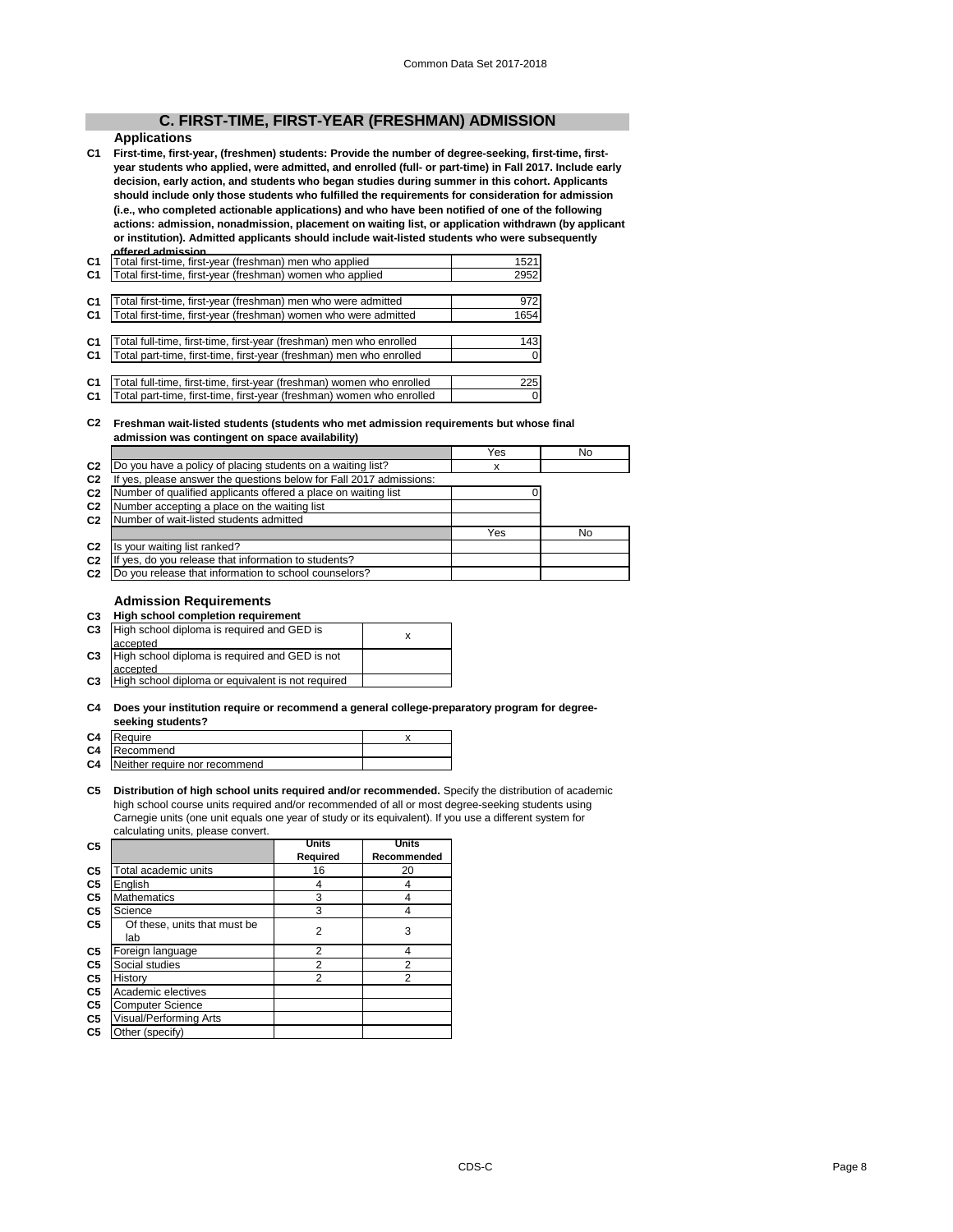# **C. FIRST-TIME, FIRST-YEAR (FRESHMAN) ADMISSION**

# **Applications**

**C1 First-time, first-year, (freshmen) students: Provide the number of degree-seeking, first-time, firstyear students who applied, were admitted, and enrolled (full- or part-time) in Fall 2017. Include early decision, early action, and students who began studies during summer in this cohort. Applicants should include only those students who fulfilled the requirements for consideration for admission (i.e., who completed actionable applications) and who have been notified of one of the following actions: admission, nonadmission, placement on waiting list, or application withdrawn (by applicant or institution). Admitted applicants should include wait-listed students who were subsequently offered admission.**

| C <sub>1</sub> | Total first-time, first-year (freshman) men who applied               | 1521 |
|----------------|-----------------------------------------------------------------------|------|
| C <sub>1</sub> | Total first-time, first-year (freshman) women who applied             | 2952 |
|                |                                                                       |      |
| C <sub>1</sub> | Total first-time, first-year (freshman) men who were admitted         | 972  |
| C <sub>1</sub> | Total first-time, first-year (freshman) women who were admitted       | 1654 |
|                |                                                                       |      |
| C <sub>1</sub> | Total full-time, first-time, first-year (freshman) men who enrolled   | 143  |
| C <sub>1</sub> | Total part-time, first-time, first-year (freshman) men who enrolled   |      |
|                |                                                                       |      |
| C <sub>1</sub> | Total full-time, first-time, first-year (freshman) women who enrolled | 225  |
| C <sub>1</sub> | Total part-time, first-time, first-year (freshman) women who enrolled |      |

### **C2 Freshman wait-listed students (students who met admission requirements but whose final admission was contingent on space availability)**

|                |                                                                  | Yes | No |
|----------------|------------------------------------------------------------------|-----|----|
| C <sub>2</sub> | Do you have a policy of placing students on a waiting list?      | x   |    |
| C <sub>2</sub> | yes, please answer the questions below for Fall 2017 admissions: |     |    |
| C <sub>2</sub> | Number of qualified applicants offered a place on waiting list   |     |    |
| C <sub>2</sub> | Number accepting a place on the waiting list                     |     |    |
| C <sub>2</sub> | Number of wait-listed students admitted                          |     |    |
|                |                                                                  | Yes | No |
| C <sub>2</sub> | Is your waiting list ranked?                                     |     |    |
| C <sub>2</sub> | yes, do you release that information to students?<br>Ιf          |     |    |
| C <sub>2</sub> | Do you release that information to school counselors?            |     |    |

### **Admission Requirements**

**C3 High school completion requirement**

| C <sub>3</sub> | High school diploma is required and GED is        |  |
|----------------|---------------------------------------------------|--|
|                | accepted                                          |  |
| C <sub>3</sub> | High school diploma is required and GED is not    |  |
|                | accepted                                          |  |
| C <sub>3</sub> | High school diploma or equivalent is not required |  |
|                |                                                   |  |

### **C4 Does your institution require or recommend a general college-preparatory program for degreeseeking students?**

| C4 Require |  |
|------------|--|
|            |  |

| ___            |                               |  |
|----------------|-------------------------------|--|
| C <sub>4</sub> | Recommend                     |  |
| C <sub>4</sub> | Neither require nor recommend |  |
|                |                               |  |

**C5 Distribution of high school units required and/or recommended.** Specify the distribution of academic high school course units required and/or recommended of all or most degree-seeking students using Carnegie units (one unit equals one year of study or its equivalent). If you use a different system for calculating units, please convert.

| C <sub>5</sub> |                                     | Units          | <b>Units</b> |
|----------------|-------------------------------------|----------------|--------------|
|                |                                     | Required       | Recommended  |
| C5             | Total academic units                | 16             | 20           |
| C5             | English                             | 4              | 4            |
| C5             | <b>Mathematics</b>                  | 3              | 4            |
| C5             | Science                             | 3              | 4            |
| C5             | Of these, units that must be<br>lab | 2              | 3            |
| C5             | Foreign language                    | 2              | 4            |
| C <sub>5</sub> | Social studies                      | $\overline{2}$ | 2            |
| C5             | History                             | 2              | 2            |
| C <sub>5</sub> | Academic electives                  |                |              |
| C5             | <b>Computer Science</b>             |                |              |
| C5             | Visual/Performing Arts              |                |              |
| C <sub>5</sub> | Other (specify)                     |                |              |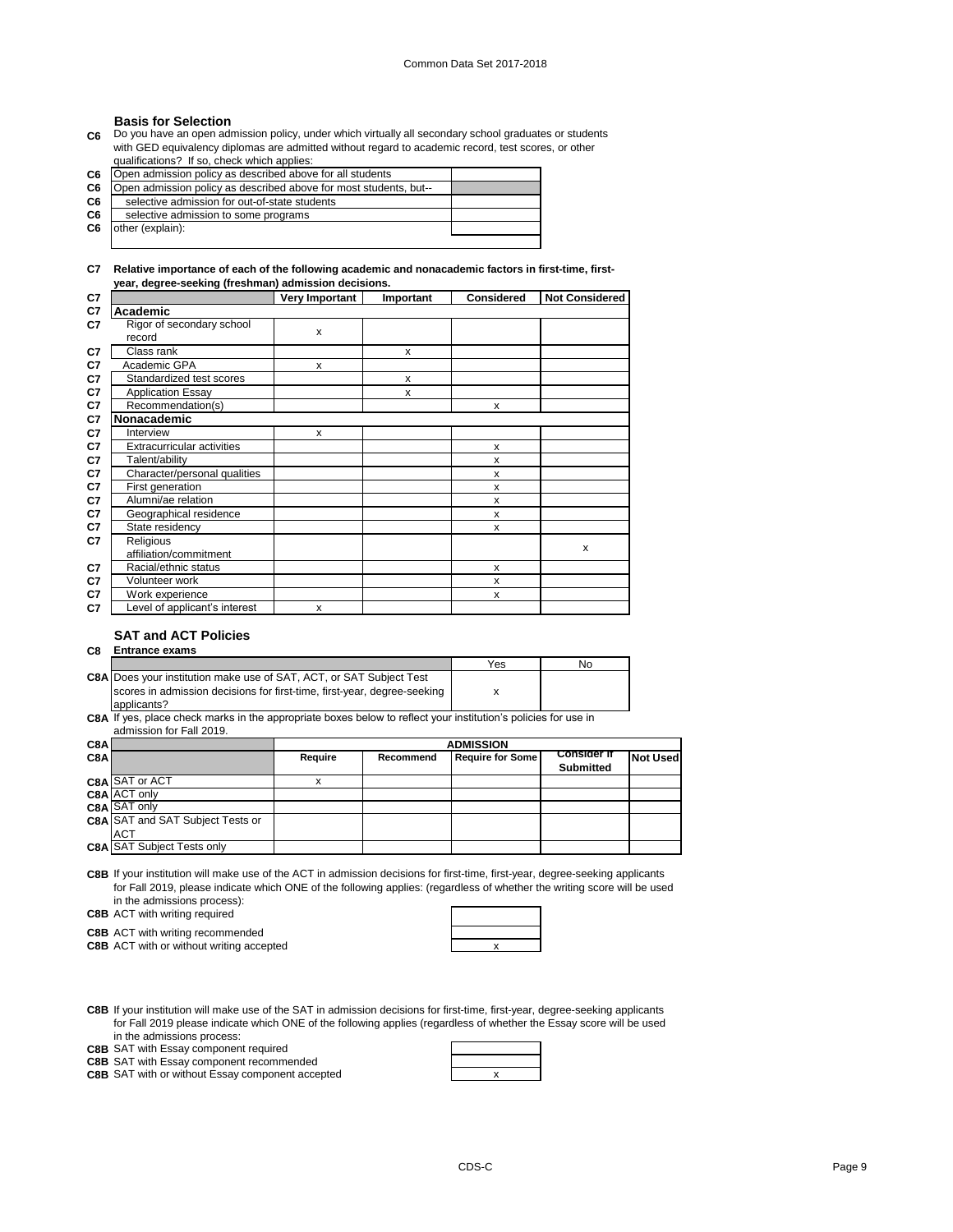### **Basis for Selection**

**C6** Do you have an open admission policy, under which virtually all secondary school graduates or students with GED equivalency diplomas are admitted without regard to academic record, test scores, or other qualifications? If so, check which applies:

| C <sub>6</sub> | Open admission policy as described above for all students         |  |
|----------------|-------------------------------------------------------------------|--|
| C <sub>6</sub> | Open admission policy as described above for most students, but-- |  |
| C <sub>6</sub> | selective admission for out-of-state students                     |  |
| C <sub>6</sub> | selective admission to some programs                              |  |
| C <sub>6</sub> | other (explain):                                                  |  |
|                |                                                                   |  |

### **C7 Relative importance of each of the following academic and nonacademic factors in first-time, firstyear, degree-seeking (freshman) admission decisions.**

| C7 |                                   | Very Important | Important | <b>Considered</b> | <b>Not Considered</b> |
|----|-----------------------------------|----------------|-----------|-------------------|-----------------------|
| C7 | Academic                          |                |           |                   |                       |
| C7 | Rigor of secondary school         | x              |           |                   |                       |
|    | record                            |                |           |                   |                       |
| C7 | Class rank                        |                | x         |                   |                       |
| C7 | Academic GPA                      | x              |           |                   |                       |
| C7 | Standardized test scores          |                | x         |                   |                       |
| C7 | <b>Application Essay</b>          |                | x         |                   |                       |
| C7 | Recommendation(s)                 |                |           | x                 |                       |
| C7 | Nonacademic                       |                |           |                   |                       |
| C7 | Interview                         | x              |           |                   |                       |
| C7 | <b>Extracurricular activities</b> |                |           | X                 |                       |
| C7 | Talent/ability                    |                |           | X                 |                       |
| C7 | Character/personal qualities      |                |           | x                 |                       |
| C7 | First generation                  |                |           | x                 |                       |
| C7 | Alumni/ae relation                |                |           | x                 |                       |
| C7 | Geographical residence            |                |           | x                 |                       |
| C7 | State residency                   |                |           | x                 |                       |
| C7 | Religious                         |                |           |                   | X                     |
|    | affiliation/commitment            |                |           |                   |                       |
| C7 | Racial/ethnic status              |                |           | x                 |                       |
| C7 | Volunteer work                    |                |           | x                 |                       |
| C7 | Work experience                   |                |           | x                 |                       |
| C7 | Level of applicant's interest     | x              |           |                   |                       |

### **SAT and ACT Policies**

### **C8 Entrance exams**

|                                                                            | Yes | No |
|----------------------------------------------------------------------------|-----|----|
| <b>C8A Does your institution make use of SAT, ACT, or SAT Subject Test</b> |     |    |
| scores in admission decisions for first-time, first-year, degree-seeking   |     |    |
| applicants?                                                                |     |    |

**C8A** If yes, place check marks in the appropriate boxes below to reflect your institution's policies for use in

|   | admission for Fall 2019. |  |
|---|--------------------------|--|
| I |                          |  |

| C8A |                                   | <b>ADMISSION</b>                                                      |  |  |           |                 |
|-----|-----------------------------------|-----------------------------------------------------------------------|--|--|-----------|-----------------|
| C8A |                                   | <b>Consider if</b><br><b>Require for Some</b><br>Require<br>Recommend |  |  |           | <b>Not Used</b> |
|     |                                   |                                                                       |  |  | Submitted |                 |
|     | C8A SAT or ACT                    |                                                                       |  |  |           |                 |
|     | C8A ACT only                      |                                                                       |  |  |           |                 |
|     | C8A SAT only                      |                                                                       |  |  |           |                 |
|     | C8A SAT and SAT Subject Tests or  |                                                                       |  |  |           |                 |
|     | <b>ACT</b>                        |                                                                       |  |  |           |                 |
|     | <b>C8A SAT Subject Tests only</b> |                                                                       |  |  |           |                 |
|     |                                   |                                                                       |  |  |           |                 |

**C8B** If your institution will make use of the ACT in admission decisions for first-time, first-year, degree-seeking applicants for Fall 2019, please indicate which ONE of the following applies: (regardless of whether the writing score will be used in the admissions process):

**C8B** ACT with writing required

**C8B** ACT with writing recommended

**C8B** ACT with or without writing accepted **EXA ACT With OF WEIGHT AT ACT** 

**C8B** If your institution will make use of the SAT in admission decisions for first-time, first-year, degree-seeking applicants for Fall 2019 please indicate which ONE of the following applies (regardless of whether the Essay score will be used in the admissions process:

**C8B** SAT with Essay component required

**C8B** SAT with Essay component recommended

**C8B** SAT with or without Essay component accepted  $\overline{\phantom{a}}$  **x**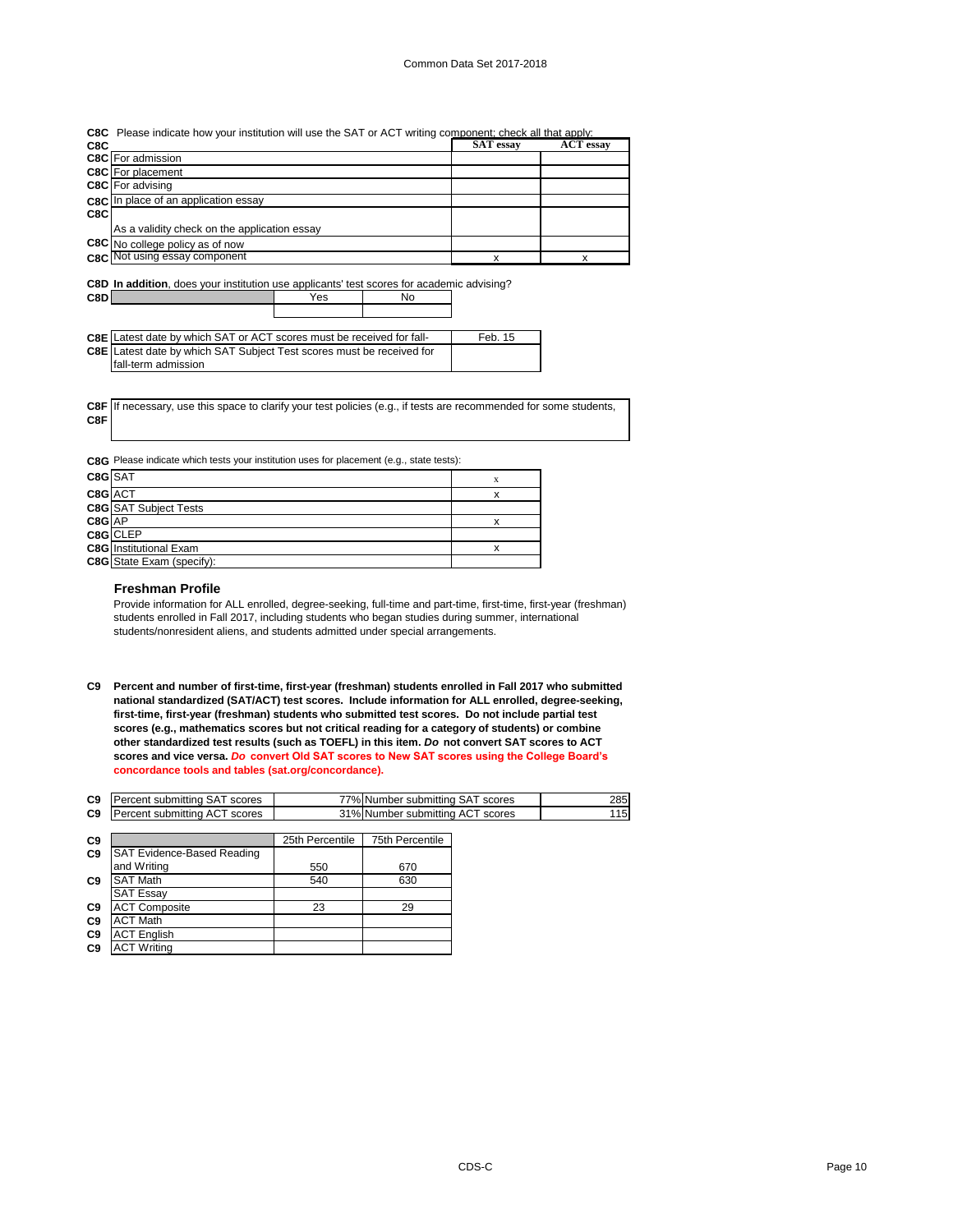|     | <b>C8C</b> Please indicate how your institution will use the SAT or ACT writing component; check all that apply: |           |                  |  |
|-----|------------------------------------------------------------------------------------------------------------------|-----------|------------------|--|
| C8C |                                                                                                                  | SAT essay | <b>ACT</b> essay |  |
|     | <b>C8C</b> For admission                                                                                         |           |                  |  |
|     | <b>C8C</b> For placement                                                                                         |           |                  |  |
|     | <b>C8C</b> For advising                                                                                          |           |                  |  |
|     | C8C In place of an application essay                                                                             |           |                  |  |
| C8C |                                                                                                                  |           |                  |  |
|     | As a validity check on the application essay                                                                     |           |                  |  |
|     | <b>C8C</b> No college policy as of now                                                                           |           |                  |  |
|     | <b>C8C</b> Not using essay component                                                                             |           |                  |  |
|     |                                                                                                                  |           |                  |  |

|       | C8D In addition, does your institution use applicants' test scores for academic advising? |     |    |  |
|-------|-------------------------------------------------------------------------------------------|-----|----|--|
| C8D I |                                                                                           | Yes | No |  |

| <b>C8E</b> Latest date by which SAT or ACT scores must be received for fall- | Feb. 15 |
|------------------------------------------------------------------------------|---------|
| <b>C8E</b> Latest date by which SAT Subject Test scores must be received for |         |
| fall-term admission                                                          |         |

**C8F** If necessary, use this space to clarify your test policies (e.g., if tests are recommended for some students, **C8F**

**C8G** Please indicate which tests your institution uses for placement (e.g., state tests):

| C8G SAT     |                               | х |
|-------------|-------------------------------|---|
| $C8G$ $ACT$ |                               |   |
|             | <b>C8G</b> SAT Subject Tests  |   |
| C8G AP      |                               |   |
|             | C8G CLEP                      |   |
|             | <b>C8G</b> Institutional Exam |   |
|             | C8G State Exam (specify):     |   |

### **Freshman Profile**

Provide information for ALL enrolled, degree-seeking, full-time and part-time, first-time, first-year (freshman) students enrolled in Fall 2017, including students who began studies during summer, international students/nonresident aliens, and students admitted under special arrangements.

**C9 Percent and number of first-time, first-year (freshman) students enrolled in Fall 2017 who submitted national standardized (SAT/ACT) test scores. Include information for ALL enrolled, degree-seeking, first-time, first-year (freshman) students who submitted test scores. Do not include partial test scores (e.g., mathematics scores but not critical reading for a category of students) or combine other standardized test results (such as TOEFL) in this item.** *Do* **not convert SAT scores to ACT scores and vice versa.** *Do* **convert Old SAT scores to New SAT scores using the College Board's concordance tools and tables (sat.org/concordance).**

| C <sub>9</sub> | Percent submittina SAT scores | Number submitting SAT scores<br>7%. | 285 |
|----------------|-------------------------------|-------------------------------------|-----|
| C <sub>9</sub> | Percent submitting ACT scores | 31% Number submitting ACT scores    |     |

| C <sub>9</sub> |                            | 25th Percentile | 75th Percentile |
|----------------|----------------------------|-----------------|-----------------|
| C <sub>9</sub> | SAT Evidence-Based Reading |                 |                 |
|                | and Writing                | 550             | 670             |
| C <sub>9</sub> | <b>SAT Math</b>            | 540             | 630             |
|                | <b>SAT Essay</b>           |                 |                 |
| C <sub>9</sub> | <b>ACT Composite</b>       | 23              | 29              |
| C <sub>9</sub> | <b>ACT Math</b>            |                 |                 |
| C <sub>9</sub> | <b>ACT English</b>         |                 |                 |
| C <sub>9</sub> | <b>ACT Writing</b>         |                 |                 |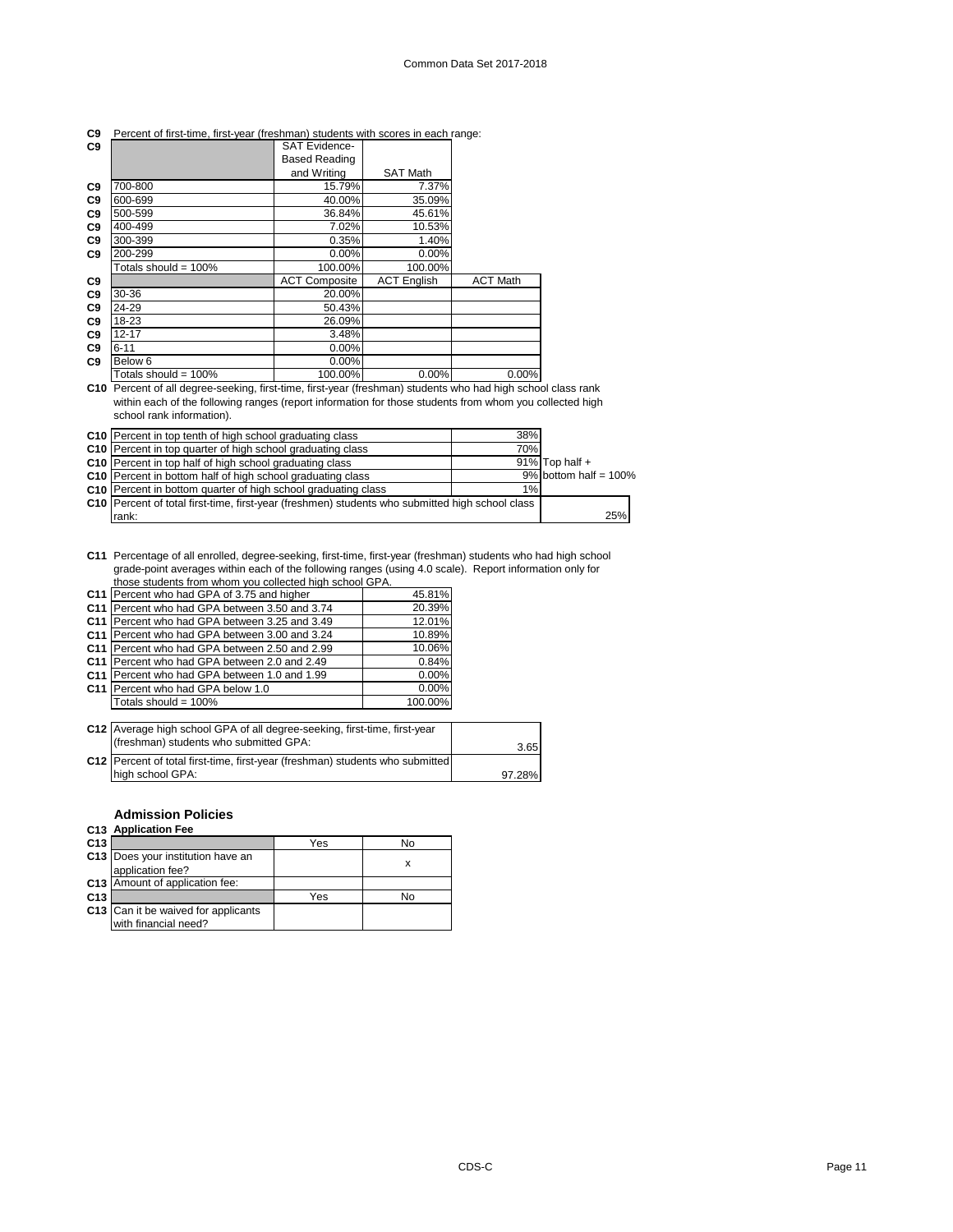| C9             |                      | <b>SAT Evidence-</b> |                    |                 |
|----------------|----------------------|----------------------|--------------------|-----------------|
|                |                      | <b>Based Reading</b> |                    |                 |
|                |                      | and Writing          | <b>SAT Math</b>    |                 |
| C <sub>9</sub> | 700-800              | 15.79%               | 7.37%              |                 |
| C <sub>9</sub> | 600-699              | 40.00%               | 35.09%             |                 |
| C <sub>9</sub> | 500-599              | 36.84%               | 45.61%             |                 |
| C <sub>9</sub> | 400-499              | 7.02%                | 10.53%             |                 |
| C <sub>9</sub> | 300-399              | 0.35%                | 1.40%              |                 |
| C <sub>9</sub> | 200-299              | 0.00%                | 0.00%              |                 |
|                | Totals should = 100% | 100.00%              | 100.00%            |                 |
| C <sub>9</sub> |                      | <b>ACT Composite</b> | <b>ACT English</b> | <b>ACT Math</b> |
| C <sub>9</sub> | 30-36                | 20.00%               |                    |                 |
| C <sub>9</sub> | 24-29                | 50.43%               |                    |                 |
| C <sub>9</sub> | 18-23                | 26.09%               |                    |                 |
| C <sub>9</sub> | $12 - 17$            | 3.48%                |                    |                 |
| C <sub>9</sub> | $6 - 11$             | $0.00\%$             |                    |                 |
| C <sub>9</sub> | Below <sub>6</sub>   | $0.00\%$             |                    |                 |
|                | Totals should = 100% | 100.00%              | $0.00\%$           | $0.00\%$        |

### **C9** Percent of first-time, first-year (freshman) students with scores in each range:

**C10** Percent of all degree-seeking, first-time, first-year (freshman) students who had high school class rank within each of the following ranges (report information for those students from whom you collected high school rank information).

| <b>C10</b> Percent in top tenth of high school graduating class                                   | 38% |                          |
|---------------------------------------------------------------------------------------------------|-----|--------------------------|
| <b>C10</b> Percent in top quarter of high school graduating class                                 | 70% |                          |
| <b>C10</b> Percent in top half of high school graduating class                                    |     | $91\%$ Top half +        |
| C10 Percent in bottom half of high school graduating class                                        |     | $9\%$ bottom half = 100% |
| C10 Percent in bottom quarter of high school graduating class                                     | 1%  |                          |
| C10   Percent of total first-time, first-year (freshmen) students who submitted high school class |     |                          |
| rank:                                                                                             |     | 25%                      |

**C11** Percentage of all enrolled, degree-seeking, first-time, first-year (freshman) students who had high school grade-point averages within each of the following ranges (using 4.0 scale). Report information only for those students from whom you collected high school GPA.

|                 | C11 Percent who had GPA of 3.75 and higher    | 45.81%  |
|-----------------|-----------------------------------------------|---------|
|                 | C11 Percent who had GPA between 3.50 and 3.74 | 20.39%  |
|                 | C11 Percent who had GPA between 3.25 and 3.49 | 12.01%  |
|                 | C11 Percent who had GPA between 3.00 and 3.24 | 10.89%  |
| C <sub>11</sub> | Percent who had GPA between 2.50 and 2.99     | 10.06%  |
| C <sub>11</sub> | Percent who had GPA between 2.0 and 2.49      | 0.84%   |
| C <sub>11</sub> | Percent who had GPA between 1.0 and 1.99      | 0.00%   |
|                 | C11 Percent who had GPA below 1.0             | 0.00%   |
|                 | Totals should = 100%                          | 100.00% |

| C12 Average high school GPA of all degree-seeking, first-time, first-year<br>(freshman) students who submitted GPA: | 3.65   |
|---------------------------------------------------------------------------------------------------------------------|--------|
| <b>C12</b> Percent of total first-time, first-year (freshman) students who submitted<br>high school GPA:            | 97.28% |

### **Admission Policies**

## **C13 Application Fee**

| C <sub>13</sub> |                                                             | Yes | No |
|-----------------|-------------------------------------------------------------|-----|----|
|                 | C13 Does your institution have an<br>application fee?       |     |    |
|                 | C13 Amount of application fee:                              |     |    |
| C <sub>13</sub> |                                                             | Yes | No |
|                 | C13 Can it be waived for applicants<br>with financial need? |     |    |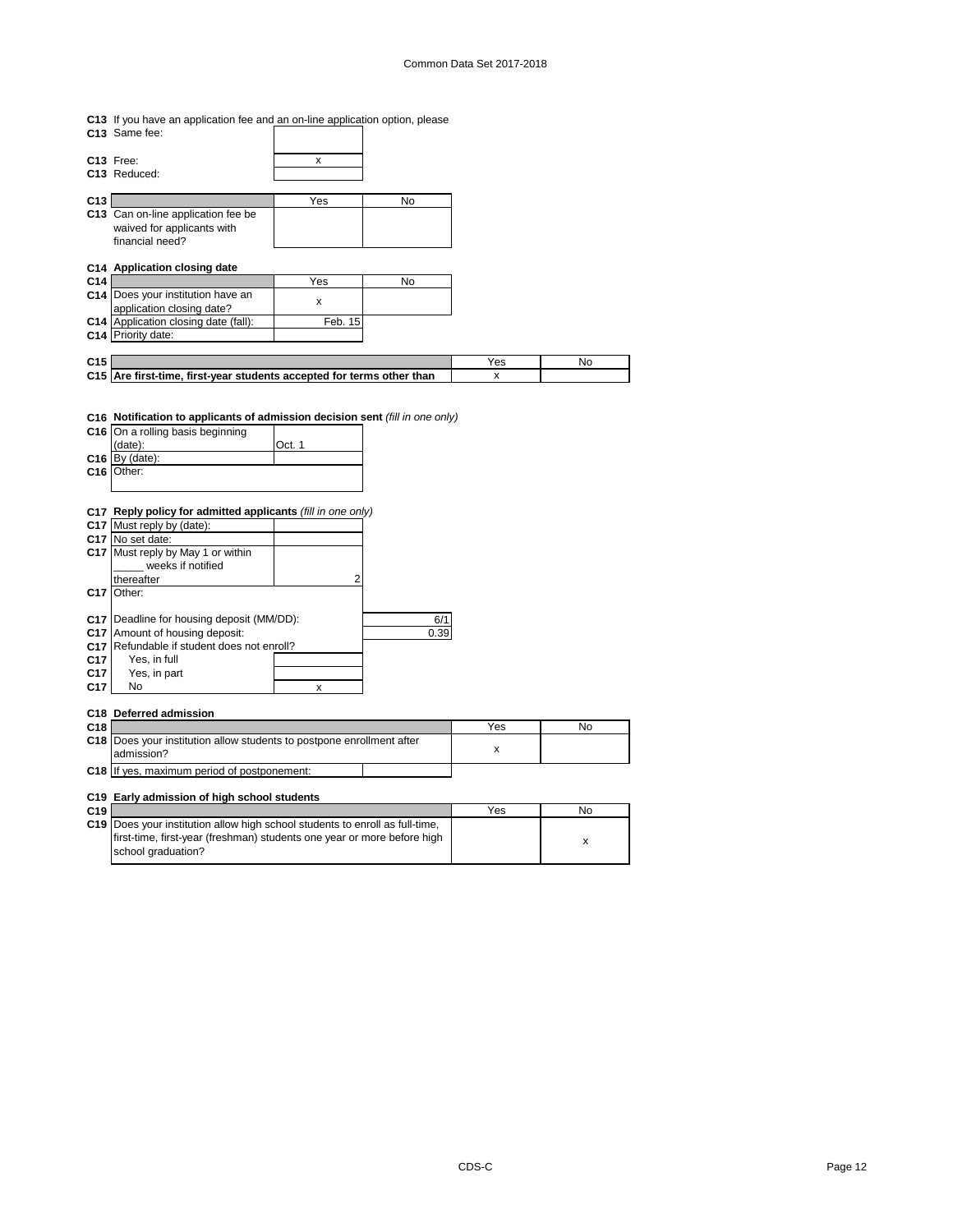**C13** If you have an application fee and an on-line application option, please

| C13 Same fee:                        |         |    |
|--------------------------------------|---------|----|
| C13 Free:                            | x       |    |
| C13 Reduced:                         |         |    |
| C <sub>13</sub>                      | Yes     | No |
| C13 Can on-line application fee be   |         |    |
| waived for applicants with           |         |    |
| financial need?                      |         |    |
| C14 Application closing date         |         |    |
| C <sub>14</sub>                      | Yes     | No |
| C14 Does your institution have an    | x       |    |
| application closing date?            |         |    |
| C14 Application closing date (fall): | Feb. 15 |    |
| C14 Priority date:                   |         |    |

| C <sub>15</sub> |                                                                       |  |
|-----------------|-----------------------------------------------------------------------|--|
|                 | C15 Are first-time, first-vear students accepted for terms other than |  |
|                 |                                                                       |  |

### **C16 Notification to applicants of admission decision sent** *(fill in one only)*

| C16             | On a rolling basis beginning                                |        |      |
|-----------------|-------------------------------------------------------------|--------|------|
|                 | date):                                                      | Oct. 1 |      |
| C16             | By (date):                                                  |        |      |
| C16             | Other:                                                      |        |      |
|                 |                                                             |        |      |
|                 |                                                             |        |      |
|                 | C17 Reply policy for admitted applicants (fill in one only) |        |      |
|                 | C17 Must reply by (date):                                   |        |      |
|                 | C <sub>17</sub> No set date:                                |        |      |
| C17             | Must reply by May 1 or within                               |        |      |
|                 | weeks if notified                                           |        |      |
|                 | thereafter                                                  | 2      |      |
| C <sub>17</sub> | Other:                                                      |        |      |
|                 |                                                             |        |      |
| C17             | Deadline for housing deposit (MM/DD):                       |        | 6/1  |
| C <sub>17</sub> | Amount of housing deposit:                                  |        | 0.39 |
| C <sub>17</sub> | Refundable if student does not enroll?                      |        |      |
| C <sub>17</sub> | Yes, in full                                                |        |      |
| C <sub>17</sub> | Yes, in part                                                |        |      |
| C17             | No                                                          | X      |      |
|                 |                                                             |        |      |

## **C18 Deferred admission**

| C <sub>18</sub> |                                                                                             | Yes | No |
|-----------------|---------------------------------------------------------------------------------------------|-----|----|
|                 | <b>C18</b> IDoes your institution allow students to postpone enrollment after<br>admission? |     |    |
|                 | C18 If yes, maximum period of postponement:                                                 |     |    |

### **C19 Early admission of high school students**

| C <sub>19</sub> |                                                                              | Yes | No |
|-----------------|------------------------------------------------------------------------------|-----|----|
|                 | C19 Does your institution allow high school students to enroll as full-time. |     |    |
|                 | first-time, first-year (freshman) students one year or more before high      |     |    |
|                 | school graduation?                                                           |     |    |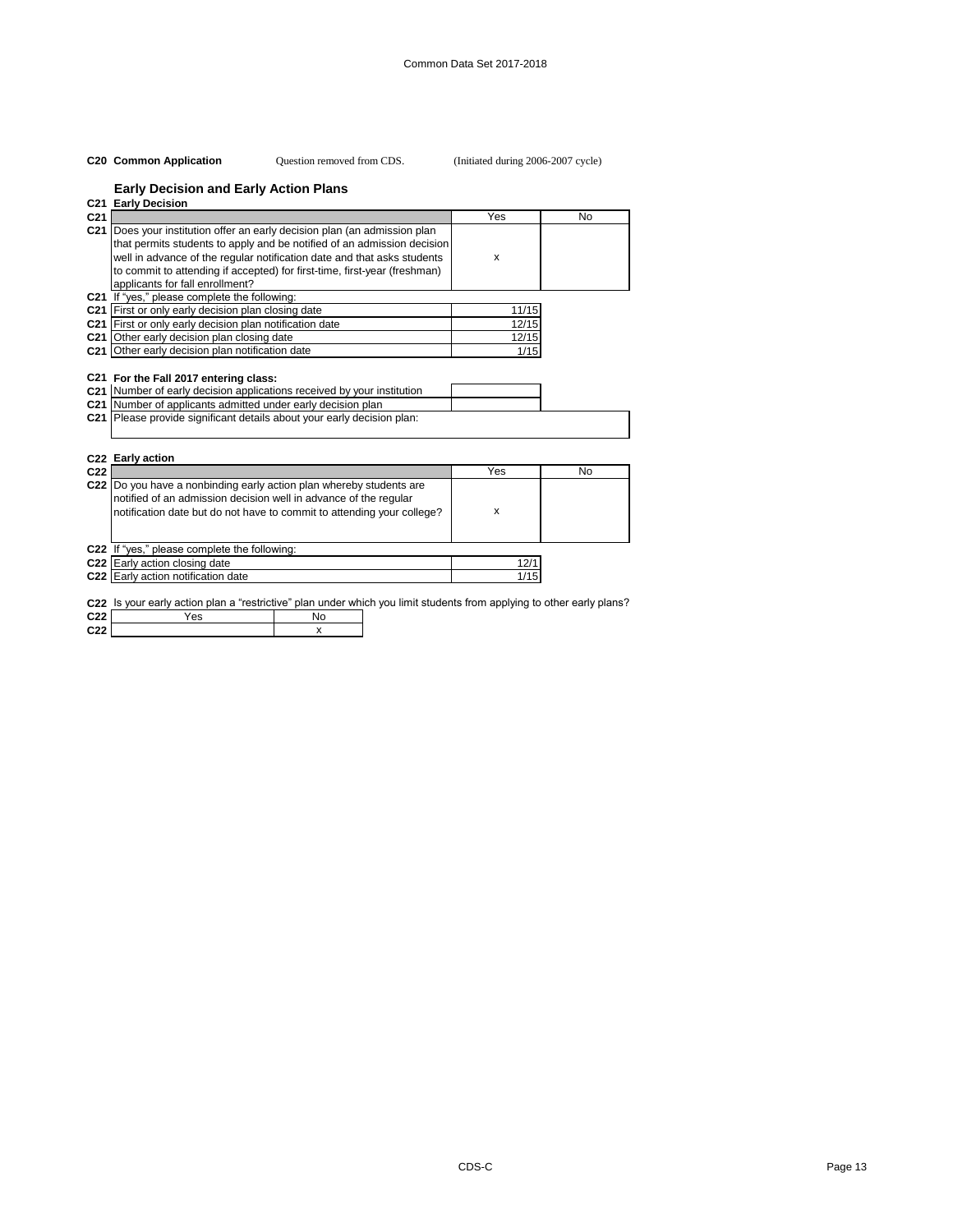### **C20 Common Application** (Initiated during 2006-2007 cycle) Question removed from CDS.

# **Early Decision and Early Action Plans**

|                 | C21 Early Decision                                                                                                                                                                                                                                                                                                                              |       |    |
|-----------------|-------------------------------------------------------------------------------------------------------------------------------------------------------------------------------------------------------------------------------------------------------------------------------------------------------------------------------------------------|-------|----|
| C <sub>21</sub> |                                                                                                                                                                                                                                                                                                                                                 | Yes   | No |
|                 | C21 Does your institution offer an early decision plan (an admission plan<br>that permits students to apply and be notified of an admission decision<br>well in advance of the regular notification date and that asks students<br>to commit to attending if accepted) for first-time, first-year (freshman)<br>applicants for fall enrollment? | X     |    |
|                 | <b>C21</b> If "yes," please complete the following:                                                                                                                                                                                                                                                                                             |       |    |
|                 | C21 First or only early decision plan closing date                                                                                                                                                                                                                                                                                              | 11/15 |    |
|                 | C21 First or only early decision plan notification date                                                                                                                                                                                                                                                                                         | 12/15 |    |
|                 | C21 Other early decision plan closing date                                                                                                                                                                                                                                                                                                      | 12/15 |    |
|                 | C21 Other early decision plan notification date                                                                                                                                                                                                                                                                                                 | 1/15  |    |
|                 | C21 For the Fall 2017 entering class:<br>C21 Number of early decision applications received by your institution<br>C21 Number of applicants admitted under early decision plan<br>C21 Please provide significant details about your early decision plan:<br>C22 Early action                                                                    |       |    |
| C <sub>22</sub> |                                                                                                                                                                                                                                                                                                                                                 | Yes   | No |
|                 | C22 Do you have a nonbinding early action plan whereby students are<br>notified of an admission decision well in advance of the regular<br>notification date but do not have to commit to attending your college?                                                                                                                               | X     |    |
|                 | C22 If "yes," please complete the following:                                                                                                                                                                                                                                                                                                    |       |    |
|                 | C22 Early action closing date                                                                                                                                                                                                                                                                                                                   | 12/1  |    |
|                 | C22 Early action notification date                                                                                                                                                                                                                                                                                                              | 1/15  |    |

**C22** Is your early action plan a "restrictive" plan under which you limit students from applying to other early plans?

| C <sub>22</sub> | es |  |
|-----------------|----|--|
| C <sub>22</sub> |    |  |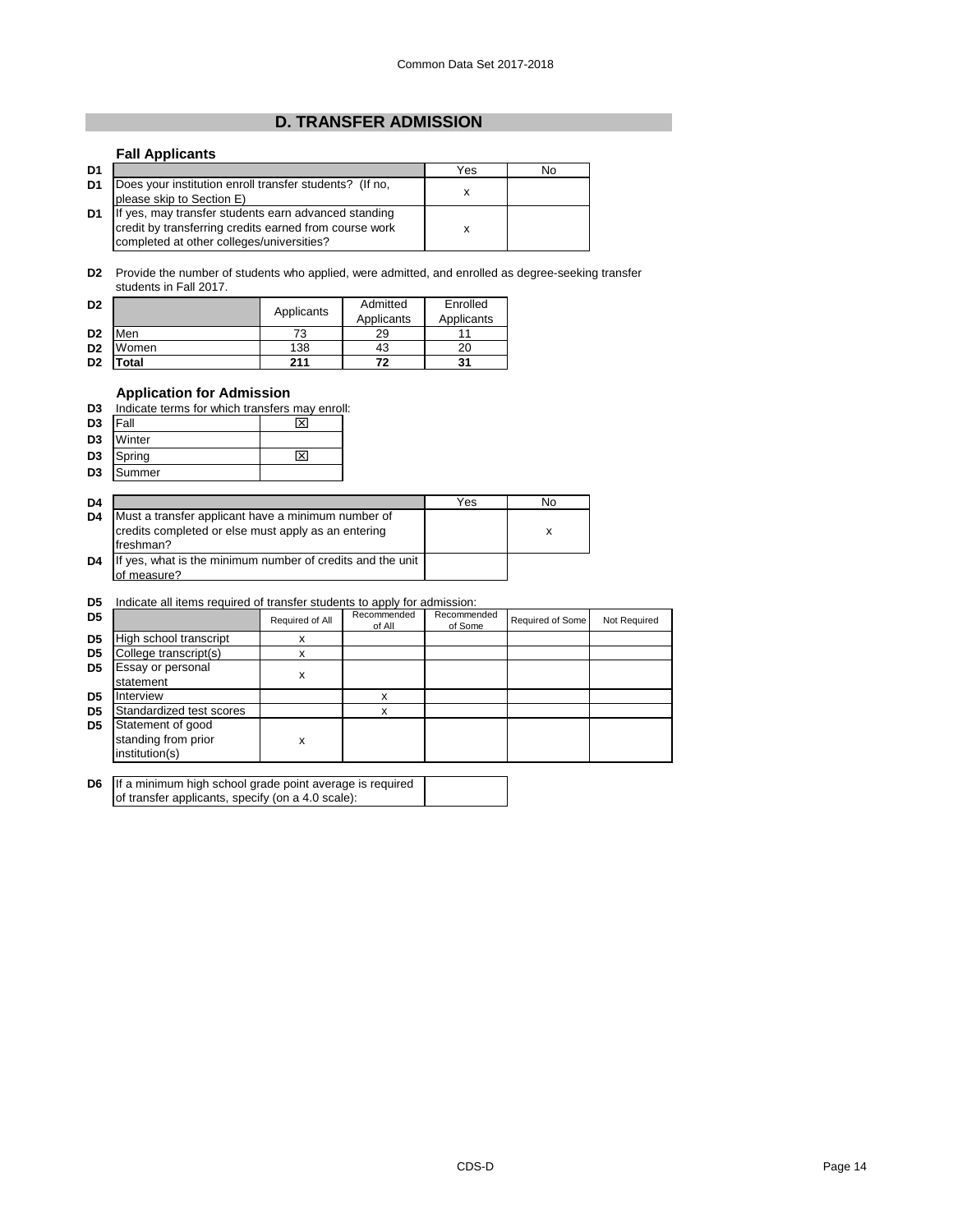# **D. TRANSFER ADMISSION**

# **Fall Applicants**

| D <sub>1</sub> |                                                                                                                                                             | Yes | No |
|----------------|-------------------------------------------------------------------------------------------------------------------------------------------------------------|-----|----|
| D <sub>1</sub> | Does your institution enroll transfer students? (If no,<br>please skip to Section E)                                                                        | x   |    |
| D <sub>1</sub> | If yes, may transfer students earn advanced standing<br>credit by transferring credits earned from course work<br>completed at other colleges/universities? |     |    |

**D2** Provide the number of students who applied, were admitted, and enrolled as degree-seeking transfer students in Fall 2017.

| D <sub>2</sub> |       | Applicants | Admitted   | Enrolled   |
|----------------|-------|------------|------------|------------|
|                |       |            | Applicants | Applicants |
| D <sub>2</sub> | Men   | 73         | 29         |            |
| D <sub>2</sub> | Women | 138        | 43         | 20         |
| D <sub>2</sub> | otal  | 211        | 72         | 31         |

# **Application for Admission**

| D3                  | Indicate terms for which transfers may enroll: |   |  |
|---------------------|------------------------------------------------|---|--|
| D <sub>3</sub> Fall |                                                | ⊠ |  |
|                     | D3 Winter                                      |   |  |
| D <sub>2</sub>      | $Cn$ ring                                      |   |  |

**D3** Spring  $\overline{\text{Summer}}$   $\overline{\text{X1}}$ **D3** Summer

| D <sub>4</sub> |                                                                                                                        | Yes | No |
|----------------|------------------------------------------------------------------------------------------------------------------------|-----|----|
| D <sub>4</sub> | Must a transfer applicant have a minimum number of<br>credits completed or else must apply as an entering<br>freshman? |     | x  |
| D <sub>4</sub> | If yes, what is the minimum number of credits and the unit<br>of measure?                                              |     |    |

### **D5** Indicate all items required of transfer students to apply for admission:

| D <sub>5</sub> |                                                            | Required of All | Recommended<br>of All | Recommended<br>of Some | Required of Some | Not Required |
|----------------|------------------------------------------------------------|-----------------|-----------------------|------------------------|------------------|--------------|
| D <sub>5</sub> | High school transcript                                     | x               |                       |                        |                  |              |
| D <sub>5</sub> | College transcript(s)                                      |                 |                       |                        |                  |              |
| D <sub>5</sub> | Essay or personal<br>statement                             | х               |                       |                        |                  |              |
| D <sub>5</sub> | Interview                                                  |                 | x                     |                        |                  |              |
| D <sub>5</sub> | Standardized test scores                                   |                 | X                     |                        |                  |              |
| D <sub>5</sub> | Statement of good<br>standing from prior<br>institution(s) | x               |                       |                        |                  |              |

| <b>D6</b> If a minimum high school grade point average is required |  |  |  |
|--------------------------------------------------------------------|--|--|--|
| of transfer applicants, specify (on a 4.0 scale):                  |  |  |  |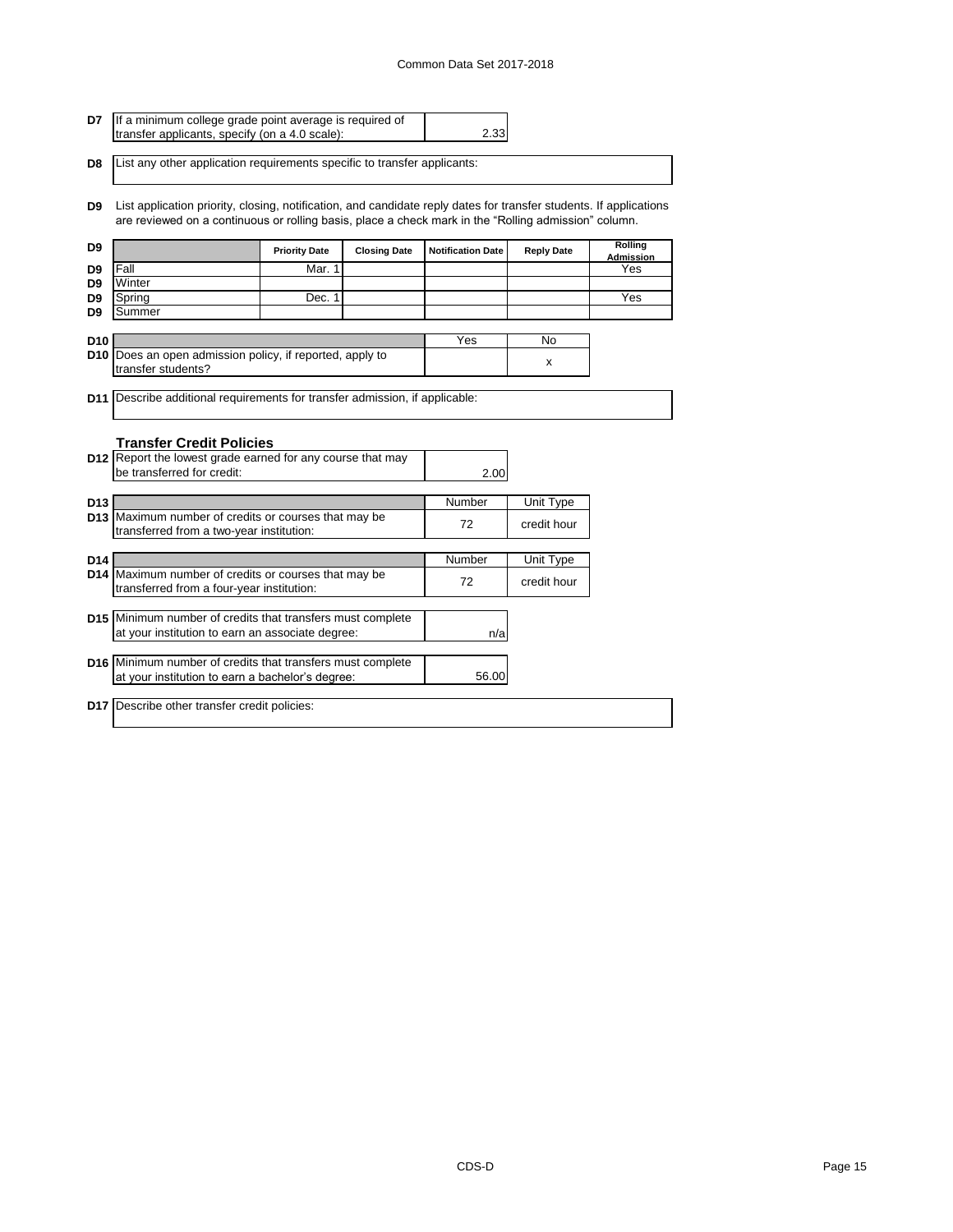### Common Data Set 2017-2018

| <b>D7</b> If a minimum college grade point average is required of                  |      |  |
|------------------------------------------------------------------------------------|------|--|
| transfer applicants, specify (on a 4.0 scale):                                     | 2.33 |  |
|                                                                                    |      |  |
| <b>D8</b> List any other application requirements specific to transfer applicants: |      |  |
|                                                                                    |      |  |

**D9** List application priority, closing, notification, and candidate reply dates for transfer students. If applications are reviewed on a continuous or rolling basis, place a check mark in the "Rolling admission" column.

| D <sub>9</sub>  |                                                                                    | <b>Priority Date</b> | <b>Closing Date</b> | <b>Notification Date</b> | <b>Reply Date</b> | Rolling<br>Admission |
|-----------------|------------------------------------------------------------------------------------|----------------------|---------------------|--------------------------|-------------------|----------------------|
| D <sub>9</sub>  | Fall                                                                               | Mar. 1               |                     |                          |                   | Yes                  |
| D <sub>9</sub>  | Winter                                                                             |                      |                     |                          |                   |                      |
| D <sub>9</sub>  | Spring                                                                             | Dec. 1               |                     |                          |                   | Yes                  |
| D <sub>9</sub>  | Summer                                                                             |                      |                     |                          |                   |                      |
|                 |                                                                                    |                      |                     |                          |                   |                      |
| D <sub>10</sub> |                                                                                    |                      |                     | Yes                      | <b>No</b>         |                      |
|                 | <b>D10</b> Does an open admission policy, if reported, apply to                    |                      |                     |                          | x                 |                      |
|                 | transfer students?                                                                 |                      |                     |                          |                   |                      |
|                 | <b>D11</b> Describe additional requirements for transfer admission, if applicable: |                      |                     |                          |                   |                      |
|                 |                                                                                    |                      |                     |                          |                   |                      |
|                 |                                                                                    |                      |                     |                          |                   |                      |
|                 | <b>Transfer Credit Policies</b>                                                    |                      |                     |                          |                   |                      |
|                 | D12 Report the lowest grade earned for any course that may                         |                      |                     |                          |                   |                      |
|                 | be transferred for credit:                                                         |                      |                     | 2.00                     |                   |                      |
|                 |                                                                                    |                      |                     |                          |                   |                      |
| D <sub>13</sub> |                                                                                    |                      |                     | Number                   | Unit Type         |                      |
|                 | D13 Maximum number of credits or courses that may be                               |                      |                     | 72                       | credit hour       |                      |
|                 | transferred from a two-year institution:                                           |                      |                     |                          |                   |                      |
|                 |                                                                                    |                      |                     |                          |                   |                      |
| D <sub>14</sub> |                                                                                    |                      |                     | Number                   | Unit Type         |                      |
|                 | D14 Maximum number of credits or courses that may be                               |                      |                     | 72                       | credit hour       |                      |
|                 | transferred from a four-year institution:                                          |                      |                     |                          |                   |                      |
|                 | <b>D15</b> Minimum number of credits that transfers must complete                  |                      |                     |                          |                   |                      |
|                 | at your institution to earn an associate degree:                                   |                      |                     |                          |                   |                      |
|                 |                                                                                    |                      |                     | n/a                      |                   |                      |
|                 | D16 Minimum number of credits that transfers must complete                         |                      |                     |                          |                   |                      |
|                 | at your institution to earn a bachelor's degree:                                   |                      |                     | 56.00                    |                   |                      |
|                 |                                                                                    |                      |                     |                          |                   |                      |
|                 | <b>D17</b> Describe other transfer credit policies:                                |                      |                     |                          |                   |                      |
|                 |                                                                                    |                      |                     |                          |                   |                      |
|                 |                                                                                    |                      |                     |                          |                   |                      |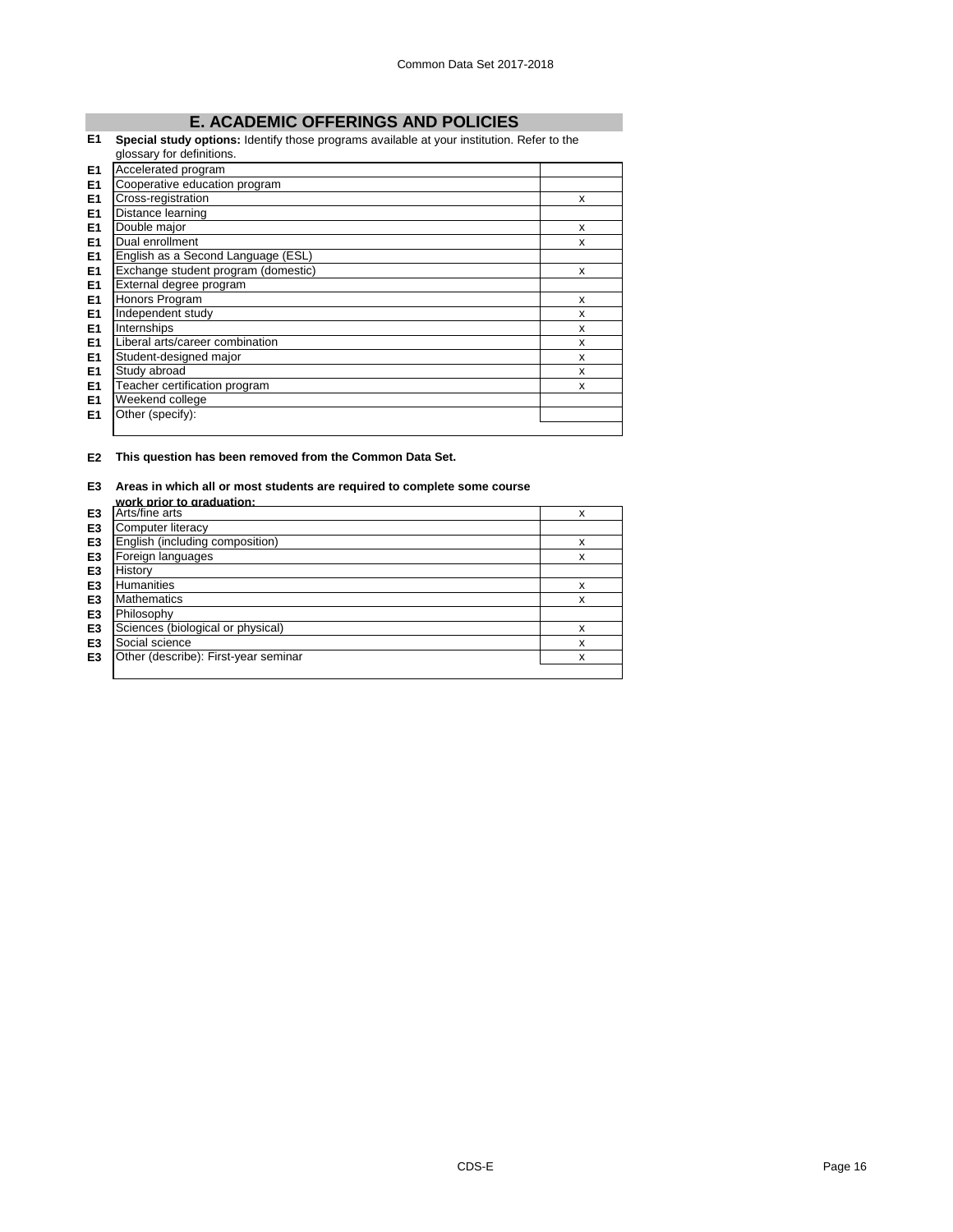# **E. ACADEMIC OFFERINGS AND POLICIES**

### **E1 Special study options:** Identify those programs available at your institution. Refer to the

|                | glossary for definitions.           |   |
|----------------|-------------------------------------|---|
| E <sub>1</sub> | Accelerated program                 |   |
| E <sub>1</sub> | Cooperative education program       |   |
| E <sub>1</sub> | Cross-registration                  | x |
| E <sub>1</sub> | Distance learning                   |   |
| E <sub>1</sub> | Double major                        | X |
| E <sub>1</sub> | Dual enrollment                     | x |
| E <sub>1</sub> | English as a Second Language (ESL)  |   |
| E <sub>1</sub> | Exchange student program (domestic) | X |
| E <sub>1</sub> | External degree program             |   |
| E <sub>1</sub> | Honors Program                      | X |
| E <sub>1</sub> | Independent study                   | X |
| E <sub>1</sub> | Internships                         | X |
| E <sub>1</sub> | Liberal arts/career combination     | X |
| E <sub>1</sub> | Student-designed major              | x |
| E <sub>1</sub> | Study abroad                        | X |
| E <sub>1</sub> | Teacher certification program       | X |
| E <sub>1</sub> | Weekend college                     |   |
| E <sub>1</sub> | Other (specify):                    |   |
|                |                                     |   |

### **E2 This question has been removed from the Common Data Set.**

# **E3 Areas in which all or most students are required to complete some course**

|                | work prior to graduation:            |   |
|----------------|--------------------------------------|---|
| E3             | Arts/fine arts                       | x |
| E <sub>3</sub> | Computer literacy                    |   |
| E <sub>3</sub> | English (including composition)      | x |
| E <sub>3</sub> | Foreign languages                    | x |
| E <sub>3</sub> | History                              |   |
| E3             | <b>Humanities</b>                    | x |
| E <sub>3</sub> | <b>Mathematics</b>                   | x |
| E <sub>3</sub> | Philosophy                           |   |
| E <sub>3</sub> | Sciences (biological or physical)    | X |
| E <sub>3</sub> | Social science                       | x |
| E <sub>3</sub> | Other (describe): First-year seminar | x |
|                |                                      |   |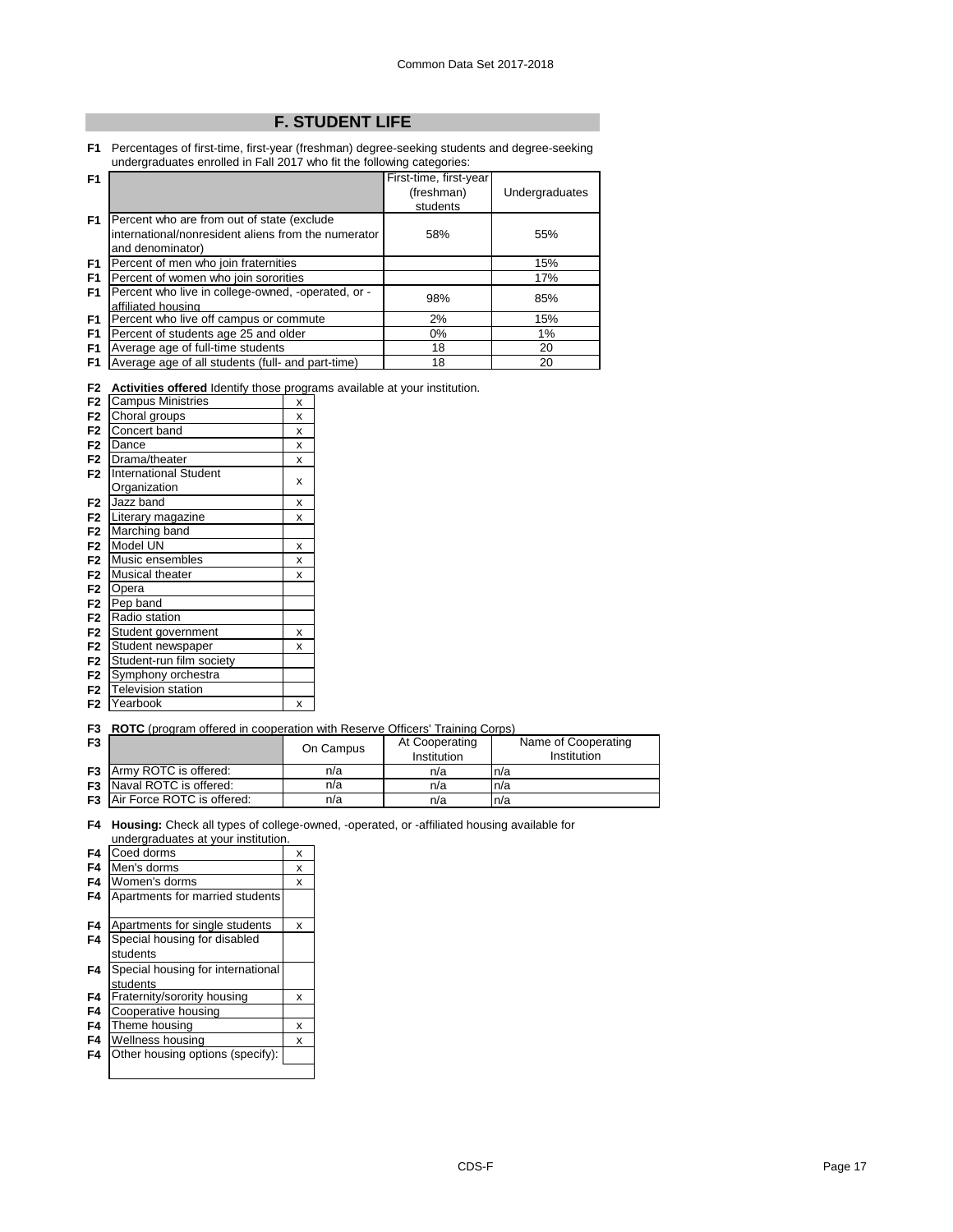# **F. STUDENT LIFE**

**F1** Percentages of first-time, first-year (freshman) degree-seeking students and degree-seeking undergraduates enrolled in Fall 2017 who fit the following categories:

| F <sub>1</sub> |                                                     | First-time, first-year |                |
|----------------|-----------------------------------------------------|------------------------|----------------|
|                |                                                     | (freshman)             | Undergraduates |
|                |                                                     | students               |                |
| F <sub>1</sub> | Percent who are from out of state (exclude          |                        |                |
|                | international/nonresident aliens from the numerator | 58%                    | 55%            |
|                | and denominator)                                    |                        |                |
| F <sub>1</sub> | Percent of men who join fraternities                |                        | 15%            |
| F <sub>1</sub> | Percent of women who join sororities                |                        | 17%            |
| F <sub>1</sub> | Percent who live in college-owned, -operated, or -  | 98%                    | 85%            |
|                | affiliated housing                                  |                        |                |
| F <sub>1</sub> | Percent who live off campus or commute              | 2%                     | 15%            |
| F <sub>1</sub> | Percent of students age 25 and older                | 0%                     | 1%             |
| F <sub>1</sub> | Average age of full-time students                   | 18                     | 20             |
| F <sub>1</sub> | Average age of all students (full- and part-time)   | 18                     | 20             |

**F2 Activities offered** Identify those programs available at your institution.

| F <sub>2</sub> | <b>Campus Ministries</b>     | X |
|----------------|------------------------------|---|
| F <sub>2</sub> | Choral groups                | x |
| F <sub>2</sub> | Concert band                 | X |
| F <sub>2</sub> | Dance                        | x |
| F <sub>2</sub> | Drama/theater                | x |
| F <sub>2</sub> | <b>International Student</b> |   |
|                | Organization                 | X |
| F <sub>2</sub> | Jazz band                    | x |
| F <sub>2</sub> | Literary magazine            | X |
| F <sub>2</sub> | Marching band                |   |
| F <sub>2</sub> | Model UN                     | X |
| F <sub>2</sub> | Music ensembles              | x |
| F <sub>2</sub> | Musical theater              | X |
| F <sub>2</sub> | Opera                        |   |
| F <sub>2</sub> | Pep band                     |   |
| F <sub>2</sub> | Radio station                |   |
| F <sub>2</sub> | Student government           | x |
| F <sub>2</sub> | Student newspaper            | x |
| F <sub>2</sub> | Student-run film society     |   |
| F <sub>2</sub> | Symphony orchestra           |   |
| F <sub>2</sub> | <b>Television station</b>    |   |
| F <sub>2</sub> | Yearbook                     | x |

**F3 ROTC** (program offered in cooperation with Reserve Officers' Training Corps)

| F <sub>3</sub> |                                      | On Campus | At Cooperating<br>Institution | Name of Cooperating<br><b>Institution</b> |
|----------------|--------------------------------------|-----------|-------------------------------|-------------------------------------------|
|                | <b>F3</b> Army ROTC is offered:      | n/a       | n/a                           | ln/a                                      |
|                | <b>F3</b> Naval ROTC is offered:     | n/a       | n/a                           | ln/a                                      |
|                | <b>F3</b> Air Force ROTC is offered: | n/a       | n/a                           | n/a                                       |

**F4 Housing:** Check all types of college-owned, -operated, or -affiliated housing available for undergraduates at your institution.

| F4             | Coed dorms                        | x |
|----------------|-----------------------------------|---|
| F4             | Men's dorms                       | x |
| F <sub>4</sub> | Women's dorms                     | x |
| F4             | Apartments for married students   |   |
| F4             | Apartments for single students    | x |
| F4             | Special housing for disabled      |   |
|                | students                          |   |
| F4             | Special housing for international |   |
|                | students                          |   |
| F4             | Fraternity/sorority housing       | x |
| F4             | Cooperative housing               |   |
| F4             | Theme housing                     | x |
| F4             | Wellness housing                  | x |
| F4             | Other housing options (specify):  |   |
|                |                                   |   |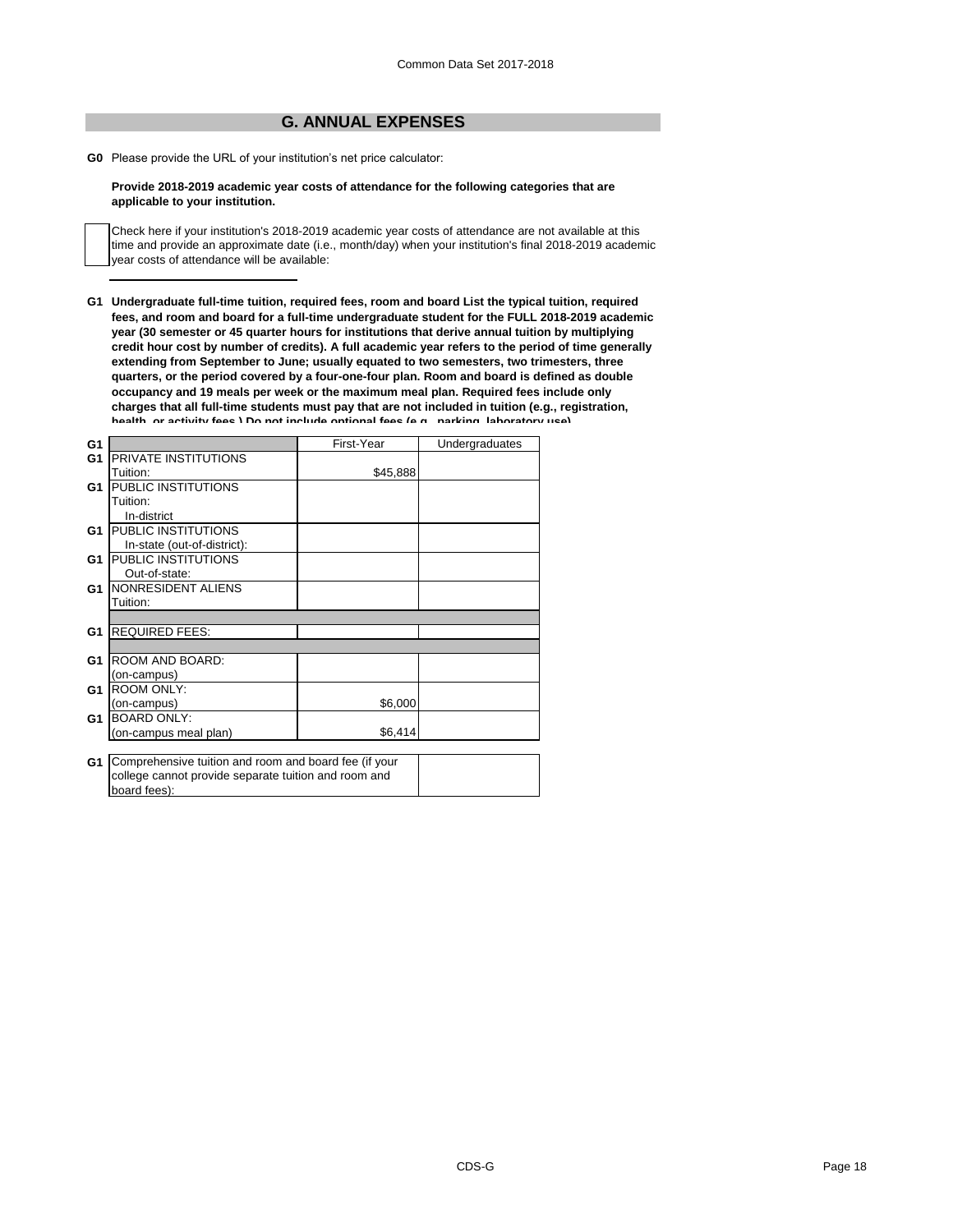# **G. ANNUAL EXPENSES**

**G0** Please provide the URL of your institution's net price calculator:

### **Provide 2018-2019 academic year costs of attendance for the following categories that are applicable to your institution.**

Check here if your institution's 2018-2019 academic year costs of attendance are not available at this time and provide an approximate date (i.e., month/day) when your institution's final 2018-2019 academic year costs of attendance will be available:

**G1 Undergraduate full-time tuition, required fees, room and board List the typical tuition, required fees, and room and board for a full-time undergraduate student for the FULL 2018-2019 academic year (30 semester or 45 quarter hours for institutions that derive annual tuition by multiplying credit hour cost by number of credits). A full academic year refers to the period of time generally extending from September to June; usually equated to two semesters, two trimesters, three quarters, or the period covered by a four-one-four plan. Room and board is defined as double occupancy and 19 meals per week or the maximum meal plan. Required fees include only charges that all full-time students must pay that are not included in tuition (e.g., registration, health, or activity fees.) Do not include optional fees (e.g., parking, laboratory use).**

| G1             |                                                       | First-Year | Undergraduates |
|----------------|-------------------------------------------------------|------------|----------------|
| G <sub>1</sub> | PRIVATE INSTITUTIONS                                  |            |                |
|                | Tuition:                                              | \$45,888   |                |
| G1             | PUBLIC INSTITUTIONS                                   |            |                |
|                | Tuition:                                              |            |                |
|                | In-district                                           |            |                |
| G1             | PUBLIC INSTITUTIONS                                   |            |                |
|                | In-state (out-of-district):                           |            |                |
| G1             | PUBLIC INSTITUTIONS                                   |            |                |
|                | Out-of-state:                                         |            |                |
| G <sub>1</sub> | NONRESIDENT ALIENS                                    |            |                |
|                | Tuition:                                              |            |                |
|                |                                                       |            |                |
| G1             | <b>REQUIRED FEES:</b>                                 |            |                |
|                |                                                       |            |                |
| G1             | ROOM AND BOARD:                                       |            |                |
|                | (on-campus)                                           |            |                |
| G <sub>1</sub> | <b>ROOM ONLY:</b>                                     |            |                |
|                | (on-campus)                                           | \$6,000    |                |
| G1             | <b>BOARD ONLY:</b>                                    |            |                |
|                | (on-campus meal plan)                                 | \$6,414    |                |
|                |                                                       |            |                |
| G1             | Comprehensive tuition and room and board fee (if your |            |                |
|                | college cannot provide separate tuition and room and  |            |                |

board fees):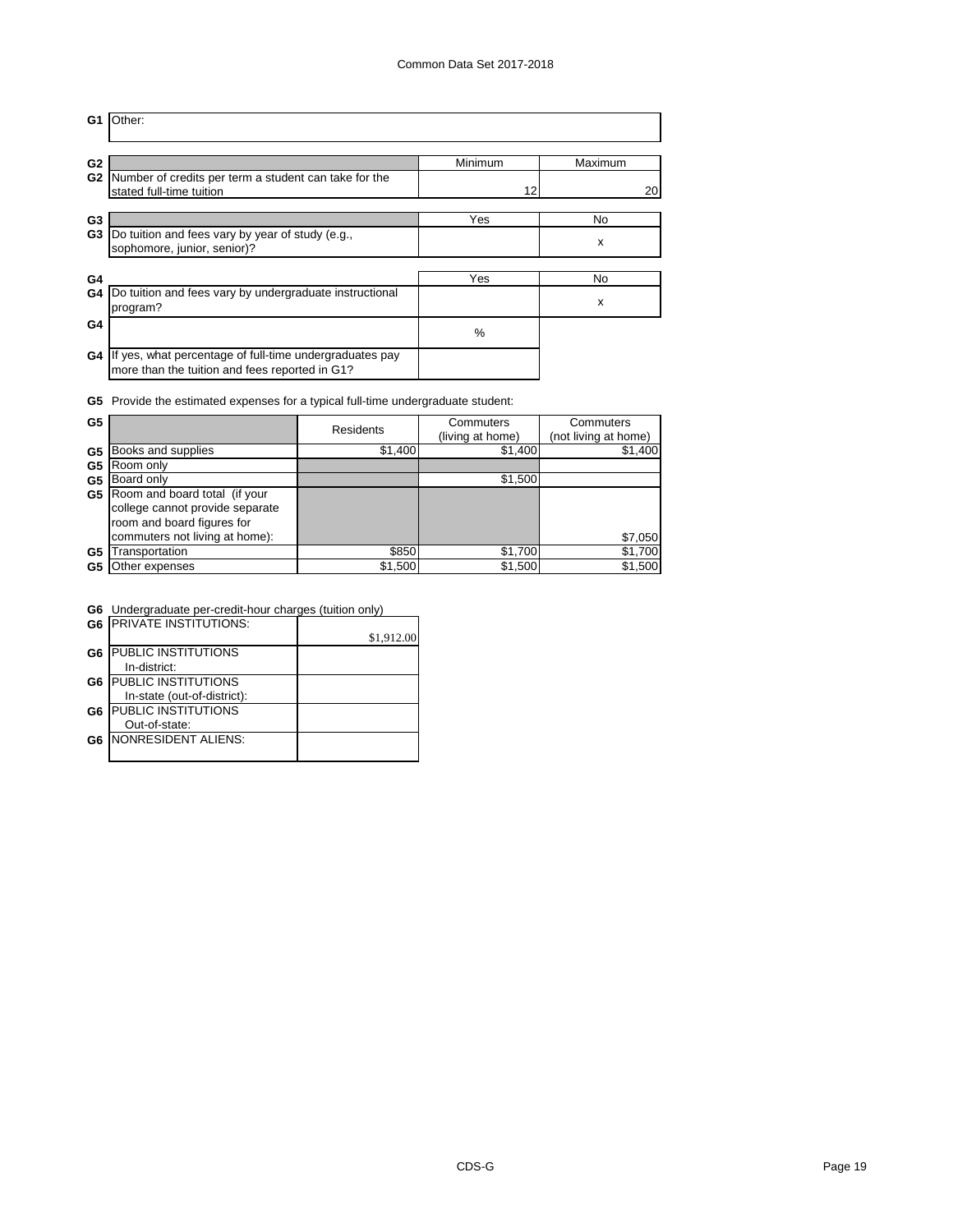| G1             | Other:                                                  |         |         |
|----------------|---------------------------------------------------------|---------|---------|
| G <sub>2</sub> | Number of credits per term a student can take for the   | Minimum | Maximum |
| G <sub>2</sub> | stated full-time tuition                                | 12      | 20      |
| G3             | Do tuition and fees vary by year of study (e.g.,        | Yes     | No      |
| G <sub>3</sub> | sophomore, junior, senior)?                             |         | x       |
| G4             | Do tuition and fees vary by undergraduate instructional | Yes     | No      |
| G4             | program?                                                |         | X       |
| G4<br>G4       | If yes, what percentage of full-time undergraduates pay | $\%$    |         |
|                | more than the tuition and fees reported in G1?          |         |         |

**G5** Provide the estimated expenses for a typical full-time undergraduate student:

| G5 |                                 | <b>Residents</b> | Commuters        | Commuters            |
|----|---------------------------------|------------------|------------------|----------------------|
|    |                                 |                  | (living at home) | (not living at home) |
| G5 | Books and supplies              | \$1,400          | \$1,400          | \$1,400              |
| G5 | Room only                       |                  |                  |                      |
| G5 | Board only                      |                  | \$1,500          |                      |
| G5 | Room and board total (if your   |                  |                  |                      |
|    | college cannot provide separate |                  |                  |                      |
|    | room and board figures for      |                  |                  |                      |
|    | commuters not living at home):  |                  |                  | \$7,050              |
| G5 | ransportation                   | \$850            | \$1,700          | \$1,700              |
| G5 | Other expenses                  | \$1,500          | \$1,500          | \$1,500              |

**G6** Undergraduate per-credit-hour charges (tuition only)

|                | <b>G6 PRIVATE INSTITUTIONS:</b> |            |
|----------------|---------------------------------|------------|
|                |                                 | \$1,912.00 |
| G <sub>6</sub> | <b>PUBLIC INSTITUTIONS</b>      |            |
|                | In-district:                    |            |
| G <sub>6</sub> | <b>PUBLIC INSTITUTIONS</b>      |            |
|                | In-state (out-of-district):     |            |
| G <sub>6</sub> | <b>PUBLIC INSTITUTIONS</b>      |            |
|                | Out-of-state:                   |            |
| G6.            | NONRESIDENT ALIENS:             |            |
|                |                                 |            |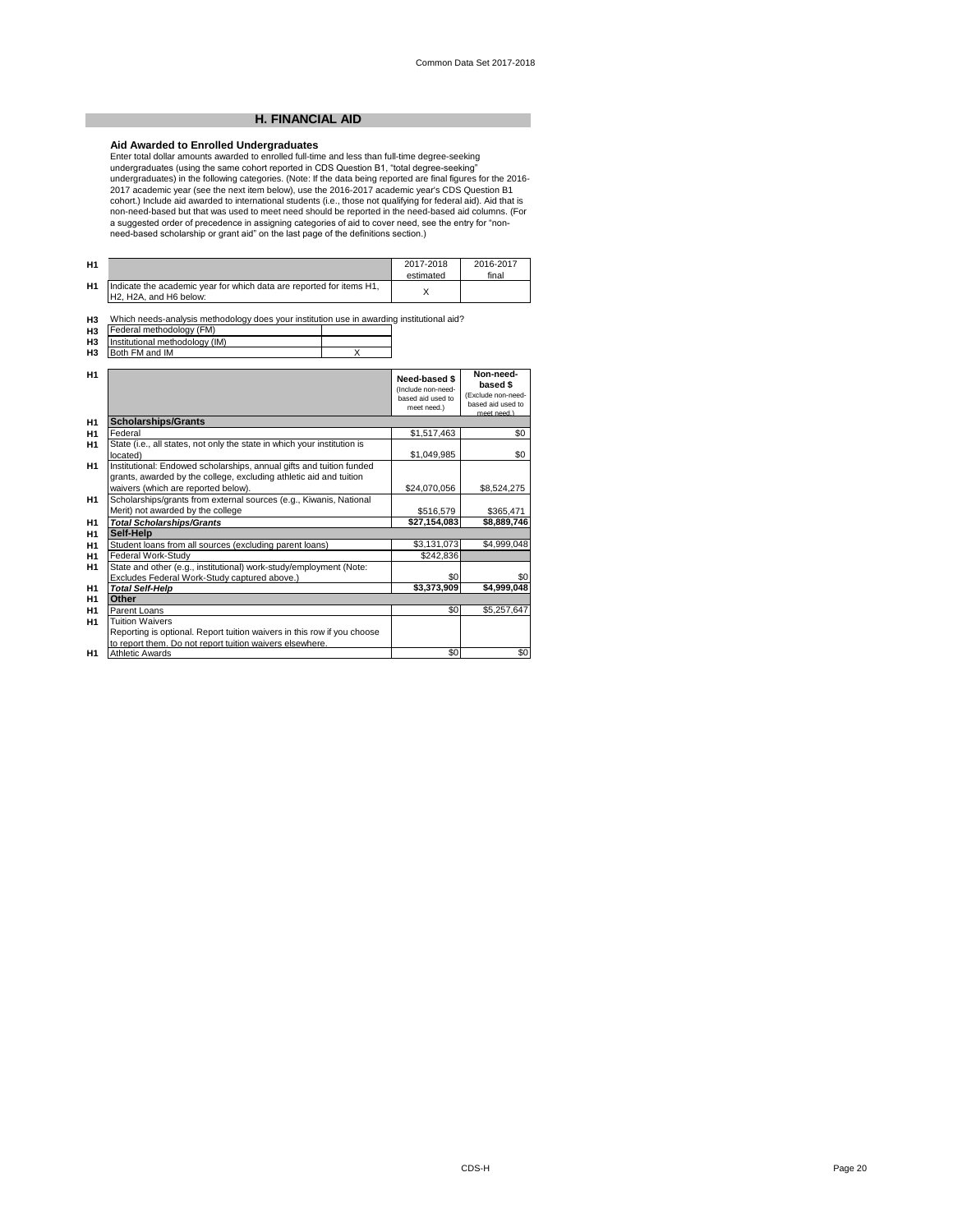## **H. FINANCIAL AID**

Aid Awarded to Enrolled Undergraduates<br>Enter total dollar amounts awarded to enrolled full-time and less than full-time degree-seeking<br>undergraduates (using the same cohort reported in CDS Question B1, "total degree-seekin cohort.) Include aid awarded to international students (i.e., those not qualifying for federal aid). Aid that is non-need-based but that was used to meet need should be reported in the need-based aid columns. (For<br>a suggested order of precedence in assigning categories of aid to cover need, see the entry for "non-<br>need-based scholars

| H <sub>1</sub> |                                                                                                | 2017-2018<br>estimated | 2016-2017<br>final |
|----------------|------------------------------------------------------------------------------------------------|------------------------|--------------------|
| H <sub>1</sub> | Indicate the academic year for which data are reported for items H1,<br>H2. H2A, and H6 below: |                        |                    |

**H3** Which needs-analysis methodology does your institution use in awarding institutional aid?<br>Federal methodology (FM)<br>Institutional methodology (IM)

**H3 H3**

**H3** Both FM and IM X

| H1             |                                                                                                                                                                                   | Need-based \$<br>(Include non-need-<br>hased aid used to<br>meet need.) | Non-need-<br>based \$<br>(Exclude non-need-<br>based aid used to<br>meet need.) |
|----------------|-----------------------------------------------------------------------------------------------------------------------------------------------------------------------------------|-------------------------------------------------------------------------|---------------------------------------------------------------------------------|
| H1             | <b>Scholarships/Grants</b>                                                                                                                                                        |                                                                         |                                                                                 |
| H <sub>1</sub> | Federal                                                                                                                                                                           | \$1,517,463                                                             | \$0                                                                             |
| H <sub>1</sub> | State (i.e., all states, not only the state in which your institution is<br>located)                                                                                              | \$1,049,985                                                             | \$0                                                                             |
| H <sub>1</sub> | Institutional: Endowed scholarships, annual gifts and tuition funded<br>grants, awarded by the college, excluding athletic aid and tuition<br>waivers (which are reported below). | \$24,070,056                                                            | \$8,524,275                                                                     |
| H1             | Scholarships/grants from external sources (e.g., Kiwanis, National<br>Merit) not awarded by the college                                                                           | \$516,579                                                               | \$365,471                                                                       |
| H <sub>1</sub> | <b>Total Scholarships/Grants</b>                                                                                                                                                  | \$27,154,083                                                            | \$8,889,746                                                                     |
| H <sub>1</sub> | Self-Help                                                                                                                                                                         |                                                                         |                                                                                 |
| H <sub>1</sub> | Student loans from all sources (excluding parent loans)                                                                                                                           | \$3,131,073                                                             | \$4,999,048                                                                     |
| H <sub>1</sub> | Federal Work-Study                                                                                                                                                                | \$242,836                                                               |                                                                                 |
| H <sub>1</sub> | State and other (e.g., institutional) work-study/employment (Note:<br>Excludes Federal Work-Study captured above.)                                                                | \$0                                                                     | \$0                                                                             |
| H <sub>1</sub> | <b>Total Self-Help</b>                                                                                                                                                            | \$3,373,909                                                             | \$4,999,048                                                                     |
| H <sub>1</sub> | Other                                                                                                                                                                             |                                                                         |                                                                                 |
| H <sub>1</sub> | Parent Loans                                                                                                                                                                      | \$0                                                                     | \$5,257,647                                                                     |
| H <sub>1</sub> | <b>Tuition Waivers</b><br>Reporting is optional. Report tuition waivers in this row if you choose<br>to report them. Do not report tuition waivers elsewhere.                     |                                                                         |                                                                                 |
| H1             | <b>Athletic Awards</b>                                                                                                                                                            | \$0                                                                     | \$0                                                                             |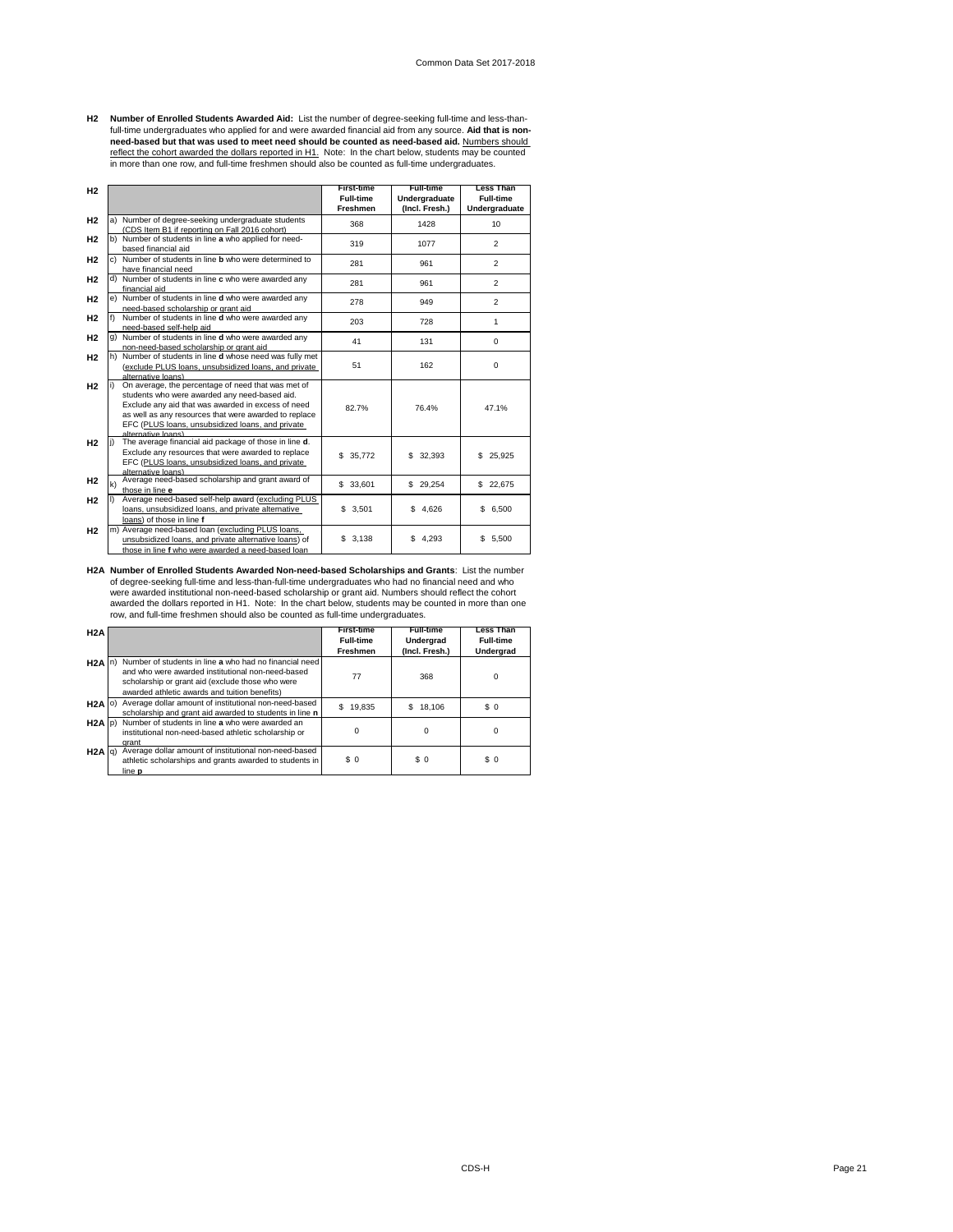H2 Number of Enrolled Students Awarded Aid: List the number of degree-seeking full-time and less-than-<br>full-time undergraduates who applied for and were awarded financial aid from any source. Aid that is non-<br>need-based bu reflect the cohort awarded the dollars reported in H1. Note: In the chart below, students may be counted<br>in more than one row, and full-time freshmen should also be counted as full-time undergraduates.

| H2             |              |                                                                                                                                                                                                                                                                                              | <b>First-time</b><br><b>Full-time</b><br>Freshmen | <b>Full-time</b><br>Undergraduate<br>(Incl. Fresh.) | <b>Less Than</b><br><b>Full-time</b><br>Undergraduate |
|----------------|--------------|----------------------------------------------------------------------------------------------------------------------------------------------------------------------------------------------------------------------------------------------------------------------------------------------|---------------------------------------------------|-----------------------------------------------------|-------------------------------------------------------|
| H <sub>2</sub> |              | a) Number of degree-seeking undergraduate students<br>(CDS Item B1 if reporting on Fall 2016 cohort)                                                                                                                                                                                         | 368                                               | 1428                                                | 10                                                    |
| H <sub>2</sub> |              | b) Number of students in line a who applied for need-<br>based financial aid                                                                                                                                                                                                                 | 319                                               | 1077                                                | $\overline{2}$                                        |
| H <sub>2</sub> |              | c) Number of students in line <b>b</b> who were determined to<br>have financial need                                                                                                                                                                                                         | 281                                               | 961                                                 | $\overline{2}$                                        |
| H2             |              | d) Number of students in line c who were awarded any<br>financial aid                                                                                                                                                                                                                        | 281                                               | 961                                                 | $\overline{2}$                                        |
| H <sub>2</sub> |              | e) Number of students in line d who were awarded any<br>need-based scholarship or grant aid                                                                                                                                                                                                  | 278                                               | 949                                                 | $\overline{2}$                                        |
| H2             |              | Number of students in line d who were awarded any<br>need-based self-help aid                                                                                                                                                                                                                | 203                                               | 728                                                 | 1                                                     |
| H <sub>2</sub> |              | g) Number of students in line d who were awarded any<br>non-need-based scholarship or grant aid                                                                                                                                                                                              | 41                                                | 131                                                 | 0                                                     |
| H <sub>2</sub> |              | h) Number of students in line d whose need was fully met<br>(exclude PLUS loans, unsubsidized loans, and private<br>alternative loans)                                                                                                                                                       | 51                                                | 162                                                 | 0                                                     |
| H <sub>2</sub> | i)           | On average, the percentage of need that was met of<br>students who were awarded any need-based aid.<br>Exclude any aid that was awarded in excess of need<br>as well as any resources that were awarded to replace<br>EFC (PLUS loans, unsubsidized loans, and private<br>alternative loans) | 82.7%                                             | 76.4%                                               | 47.1%                                                 |
| H <sub>2</sub> | l i)         | The average financial aid package of those in line d.<br>Exclude any resources that were awarded to replace<br>EFC (PLUS loans, unsubsidized loans, and private<br>alternative loans)                                                                                                        | \$35,772                                          | \$ 32,393                                           | 25,925<br>\$.                                         |
| H <sub>2</sub> | $\mathsf{k}$ | Average need-based scholarship and grant award of<br>those in line e                                                                                                                                                                                                                         | \$33,601                                          | \$ 29,254                                           | \$22,675                                              |
| H <sub>2</sub> | $\vert$      | Average need-based self-help award (excluding PLUS<br>loans, unsubsidized loans, and private alternative<br>loans) of those in line f                                                                                                                                                        | \$3,501                                           | \$4.626                                             | \$6,500                                               |
| H <sub>2</sub> |              | m) Average need-based loan (excluding PLUS loans,<br>unsubsidized loans, and private alternative loans) of<br>those in line f who were awarded a need-based loan                                                                                                                             | 3,138<br>\$                                       | 4,293<br>s.                                         | \$<br>5,500                                           |

**H2A Number of Enrolled Students Awarded Non-need-based Scholarships and Grants**: List the number of degree-seeking full-time and less-than-full-time undergraduates who had no financial need and who<br>were awarded institutional non-need-based scholarship or grant aid. Numbers should reflect the cohort<br>awarded the dollars row, and full-time freshmen should also be counted as full-time undergraduates.

| H <sub>2</sub> A  |                                                                                                                                                                                                                  | <b>First-time</b><br><b>Full-time</b><br>Freshmen | <b>Full-time</b><br>Undergrad<br>(Incl. Fresh.) | <b>Less Than</b><br><b>Full-time</b><br>Undergrad |
|-------------------|------------------------------------------------------------------------------------------------------------------------------------------------------------------------------------------------------------------|---------------------------------------------------|-------------------------------------------------|---------------------------------------------------|
| H2A               | Number of students in line a who had no financial need<br>and who were awarded institutional non-need-based<br>scholarship or grant aid (exclude those who were<br>awarded athletic awards and tuition benefits) | 77                                                | 368                                             | 0                                                 |
| $H2A$ (0)         | Average dollar amount of institutional non-need-based<br>scholarship and grant aid awarded to students in line n                                                                                                 | \$<br>19.835                                      | 18.106<br>S.                                    | \$0                                               |
| $H2A$ $ p\rangle$ | Number of students in line a who were awarded an<br>institutional non-need-based athletic scholarship or<br>grant                                                                                                | $\Omega$                                          | $\Omega$                                        | ŋ                                                 |
| H <sub>2</sub> A  | Average dollar amount of institutional non-need-based<br>athletic scholarships and grants awarded to students in<br>line <b>p</b>                                                                                | \$0                                               | \$0                                             | \$0                                               |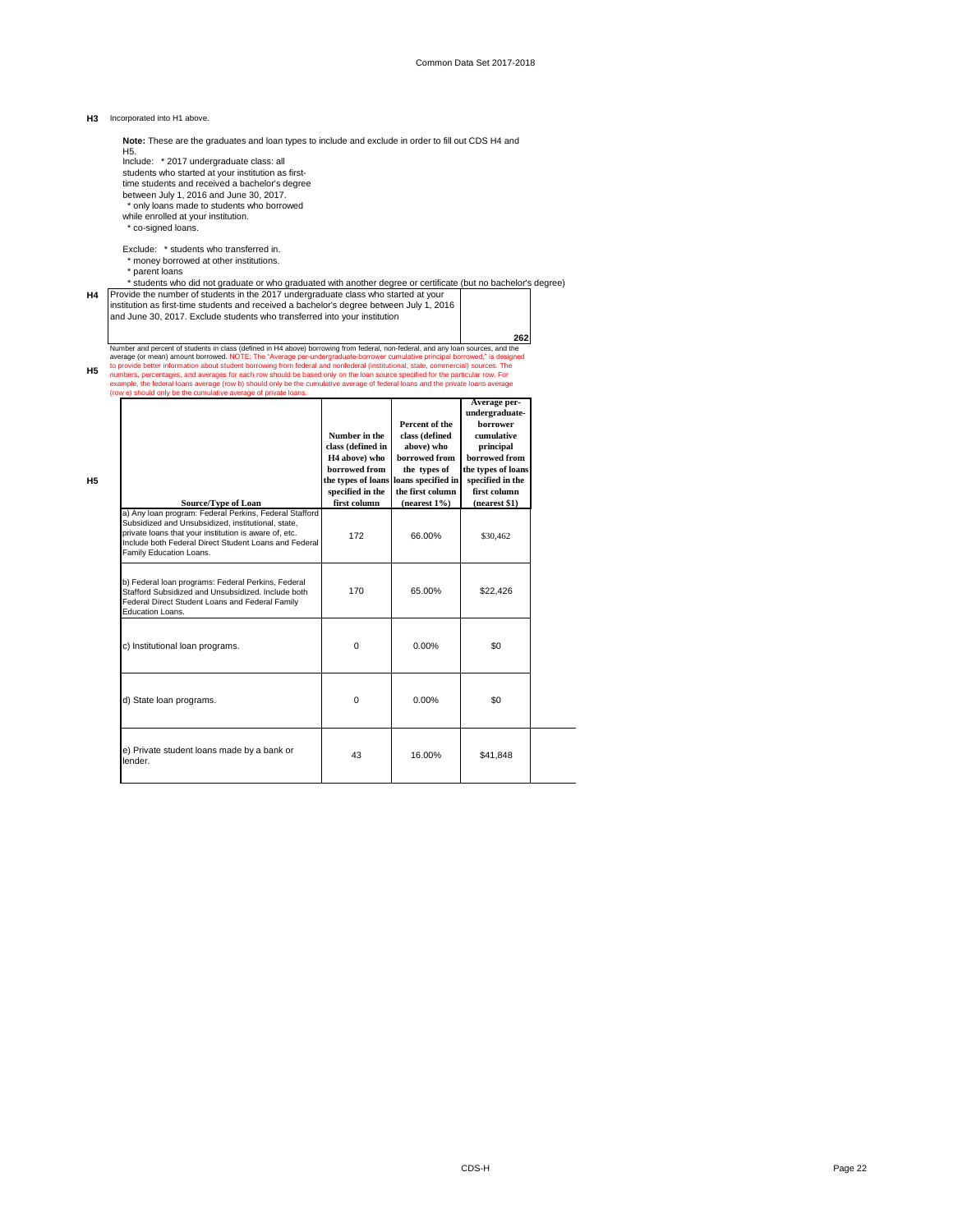### **H3** Incorporated into H1 above.

**Note:** These are the graduates and loan types to include and exclude in order to fill out CDS H4 and

H5.<br>Include: \* 2017 undergraduate class: all

students who started at your institution as firsttime students and received a bachelor's degree

between July 1, 2016 and June 30, 2017. \* only loans made to students who borrowed

while enrolled at your institution. \* co-signed loans.

Exclude: \* students who transferred in. \* money borrowed at other institutions.

\* parent loans

\* students who did not graduate or who graduated with another degree or certificate (but no bachelor's degree)

# H4 Provide the number of students in the 2017 undergraduate class who started at your<br>institution as first-time students and received a bachelor's degree between July 1, 2016<br>and June 30, 2017. Exclude students who transfe

**262 H5** Number and percent of students in class (defined in H4 above) borrowing from federal, non-federal, and any loan sources, and the<br>average (or mean) amount borrowed. NOTE: The "Average per-undergraduate-borrower cumulative p

| <b>H5</b><br>Source/Type of Loan                                                                                                                                                                                                                          | Number in the<br>class (defined in<br>H <sub>4</sub> above) who<br>borrowed from<br>specified in the<br>first column | Percent of the<br>class (defined<br>above) who<br>borrowed from<br>the types of<br>the types of loans loans specified in<br>the first column<br>(nearest $1\%$ ) | Average per-<br>undergraduate-<br>borrower<br>cumulative<br>principal<br>borrowed from<br>the types of loans<br>specified in the<br>first column<br>(nearest \$1) |
|-----------------------------------------------------------------------------------------------------------------------------------------------------------------------------------------------------------------------------------------------------------|----------------------------------------------------------------------------------------------------------------------|------------------------------------------------------------------------------------------------------------------------------------------------------------------|-------------------------------------------------------------------------------------------------------------------------------------------------------------------|
| a) Any Ioan program: Federal Perkins, Federal Stafford<br>Subsidized and Unsubsidized, institutional, state,<br>private loans that your institution is aware of, etc.<br>Include both Federal Direct Student Loans and Federal<br>Family Education Loans. | 172                                                                                                                  | 66.00%                                                                                                                                                           | \$30,462                                                                                                                                                          |
| b) Federal loan programs: Federal Perkins, Federal<br>Stafford Subsidized and Unsubsidized, Include both<br>Federal Direct Student Loans and Federal Family<br>Education Loans.                                                                           | 170                                                                                                                  | 65.00%                                                                                                                                                           | \$22,426                                                                                                                                                          |
| c) Institutional loan programs.                                                                                                                                                                                                                           | $\mathbf 0$                                                                                                          | 0.00%                                                                                                                                                            | \$0                                                                                                                                                               |
| d) State loan programs.                                                                                                                                                                                                                                   | $\mathbf 0$                                                                                                          | $0.00\%$                                                                                                                                                         | \$0                                                                                                                                                               |
| e) Private student loans made by a bank or<br>lender.                                                                                                                                                                                                     | 43                                                                                                                   | 16.00%                                                                                                                                                           | \$41.848                                                                                                                                                          |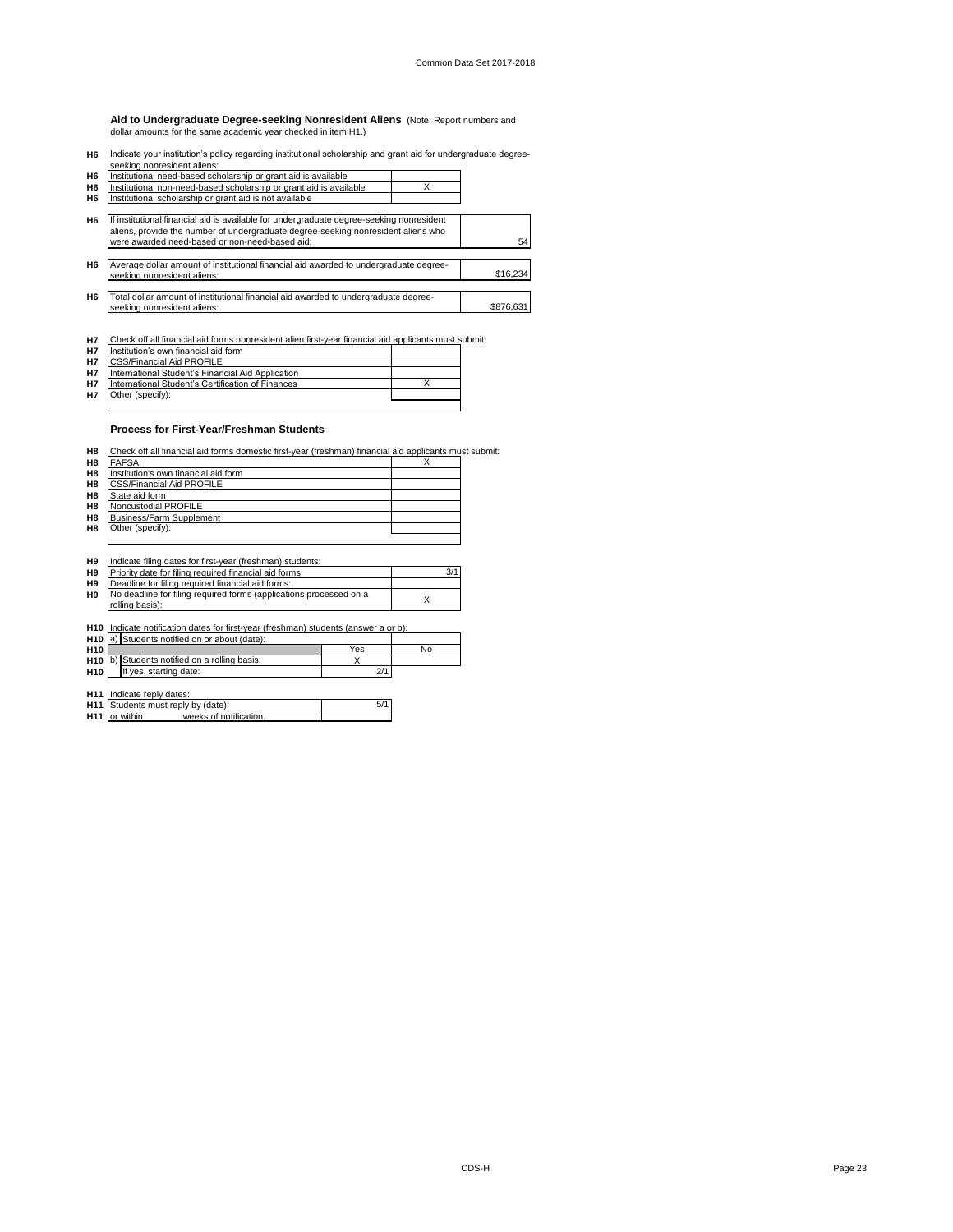**Aid to Undergraduate Degree-seeking Nonresident Aliens** (Note: Report numbers and dollar amounts for the same academic year checked in item H1.)

**H6** Indicate your institution's policy regarding institutional scholarship and grant aid for undergraduate degree-

|                | seeking nonresident aliens:                                                              |           |
|----------------|------------------------------------------------------------------------------------------|-----------|
| H <sub>6</sub> | Institutional need-based scholarship or grant aid is available                           |           |
| H <sub>6</sub> | Institutional non-need-based scholarship or grant aid is available                       |           |
| H <sub>6</sub> | Institutional scholarship or grant aid is not available                                  |           |
|                |                                                                                          |           |
| H <sub>6</sub> | If institutional financial aid is available for undergraduate degree-seeking nonresident |           |
|                | aliens, provide the number of undergraduate degree-seeking nonresident aliens who        |           |
|                | were awarded need-based or non-need-based aid:                                           | 54        |
|                |                                                                                          |           |
| H <sub>6</sub> | Average dollar amount of institutional financial aid awarded to undergraduate degree-    |           |
|                | seeking nonresident aliens:                                                              | \$16,234  |
|                |                                                                                          |           |
| H <sub>6</sub> | Total dollar amount of institutional financial aid awarded to undergraduate degree-      |           |
|                | seeking nonresident aliens:                                                              | \$876.631 |
|                |                                                                                          |           |

**H7** Check off all financial aid forms nonresident alien first-year financial aid applicants must submit:

| <b>H7</b> | Institution's own financial aid form              |  |
|-----------|---------------------------------------------------|--|
| <b>H7</b> | <b>CSS/Financial Aid PROFILE</b>                  |  |
| <b>H7</b> | International Student's Financial Aid Application |  |
| <b>H7</b> | International Student's Certification of Finances |  |
| H7        | Other (specify):                                  |  |
|           |                                                   |  |

### **Process for First-Year/Freshman Students**

H8 Check off all financial aid forms domestic first-year (freshman) financial aid applicants must submit:

| H8              | <b>FAFSA</b>                                                                    |     | x   |
|-----------------|---------------------------------------------------------------------------------|-----|-----|
| H <sub>8</sub>  | Institution's own financial aid form                                            |     |     |
| H8              | <b>CSS/Financial Aid PROFILE</b>                                                |     |     |
| H8              | State aid form                                                                  |     |     |
| H8              | Noncustodial PROFILE                                                            |     |     |
| H8              | <b>Business/Farm Supplement</b>                                                 |     |     |
| H8              | Other (specify):                                                                |     |     |
|                 |                                                                                 |     |     |
| H <sub>9</sub>  | Indicate filing dates for first-year (freshman) students:                       |     |     |
| H <sub>9</sub>  | Priority date for filing required financial aid forms:                          |     | 3/1 |
| H <sub>9</sub>  | Deadline for filing required financial aid forms:                               |     |     |
| H <sub>9</sub>  | No deadline for filing required forms (applications processed on a              |     |     |
|                 | rolling basis):                                                                 |     | X   |
|                 |                                                                                 |     |     |
| H <sub>10</sub> | Indicate notification dates for first-year (freshman) students (answer a or b): |     |     |
| H <sub>10</sub> | a) Students notified on or about (date):                                        |     |     |
| H <sub>10</sub> |                                                                                 | Yes | No  |
| H <sub>10</sub> | Students notified on a rolling basis:<br>b)                                     | X   |     |
| H10             | If yes, starting date:                                                          | 2/1 |     |

**H11** Indicate reply dates:<br>**H11** Students must reply by (date):  $\frac{1}{2}$  5/1<br>**H11** or within \_\_\_\_\_\_weeks of notification. Indicate reply dates: Students must reply by (date): or within \_\_\_\_\_\_\_ weeks of notification.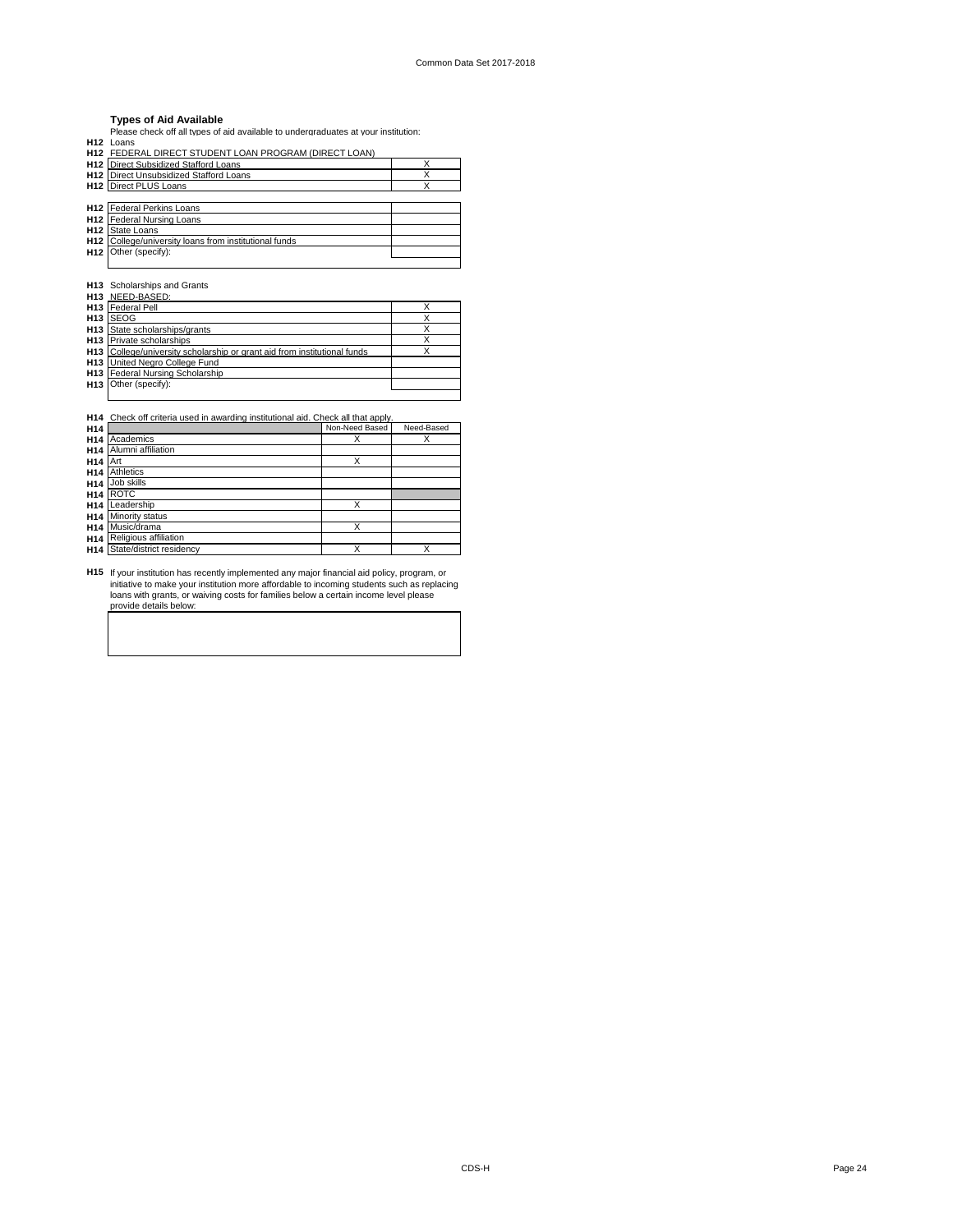### **Types of Aid Available**

Please check off all types of aid available to undergraduates at your institution:

| H <sub>12</sub> Loans                                 |   |
|-------------------------------------------------------|---|
| H12 FEDERAL DIRECT STUDENT LOAN PROGRAM (DIRECT LOAN) |   |
| <b>H12</b> Direct Subsidized Stafford Loans           | χ |
| <b>H12</b> Direct Unsubsidized Stafford Loans         | x |
| <b>H12</b> Direct PLUS Loans                          | x |
|                                                       |   |
| <b>H12</b> Federal Perkins Loans                      |   |
| <b>H12</b> Federal Nursing Loans                      |   |
| <b>H12</b> State Loans                                |   |
| H12 College/university loans from institutional funds |   |
| H12 Other (specify):                                  |   |
|                                                       |   |

**H13** Scholarships and Grants

| H <sub>13</sub> NEED-BASED:                                              |  |
|--------------------------------------------------------------------------|--|
| H <sub>13</sub>   Federal Pell                                           |  |
| H <sub>13</sub> SEOG                                                     |  |
| H <sub>13</sub> State scholarships/grants                                |  |
| H13 Private scholarships                                                 |  |
| H13 College/university scholarship or grant aid from institutional funds |  |
| <b>H13</b> United Nearo College Fund                                     |  |
| <b>H13</b> Federal Nursing Scholarship                                   |  |
| H13 Other (specify):                                                     |  |
|                                                                          |  |

H14 Check off criteria used in awarding institutional aid. Check all that apply.<br>**H14** Non-Need Based Need-Based **H14** X X **H14** Academics Alumni affiliation **H14** X **H14** Athletics Art **H14 H14** Job skills ROTC **H14** X Leadership Minority status **H14 H14** X Music/drama **H14 H14** X X State/district residency Religious affiliation

**H15** If your institution has recently implemented any major financial aid policy, program, or initiative to make your institution more affordable to incoming students such as replacing loans with grants, or waiving costs for families below a certain income level please provide details below: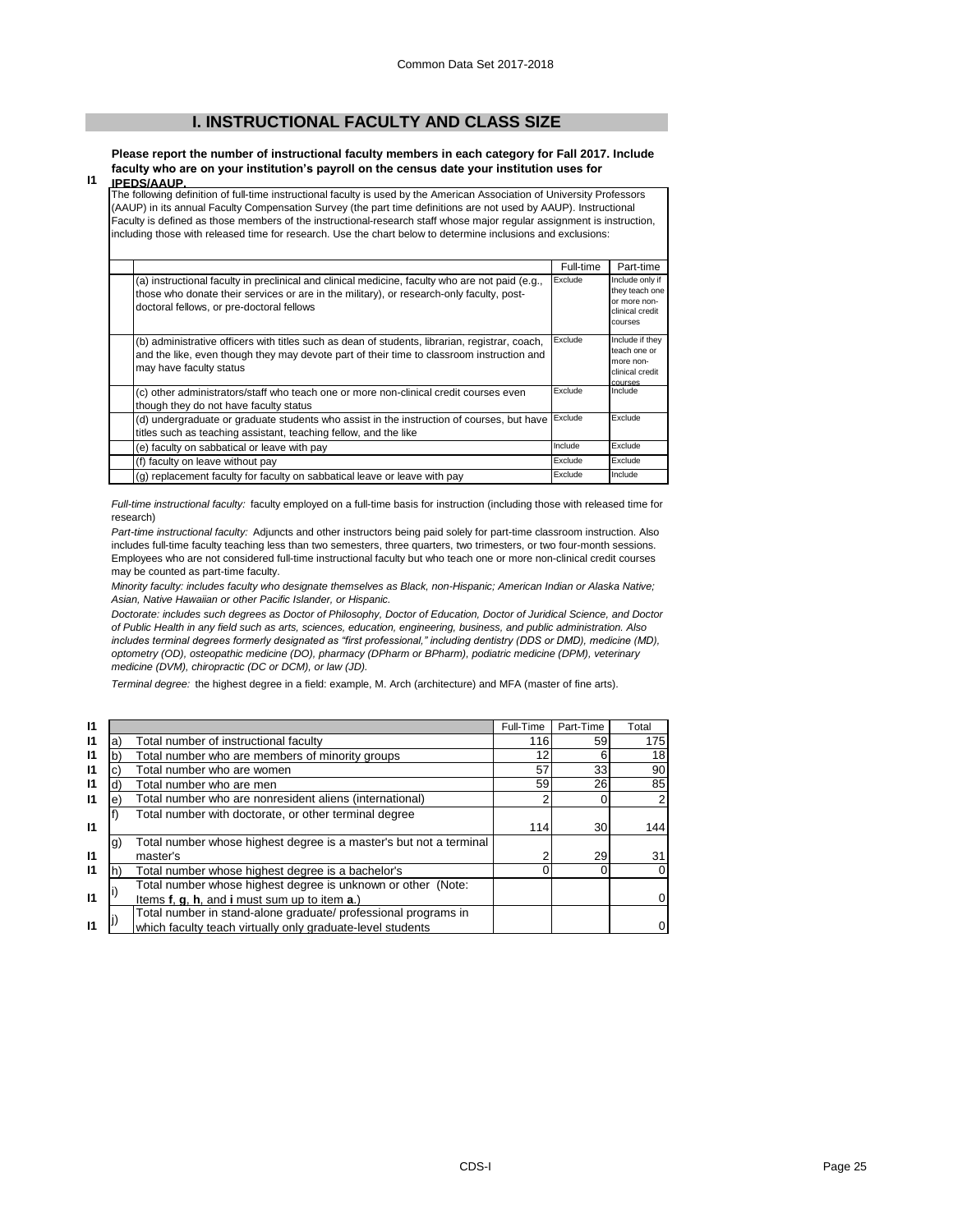# **I. INSTRUCTIONAL FACULTY AND CLASS SIZE**

**Please report the number of instructional faculty members in each category for Fall 2017. Include faculty who are on your institution's payroll on the census date your institution uses for IPEDS/AAUP.**

### **I1**

The following definition of full-time instructional faculty is used by the American Association of University Professors (AAUP) in its annual Faculty Compensation Survey (the part time definitions are not used by AAUP). Instructional Faculty is defined as those members of the instructional-research staff whose major regular assignment is instruction, including those with released time for research. Use the chart below to determine inclusions and exclusions:

|                                                                                                                                                                                                                                          | Full-time | Part-time                                                                       |
|------------------------------------------------------------------------------------------------------------------------------------------------------------------------------------------------------------------------------------------|-----------|---------------------------------------------------------------------------------|
| (a) instructional faculty in preclinical and clinical medicine, faculty who are not paid (e.g.,<br>those who donate their services or are in the military), or research-only faculty, post-<br>doctoral fellows, or pre-doctoral fellows | Exclude   | Include only if<br>they teach one<br>or more non-<br>clinical credit<br>courses |
| (b) administrative officers with titles such as dean of students, librarian, registrar, coach,<br>and the like, even though they may devote part of their time to classroom instruction and<br>may have faculty status                   | Exclude   | Include if they<br>teach one or<br>more non-<br>clinical credit<br>courses      |
| (c) other administrators/staff who teach one or more non-clinical credit courses even<br>though they do not have faculty status                                                                                                          | Exclude   | Include                                                                         |
| (d) undergraduate or graduate students who assist in the instruction of courses, but have<br>titles such as teaching assistant, teaching fellow, and the like                                                                            | Exclude   | Exclude                                                                         |
| (e) faculty on sabbatical or leave with pay                                                                                                                                                                                              | Include   | Exclude                                                                         |
| (f) faculty on leave without pay                                                                                                                                                                                                         | Exclude   | Exclude                                                                         |
| (q) replacement faculty for faculty on sabbatical leave or leave with pay                                                                                                                                                                | Exclude   | Include                                                                         |

*Full-time instructional faculty:* faculty employed on a full-time basis for instruction (including those with released time for research)

*Part-time instructional faculty:* Adjuncts and other instructors being paid solely for part-time classroom instruction. Also includes full-time faculty teaching less than two semesters, three quarters, two trimesters, or two four-month sessions. Employees who are not considered full-time instructional faculty but who teach one or more non-clinical credit courses may be counted as part-time faculty.

*Minority faculty: includes faculty who designate themselves as Black, non-Hispanic; American Indian or Alaska Native; Asian, Native Hawaiian or other Pacific Islander, or Hispanic.* 

*Doctorate: includes such degrees as Doctor of Philosophy, Doctor of Education, Doctor of Juridical Science, and Doctor of Public Health in any field such as arts, sciences, education, engineering, business, and public administration. Also includes terminal degrees formerly designated as "first professional," including dentistry (DDS or DMD), medicine (MD), optometry (OD), osteopathic medicine (DO), pharmacy (DPharm or BPharm), podiatric medicine (DPM), veterinary medicine (DVM), chiropractic (DC or DCM), or law (JD).*

*Terminal degree:* the highest degree in a field: example, M. Arch (architecture) and MFA (master of fine arts).

| $\mathbf{I}$ |           |                                                                    | Full-Time | Part-Time | Total          |
|--------------|-----------|--------------------------------------------------------------------|-----------|-----------|----------------|
| $\mathsf{I}$ | a)        | Total number of instructional faculty                              | 116       | 59        | 175            |
| $\mathbf{I}$ |           | Total number who are members of minority groups                    | 12        | 6         | 18             |
| $\mathsf{I}$ |           | Total number who are women                                         |           | 33        | 90             |
| $\mathbf{I}$ |           | Total number who are men                                           | 59        | 26        | 85             |
| $\mathbf{I}$ | e)        | Total number who are nonresident aliens (international)            |           | $\Omega$  | $\overline{2}$ |
|              |           | Total number with doctorate, or other terminal degree              |           |           |                |
| $\mathbf{I}$ |           |                                                                    | 114       | 30        | 144            |
|              | $\vert g$ | Total number whose highest degree is a master's but not a terminal |           |           |                |
| $\mathbf{I}$ |           | master's                                                           |           | 29        | 31             |
| $\mathsf{I}$ |           | Total number whose highest degree is a bachelor's                  |           | $\Omega$  | 0              |
|              |           | Total number whose highest degree is unknown or other (Note:       |           |           |                |
| $\mathbf{I}$ |           | Items f, g, h, and i must sum up to item a.)                       |           |           | 0              |
|              |           | Total number in stand-alone graduate/ professional programs in     |           |           |                |
| $\mathbf{I}$ |           | which faculty teach virtually only graduate-level students         |           |           |                |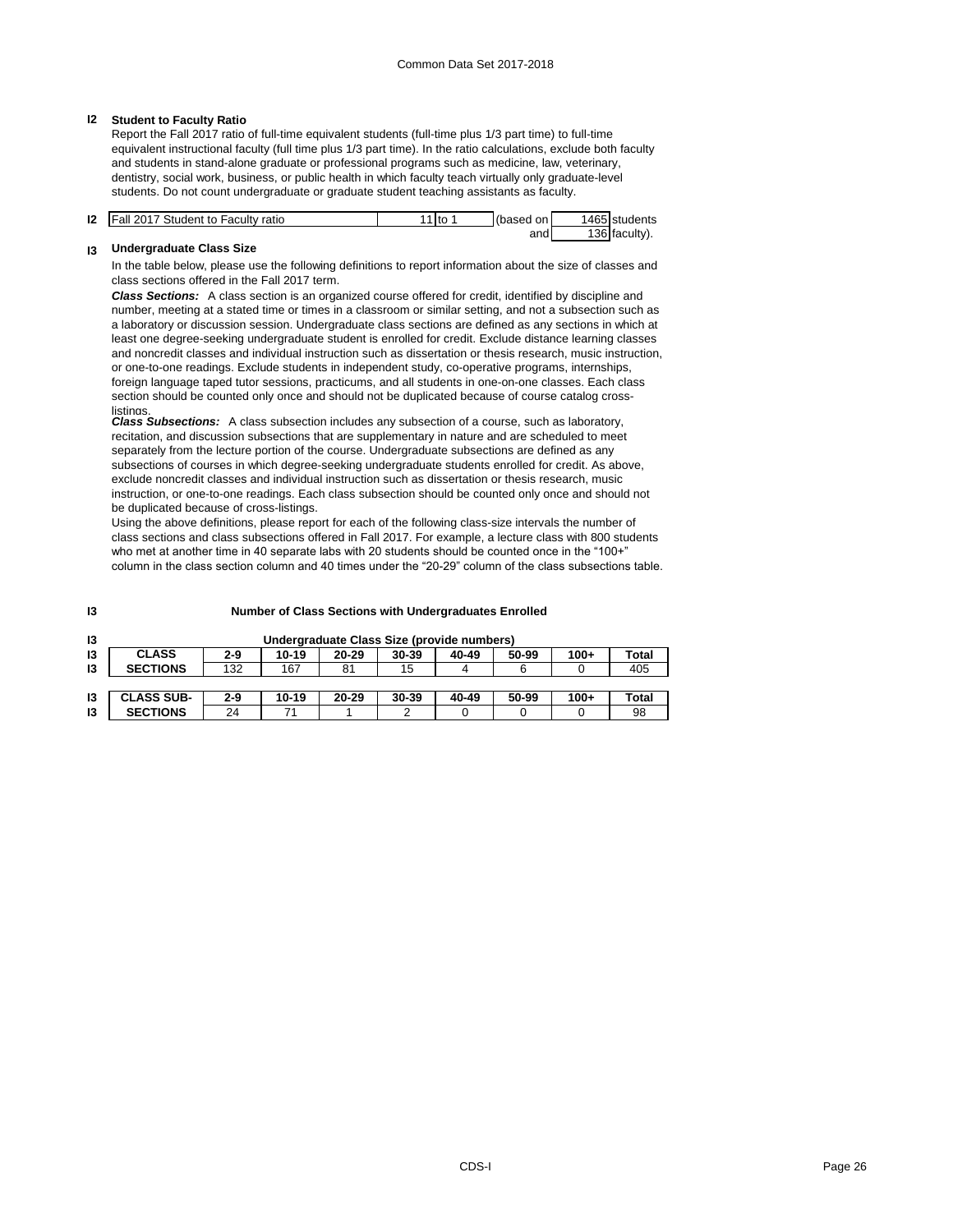### **I2 Student to Faculty Ratio**

Report the Fall 2017 ratio of full-time equivalent students (full-time plus 1/3 part time) to full-time equivalent instructional faculty (full time plus 1/3 part time). In the ratio calculations, exclude both faculty and students in stand-alone graduate or professional programs such as medicine, law, veterinary, dentistry, social work, business, or public health in which faculty teach virtually only graduate-level students. Do not count undergraduate or graduate student teaching assistants as faculty.

| 12 | Fall 2017 Student to Faculty ratio | 1 to | (based<br>onl | 1465 students |
|----|------------------------------------|------|---------------|---------------|
|    |                                    |      | and           | '36 faculty). |

### **I3 Undergraduate Class Size**

In the table below, please use the following definitions to report information about the size of classes and class sections offered in the Fall 2017 term.

*Class Sections:* A class section is an organized course offered for credit, identified by discipline and number, meeting at a stated time or times in a classroom or similar setting, and not a subsection such as a laboratory or discussion session. Undergraduate class sections are defined as any sections in which at least one degree-seeking undergraduate student is enrolled for credit. Exclude distance learning classes and noncredit classes and individual instruction such as dissertation or thesis research, music instruction, or one-to-one readings. Exclude students in independent study, co-operative programs, internships, foreign language taped tutor sessions, practicums, and all students in one-on-one classes. Each class section should be counted only once and should not be duplicated because of course catalog crosslistings.

*Class Subsections:* A class subsection includes any subsection of a course, such as laboratory, recitation, and discussion subsections that are supplementary in nature and are scheduled to meet separately from the lecture portion of the course. Undergraduate subsections are defined as any subsections of courses in which degree-seeking undergraduate students enrolled for credit. As above, exclude noncredit classes and individual instruction such as dissertation or thesis research, music instruction, or one-to-one readings. Each class subsection should be counted only once and should not be duplicated because of cross-listings.

Using the above definitions, please report for each of the following class-size intervals the number of class sections and class subsections offered in Fall 2017. For example, a lecture class with 800 students who met at another time in 40 separate labs with 20 students should be counted once in the "100+" column in the class section column and 40 times under the "20-29" column of the class subsections table.

**I3**

### **Number of Class Sections with Undergraduates Enrolled**

| 13 |                   |         |       |       | Undergraduate Class Size (provide numbers) |       |       |        |              |
|----|-------------------|---------|-------|-------|--------------------------------------------|-------|-------|--------|--------------|
| 13 | <b>CLASS</b>      | $2-9$   | 10-19 | 20-29 | 30-39                                      | 40-49 | 50-99 | $100+$ | Total        |
| 13 | <b>SECTIONS</b>   | 132     | 167   | 81    | 15                                         | 4     |       |        | 405          |
|    |                   |         |       |       |                                            |       |       |        |              |
| 13 | <b>CLASS SUB-</b> | $2 - 9$ | 10-19 | 20-29 | 30-39                                      | 40-49 | 50-99 | 100+   | <b>Total</b> |
|    |                   |         |       |       |                                            |       |       |        |              |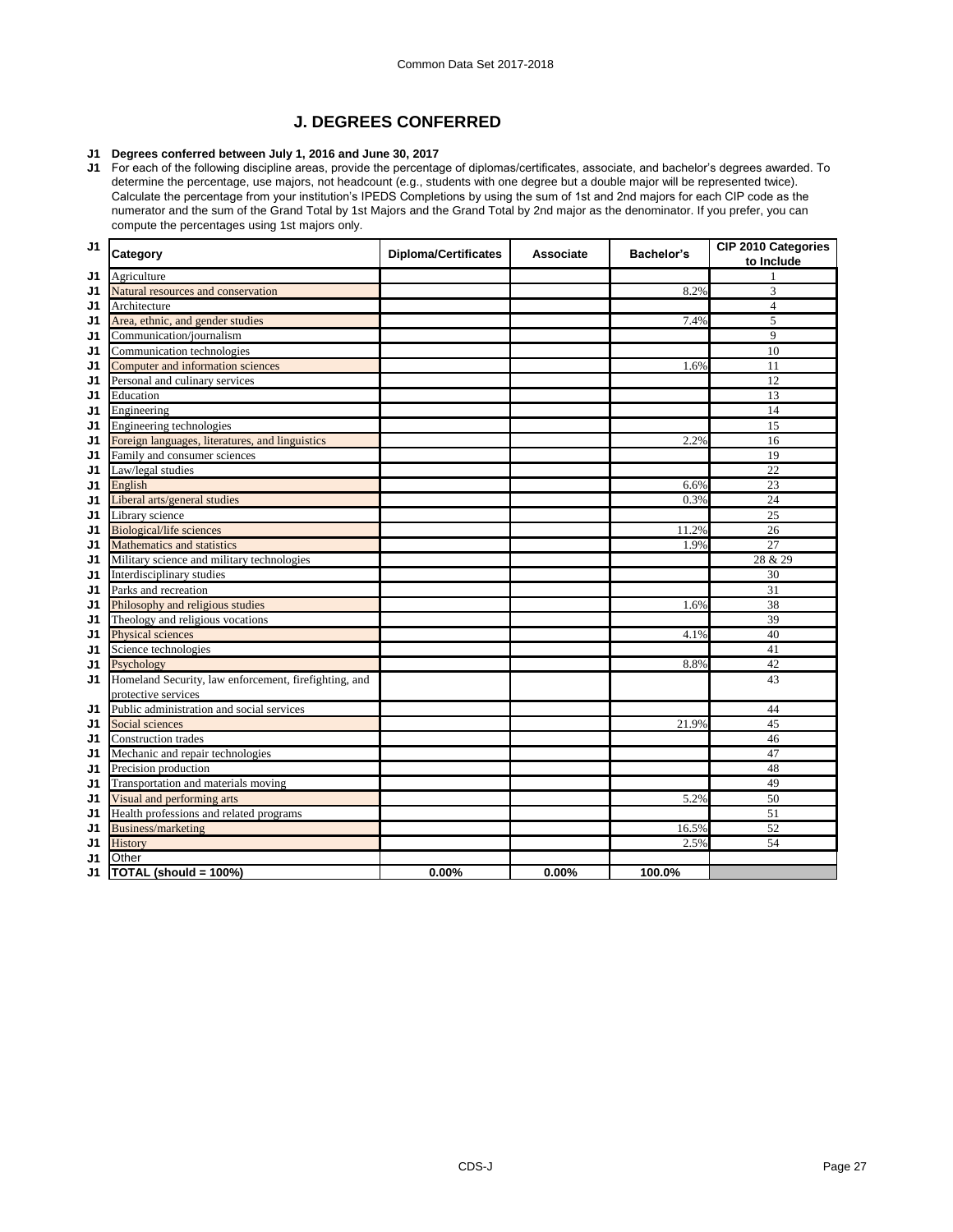# **J. DEGREES CONFERRED**

# **J1 Degrees conferred between July 1, 2016 and June 30, 2017**

**J1** For each of the following discipline areas, provide the percentage of diplomas/certificates, associate, and bachelor's degrees awarded. To determine the percentage, use majors, not headcount (e.g., students with one degree but a double major will be represented twice). Calculate the percentage from your institution's IPEDS Completions by using the sum of 1st and 2nd majors for each CIP code as the numerator and the sum of the Grand Total by 1st Majors and the Grand Total by 2nd major as the denominator. If you prefer, you can compute the percentages using 1st majors only.

| J1             | Category                                              | <b>Diploma/Certificates</b> | Associate | <b>Bachelor's</b> | CIP 2010 Categories<br>to Include |
|----------------|-------------------------------------------------------|-----------------------------|-----------|-------------------|-----------------------------------|
| J1             | Agriculture                                           |                             |           |                   | $\mathbf{1}$                      |
| J1             | Natural resources and conservation                    |                             |           | 8.2%              | 3                                 |
| J1             | Architecture                                          |                             |           |                   | $\overline{4}$                    |
| J1             | Area, ethnic, and gender studies                      |                             |           | 7.4%              | 5                                 |
| J1             | Communication/journalism                              |                             |           |                   | 9                                 |
| J1             | Communication technologies                            |                             |           |                   | 10                                |
| J1             | Computer and information sciences                     |                             |           | 1.6%              | 11                                |
| J1             | Personal and culinary services                        |                             |           |                   | 12                                |
| J1             | Education                                             |                             |           |                   | 13                                |
| J1             | Engineering                                           |                             |           |                   | 14                                |
| J1             | Engineering technologies                              |                             |           |                   | 15                                |
| J1             | Foreign languages, literatures, and linguistics       |                             |           | 2.2%              | 16                                |
| J1             | Family and consumer sciences                          |                             |           |                   | 19                                |
| J <sub>1</sub> | Law/legal studies                                     |                             |           |                   | 22                                |
| J1             | English                                               |                             |           | 6.6%              | 23                                |
| J1             | Liberal arts/general studies                          |                             |           | 0.3%              | 24                                |
| J1             | Library science                                       |                             |           |                   | 25                                |
| J1             | <b>Biological/life sciences</b>                       |                             |           | 11.2%             | 26                                |
| J1             | Mathematics and statistics                            |                             |           | 1.9%              | 27                                |
| J1             | Military science and military technologies            |                             |           |                   | 28 & 29                           |
| J1             | Interdisciplinary studies                             |                             |           |                   | 30                                |
| J1             | Parks and recreation                                  |                             |           |                   | 31                                |
| J1             | Philosophy and religious studies                      |                             |           | 1.6%              | 38                                |
| J1             | Theology and religious vocations                      |                             |           |                   | 39                                |
| J1             | Physical sciences                                     |                             |           | 4.1%              | 40                                |
| J1             | Science technologies                                  |                             |           |                   | 41                                |
| J1             | Psychology                                            |                             |           | 8.8%              | 42                                |
| J1             | Homeland Security, law enforcement, firefighting, and |                             |           |                   | 43                                |
|                | protective services                                   |                             |           |                   |                                   |
| J1             | Public administration and social services             |                             |           |                   | 44                                |
| J1             | Social sciences                                       |                             |           | 21.9%             | 45                                |
| J1             | <b>Construction trades</b>                            |                             |           |                   | 46                                |
| J1             | Mechanic and repair technologies                      |                             |           |                   | 47                                |
| J1             | Precision production                                  |                             |           |                   | 48                                |
| J1             | Transportation and materials moving                   |                             |           |                   | 49                                |
| J1             | Visual and performing arts                            |                             |           | 5.2%              | 50                                |
| J1             | Health professions and related programs               |                             |           |                   | 51                                |
| J1             | Business/marketing                                    |                             |           | 16.5%             | 52                                |
| J1             | History                                               |                             |           | 2.5%              | 54                                |
| J1             | Other                                                 |                             |           |                   |                                   |
| J1             | TOTAL (should = 100%)                                 | 0.00%                       | 0.00%     | 100.0%            |                                   |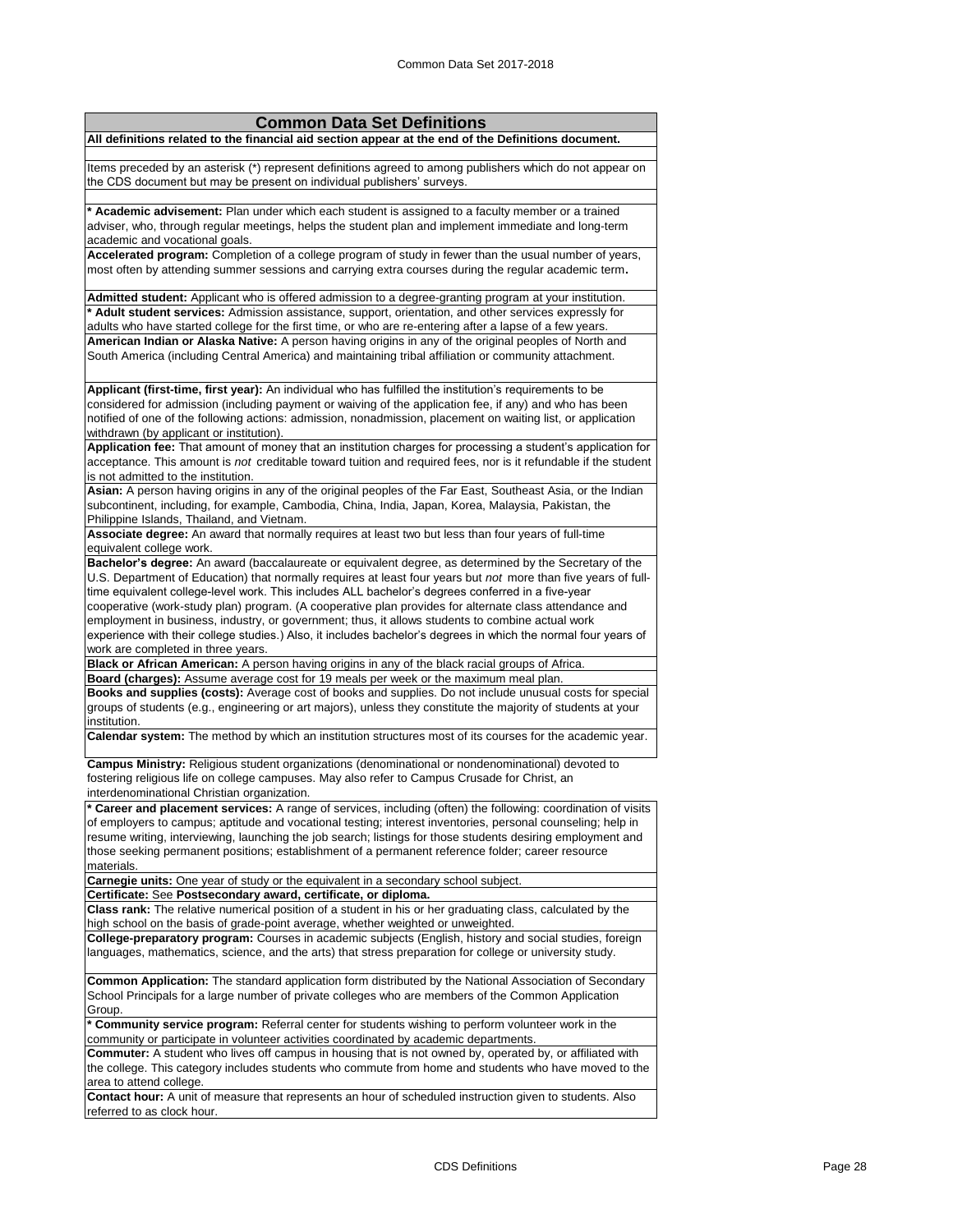| <b>Common Data Set Definitions</b>                                                                                                                                                                                                                                                                                            |
|-------------------------------------------------------------------------------------------------------------------------------------------------------------------------------------------------------------------------------------------------------------------------------------------------------------------------------|
| All definitions related to the financial aid section appear at the end of the Definitions document.                                                                                                                                                                                                                           |
|                                                                                                                                                                                                                                                                                                                               |
| Items preceded by an asterisk (*) represent definitions agreed to among publishers which do not appear on<br>the CDS document but may be present on individual publishers' surveys.                                                                                                                                           |
| * Academic advisement: Plan under which each student is assigned to a faculty member or a trained<br>adviser, who, through regular meetings, helps the student plan and implement immediate and long-term                                                                                                                     |
| academic and vocational goals.<br>Accelerated program: Completion of a college program of study in fewer than the usual number of years,                                                                                                                                                                                      |
| most often by attending summer sessions and carrying extra courses during the regular academic term.                                                                                                                                                                                                                          |
| Admitted student: Applicant who is offered admission to a degree-granting program at your institution.<br>* Adult student services: Admission assistance, support, orientation, and other services expressly for                                                                                                              |
| adults who have started college for the first time, or who are re-entering after a lapse of a few years.                                                                                                                                                                                                                      |
| American Indian or Alaska Native: A person having origins in any of the original peoples of North and<br>South America (including Central America) and maintaining tribal affiliation or community attachment.                                                                                                                |
| Applicant (first-time, first year): An individual who has fulfilled the institution's requirements to be                                                                                                                                                                                                                      |
| considered for admission (including payment or waiving of the application fee, if any) and who has been                                                                                                                                                                                                                       |
| notified of one of the following actions: admission, nonadmission, placement on waiting list, or application                                                                                                                                                                                                                  |
| withdrawn (by applicant or institution).                                                                                                                                                                                                                                                                                      |
| Application fee: That amount of money that an institution charges for processing a student's application for<br>acceptance. This amount is not creditable toward tuition and required fees, nor is it refundable if the student                                                                                               |
| is not admitted to the institution.<br>Asian: A person having origins in any of the original peoples of the Far East, Southeast Asia, or the Indian                                                                                                                                                                           |
| subcontinent, including, for example, Cambodia, China, India, Japan, Korea, Malaysia, Pakistan, the<br>Philippine Islands, Thailand, and Vietnam.                                                                                                                                                                             |
| Associate degree: An award that normally requires at least two but less than four years of full-time                                                                                                                                                                                                                          |
| equivalent college work.                                                                                                                                                                                                                                                                                                      |
| Bachelor's degree: An award (baccalaureate or equivalent degree, as determined by the Secretary of the<br>U.S. Department of Education) that normally requires at least four years but not more than five years of full-<br>time equivalent college-level work. This includes ALL bachelor's degrees conferred in a five-year |
| cooperative (work-study plan) program. (A cooperative plan provides for alternate class attendance and<br>employment in business, industry, or government; thus, it allows students to combine actual work                                                                                                                    |
| experience with their college studies.) Also, it includes bachelor's degrees in which the normal four years of                                                                                                                                                                                                                |
| work are completed in three years.                                                                                                                                                                                                                                                                                            |
| Black or African American: A person having origins in any of the black racial groups of Africa.                                                                                                                                                                                                                               |
| Board (charges): Assume average cost for 19 meals per week or the maximum meal plan.                                                                                                                                                                                                                                          |
| Books and supplies (costs): Average cost of books and supplies. Do not include unusual costs for special<br>groups of students (e.g., engineering or art majors), unless they constitute the majority of students at your                                                                                                     |
| institution.<br>Calendar system: The method by which an institution structures most of its courses for the academic year.                                                                                                                                                                                                     |
| Campus Ministry: Religious student organizations (denominational or nondenominational) devoted to                                                                                                                                                                                                                             |
| fostering religious life on college campuses. May also refer to Campus Crusade for Christ, an<br>interdenominational Christian organization.                                                                                                                                                                                  |
| * Career and placement services: A range of services, including (often) the following: coordination of visits                                                                                                                                                                                                                 |
| of employers to campus; aptitude and vocational testing; interest inventories, personal counseling; help in<br>resume writing, interviewing, launching the job search; listings for those students desiring employment and                                                                                                    |
| those seeking permanent positions; establishment of a permanent reference folder; career resource<br>materials.                                                                                                                                                                                                               |
| Carnegie units: One year of study or the equivalent in a secondary school subject.<br>Certificate: See Postsecondary award, certificate, or diploma.                                                                                                                                                                          |
| Class rank: The relative numerical position of a student in his or her graduating class, calculated by the                                                                                                                                                                                                                    |
| high school on the basis of grade-point average, whether weighted or unweighted.                                                                                                                                                                                                                                              |
| College-preparatory program: Courses in academic subjects (English, history and social studies, foreign<br>languages, mathematics, science, and the arts) that stress preparation for college or university study.                                                                                                            |
| Common Application: The standard application form distributed by the National Association of Secondary<br>School Principals for a large number of private colleges who are members of the Common Application                                                                                                                  |
| Group.                                                                                                                                                                                                                                                                                                                        |
| * Community service program: Referral center for students wishing to perform volunteer work in the<br>community or participate in volunteer activities coordinated by academic departments.                                                                                                                                   |
| Commuter: A student who lives off campus in housing that is not owned by, operated by, or affiliated with<br>the college. This category includes students who commute from home and students who have moved to the                                                                                                            |
| area to attend college.<br>Contact hour: A unit of measure that represents an hour of scheduled instruction given to students. Also                                                                                                                                                                                           |
| referred to as clock hour.                                                                                                                                                                                                                                                                                                    |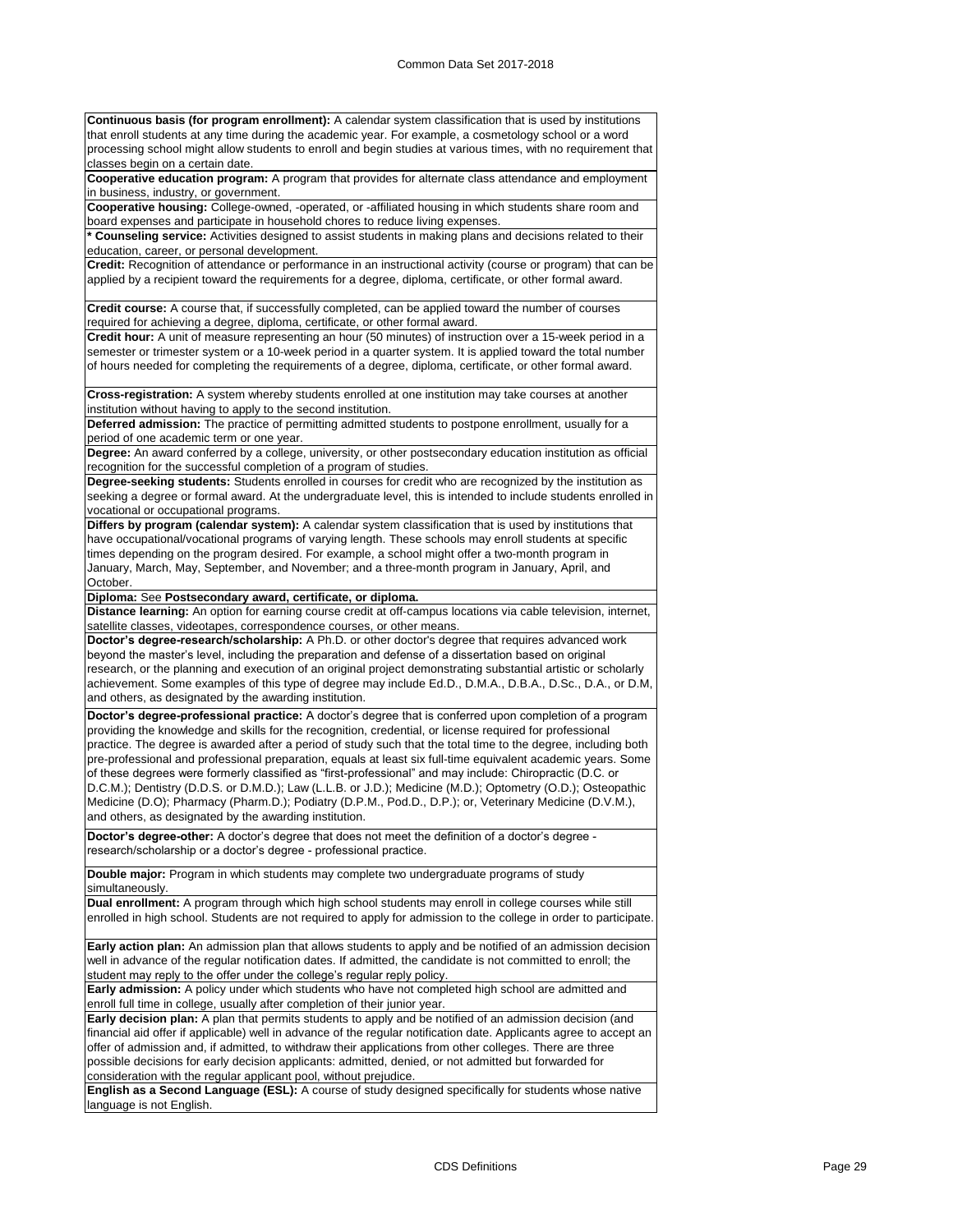**Continuous basis (for program enrollment):** A calendar system classification that is used by institutions that enroll students at any time during the academic year. For example, a cosmetology school or a word processing school might allow students to enroll and begin studies at various times, with no requirement that classes begin on a certain date.

**Cooperative education program:** A program that provides for alternate class attendance and employment in business, industry, or government.

**Cooperative housing:** College-owned, -operated, or -affiliated housing in which students share room and board expenses and participate in household chores to reduce living expenses.

**\* Counseling service:** Activities designed to assist students in making plans and decisions related to their education, career, or personal development.

**Credit:** Recognition of attendance or performance in an instructional activity (course or program) that can be applied by a recipient toward the requirements for a degree, diploma, certificate, or other formal award.

**Credit course:** A course that, if successfully completed, can be applied toward the number of courses required for achieving a degree, diploma, certificate, or other formal award.

**Credit hour:** A unit of measure representing an hour (50 minutes) of instruction over a 15-week period in a semester or trimester system or a 10-week period in a quarter system. It is applied toward the total number of hours needed for completing the requirements of a degree, diploma, certificate, or other formal award.

**Cross-registration:** A system whereby students enrolled at one institution may take courses at another institution without having to apply to the second institution.

**Deferred admission:** The practice of permitting admitted students to postpone enrollment, usually for a period of one academic term or one year.

**Degree:** An award conferred by a college, university, or other postsecondary education institution as official recognition for the successful completion of a program of studies.

**Degree-seeking students:** Students enrolled in courses for credit who are recognized by the institution as seeking a degree or formal award. At the undergraduate level, this is intended to include students enrolled in vocational or occupational programs.

**Differs by program (calendar system):** A calendar system classification that is used by institutions that have occupational/vocational programs of varying length. These schools may enroll students at specific times depending on the program desired. For example, a school might offer a two-month program in January, March, May, September, and November; and a three-month program in January, April, and October.

**Diploma:** See **Postsecondary award, certificate, or diploma.**

**Distance learning:** An option for earning course credit at off-campus locations via cable television, internet, satellite classes, videotapes, correspondence courses, or other means.

**Doctor's degree-research/scholarship:** A Ph.D. or other doctor's degree that requires advanced work beyond the master's level, including the preparation and defense of a dissertation based on original research, or the planning and execution of an original project demonstrating substantial artistic or scholarly achievement. Some examples of this type of degree may include Ed.D., D.M.A., D.B.A., D.Sc., D.A., or D.M, and others, as designated by the awarding institution.

**Doctor's degree-professional practice:** A doctor's degree that is conferred upon completion of a program providing the knowledge and skills for the recognition, credential, or license required for professional practice. The degree is awarded after a period of study such that the total time to the degree, including both pre-professional and professional preparation, equals at least six full-time equivalent academic years. Some of these degrees were formerly classified as "first-professional" and may include: Chiropractic (D.C. or D.C.M.); Dentistry (D.D.S. or D.M.D.); Law (L.L.B. or J.D.); Medicine (M.D.); Optometry (O.D.); Osteopathic Medicine (D.O); Pharmacy (Pharm.D.); Podiatry (D.P.M., Pod.D., D.P.); or, Veterinary Medicine (D.V.M.), and others, as designated by the awarding institution.

**Doctor's degree-other:** A doctor's degree that does not meet the definition of a doctor's degree research/scholarship or a doctor's degree - professional practice.

**Double major:** Program in which students may complete two undergraduate programs of study simultaneously.

**Dual enrollment:** A program through which high school students may enroll in college courses while still enrolled in high school. Students are not required to apply for admission to the college in order to participate.

**Early action plan:** An admission plan that allows students to apply and be notified of an admission decision well in advance of the regular notification dates. If admitted, the candidate is not committed to enroll; the student may reply to the offer under the college's regular reply policy.

**Early admission:** A policy under which students who have not completed high school are admitted and enroll full time in college, usually after completion of their junior year.

**Early decision plan:** A plan that permits students to apply and be notified of an admission decision (and financial aid offer if applicable) well in advance of the regular notification date. Applicants agree to accept an offer of admission and, if admitted, to withdraw their applications from other colleges. There are three possible decisions for early decision applicants: admitted, denied, or not admitted but forwarded for consideration with the regular applicant pool, without prejudice.

**English as a Second Language (ESL):** A course of study designed specifically for students whose native language is not English.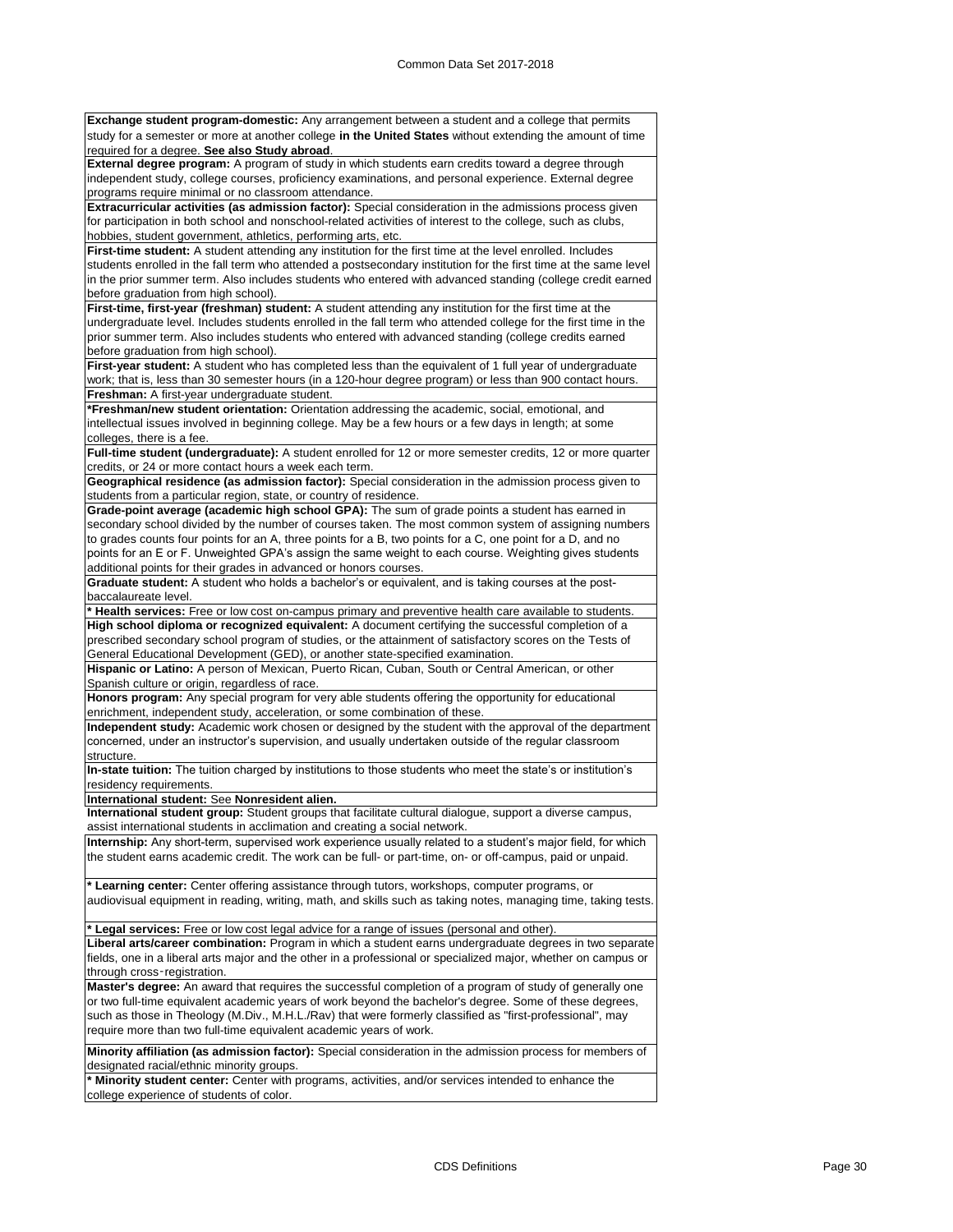| Exchange student program-domestic: Any arrangement between a student and a college that permits                                                                                                                                                                 |
|-----------------------------------------------------------------------------------------------------------------------------------------------------------------------------------------------------------------------------------------------------------------|
| study for a semester or more at another college in the United States without extending the amount of time<br>required for a degree. See also Study abroad.                                                                                                      |
| External degree program: A program of study in which students earn credits toward a degree through                                                                                                                                                              |
| independent study, college courses, proficiency examinations, and personal experience. External degree<br>programs require minimal or no classroom attendance.                                                                                                  |
| Extracurricular activities (as admission factor): Special consideration in the admissions process given                                                                                                                                                         |
| for participation in both school and nonschool-related activities of interest to the college, such as clubs,<br>hobbies, student government, athletics, performing arts, etc.                                                                                   |
| First-time student: A student attending any institution for the first time at the level enrolled. Includes                                                                                                                                                      |
| students enrolled in the fall term who attended a postsecondary institution for the first time at the same level<br>in the prior summer term. Also includes students who entered with advanced standing (college credit earned                                  |
| before graduation from high school).                                                                                                                                                                                                                            |
| First-time, first-year (freshman) student: A student attending any institution for the first time at the                                                                                                                                                        |
| undergraduate level. Includes students enrolled in the fall term who attended college for the first time in the<br>prior summer term. Also includes students who entered with advanced standing (college credits earned<br>before graduation from high school). |
| First-year student: A student who has completed less than the equivalent of 1 full year of undergraduate                                                                                                                                                        |
| work; that is, less than 30 semester hours (in a 120-hour degree program) or less than 900 contact hours.<br>Freshman: A first-year undergraduate student.                                                                                                      |
| <b>*Freshman/new student orientation:</b> Orientation addressing the academic, social, emotional, and                                                                                                                                                           |
| intellectual issues involved in beginning college. May be a few hours or a few days in length; at some<br>colleges, there is a fee.                                                                                                                             |
| Full-time student (undergraduate): A student enrolled for 12 or more semester credits, 12 or more quarter                                                                                                                                                       |
| credits, or 24 or more contact hours a week each term.<br>Geographical residence (as admission factor): Special consideration in the admission process given to                                                                                                 |
| students from a particular region, state, or country of residence.                                                                                                                                                                                              |
| Grade-point average (academic high school GPA): The sum of grade points a student has earned in                                                                                                                                                                 |
| secondary school divided by the number of courses taken. The most common system of assigning numbers                                                                                                                                                            |
| to grades counts four points for an A, three points for a B, two points for a C, one point for a D, and no<br>points for an E or F. Unweighted GPA's assign the same weight to each course. Weighting gives students                                            |
| additional points for their grades in advanced or honors courses.                                                                                                                                                                                               |
| Graduate student: A student who holds a bachelor's or equivalent, and is taking courses at the post-                                                                                                                                                            |
| baccalaureate level.                                                                                                                                                                                                                                            |
| * Health services: Free or low cost on-campus primary and preventive health care available to students.                                                                                                                                                         |
| High school diploma or recognized equivalent: A document certifying the successful completion of a                                                                                                                                                              |
| prescribed secondary school program of studies, or the attainment of satisfactory scores on the Tests of<br>General Educational Development (GED), or another state-specified examination.                                                                      |
| Hispanic or Latino: A person of Mexican, Puerto Rican, Cuban, South or Central American, or other                                                                                                                                                               |
| Spanish culture or origin, regardless of race.                                                                                                                                                                                                                  |
| <b>Honors program:</b> Any special program for very able students offering the opportunity for educational<br>enrichment, independent study, acceleration, or some combination of these.                                                                        |
| Independent study: Academic work chosen or designed by the student with the approval of the department                                                                                                                                                          |
| concerned, under an instructor's supervision, and usually undertaken outside of the regular classroom<br>structure.                                                                                                                                             |
|                                                                                                                                                                                                                                                                 |
| In-state tuition: The tuition charged by institutions to those students who meet the state's or institution's<br>residency requirements.                                                                                                                        |
| International student: See Nonresident alien.                                                                                                                                                                                                                   |
| International student group: Student groups that facilitate cultural dialogue, support a diverse campus,                                                                                                                                                        |
| assist international students in acclimation and creating a social network.                                                                                                                                                                                     |
| Internship: Any short-term, supervised work experience usually related to a student's major field, for which<br>the student earns academic credit. The work can be full- or part-time, on- or off-campus, paid or unpaid.                                       |
| * Learning center: Center offering assistance through tutors, workshops, computer programs, or                                                                                                                                                                  |
| audiovisual equipment in reading, writing, math, and skills such as taking notes, managing time, taking tests.                                                                                                                                                  |
| * Legal services: Free or low cost legal advice for a range of issues (personal and other).                                                                                                                                                                     |
| Liberal arts/career combination: Program in which a student earns undergraduate degrees in two separate                                                                                                                                                         |
| fields, one in a liberal arts major and the other in a professional or specialized major, whether on campus or                                                                                                                                                  |
| through cross-registration.                                                                                                                                                                                                                                     |
| Master's degree: An award that requires the successful completion of a program of study of generally one                                                                                                                                                        |
| or two full-time equivalent academic years of work beyond the bachelor's degree. Some of these degrees,<br>such as those in Theology (M.Div., M.H.L./Rav) that were formerly classified as "first-professional", may                                            |
| require more than two full-time equivalent academic years of work.                                                                                                                                                                                              |
| Minority affiliation (as admission factor): Special consideration in the admission process for members of                                                                                                                                                       |
| designated racial/ethnic minority groups.<br>* Minority student center: Center with programs, activities, and/or services intended to enhance the                                                                                                               |

college experience of students of color.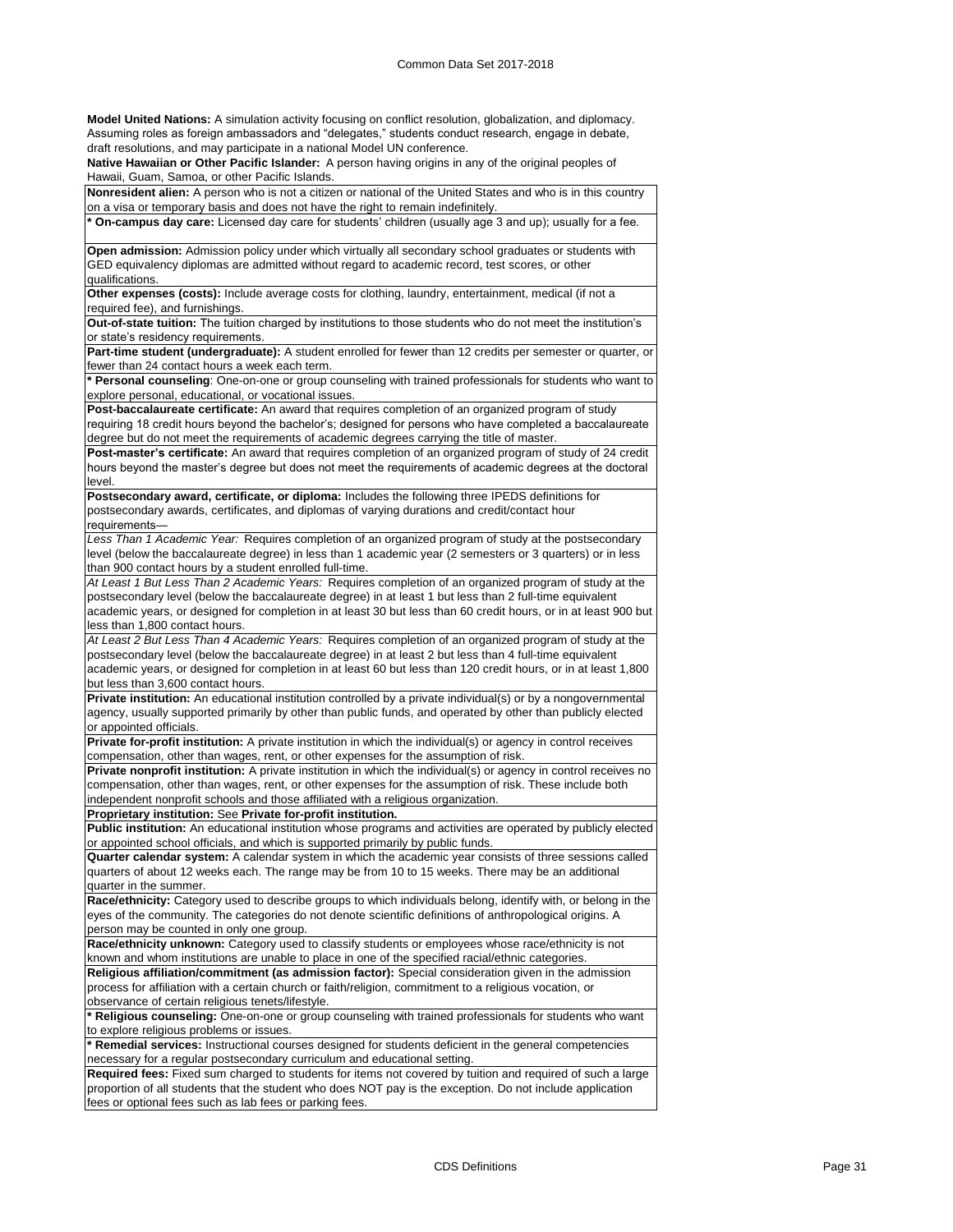**Model United Nations:** A simulation activity focusing on conflict resolution, globalization, and diplomacy. Assuming roles as foreign ambassadors and "delegates," students conduct research, engage in debate, draft resolutions, and may participate in a national Model UN conference.

**Native Hawaiian or Other Pacific Islander:** A person having origins in any of the original peoples of Hawaii, Guam, Samoa, or other Pacific Islands.

| Nonresident alien: A person who is not a citizen or national of the United States and who is in this country                                                                                                                 |
|------------------------------------------------------------------------------------------------------------------------------------------------------------------------------------------------------------------------------|
| on a visa or temporary basis and does not have the right to remain indefinitely.                                                                                                                                             |
| * On-campus day care: Licensed day care for students' children (usually age 3 and up); usually for a fee.                                                                                                                    |
| Open admission: Admission policy under which virtually all secondary school graduates or students with                                                                                                                       |
| GED equivalency diplomas are admitted without regard to academic record, test scores, or other                                                                                                                               |
| qualifications.                                                                                                                                                                                                              |
| Other expenses (costs): Include average costs for clothing, laundry, entertainment, medical (if not a                                                                                                                        |
| required fee), and furnishings.                                                                                                                                                                                              |
| Out-of-state tuition: The tuition charged by institutions to those students who do not meet the institution's                                                                                                                |
| or state's residency requirements.                                                                                                                                                                                           |
| Part-time student (undergraduate): A student enrolled for fewer than 12 credits per semester or quarter, or                                                                                                                  |
| fewer than 24 contact hours a week each term.                                                                                                                                                                                |
| * Personal counseling: One-on-one or group counseling with trained professionals for students who want to                                                                                                                    |
| explore personal, educational, or vocational issues.                                                                                                                                                                         |
| Post-baccalaureate certificate: An award that requires completion of an organized program of study                                                                                                                           |
| requiring 18 credit hours beyond the bachelor's; designed for persons who have completed a baccalaureate                                                                                                                     |
| degree but do not meet the requirements of academic degrees carrying the title of master.                                                                                                                                    |
| <b>Post-master's certificate:</b> An award that requires completion of an organized program of study of 24 credit<br>hours beyond the master's degree but does not meet the requirements of academic degrees at the doctoral |
| level.                                                                                                                                                                                                                       |
| Postsecondary award, certificate, or diploma: Includes the following three IPEDS definitions for                                                                                                                             |
| postsecondary awards, certificates, and diplomas of varying durations and credit/contact hour                                                                                                                                |
| requirements-                                                                                                                                                                                                                |
| Less Than 1 Academic Year: Requires completion of an organized program of study at the postsecondary                                                                                                                         |
| level (below the baccalaureate degree) in less than 1 academic year (2 semesters or 3 quarters) or in less                                                                                                                   |
| than 900 contact hours by a student enrolled full-time.                                                                                                                                                                      |
| At Least 1 But Less Than 2 Academic Years: Requires completion of an organized program of study at the                                                                                                                       |
| postsecondary level (below the baccalaureate degree) in at least 1 but less than 2 full-time equivalent                                                                                                                      |
| academic years, or designed for completion in at least 30 but less than 60 credit hours, or in at least 900 but                                                                                                              |
| less than 1,800 contact hours.<br>At Least 2 But Less Than 4 Academic Years: Requires completion of an organized program of study at the                                                                                     |
| postsecondary level (below the baccalaureate degree) in at least 2 but less than 4 full-time equivalent                                                                                                                      |
| academic years, or designed for completion in at least 60 but less than 120 credit hours, or in at least 1,800                                                                                                               |
| but less than 3,600 contact hours.                                                                                                                                                                                           |
| Private institution: An educational institution controlled by a private individual(s) or by a nongovernmental                                                                                                                |
| agency, usually supported primarily by other than public funds, and operated by other than publicly elected                                                                                                                  |
| or appointed officials.                                                                                                                                                                                                      |
| Private for-profit institution: A private institution in which the individual(s) or agency in control receives                                                                                                               |
| compensation, other than wages, rent, or other expenses for the assumption of risk.                                                                                                                                          |
| <b>Private nonprofit institution:</b> A private institution in which the individual(s) or agency in control receives no                                                                                                      |
| compensation, other than wages, rent, or other expenses for the assumption of risk. These include both                                                                                                                       |
| independent nonprofit schools and those affiliated with a religious organization.                                                                                                                                            |
| Proprietary institution: See Private for-profit institution.                                                                                                                                                                 |
| <b>Public institution:</b> An educational institution whose programs and activities are operated by publicly elected                                                                                                         |
| or appointed school officials, and which is supported primarily by public funds.                                                                                                                                             |
| <b>Quarter calendar system:</b> A calendar system in which the academic year consists of three sessions called                                                                                                               |
| quarters of about 12 weeks each. The range may be from 10 to 15 weeks. There may be an additional                                                                                                                            |
| quarter in the summer.                                                                                                                                                                                                       |
| Race/ethnicity: Category used to describe groups to which individuals belong, identify with, or belong in the                                                                                                                |
| eyes of the community. The categories do not denote scientific definitions of anthropological origins. A                                                                                                                     |
| person may be counted in only one group.                                                                                                                                                                                     |
| Race/ethnicity unknown: Category used to classify students or employees whose race/ethnicity is not                                                                                                                          |
| known and whom institutions are unable to place in one of the specified racial/ethnic categories.                                                                                                                            |
| Religious affiliation/commitment (as admission factor): Special consideration given in the admission                                                                                                                         |
| process for affiliation with a certain church or faith/religion, commitment to a religious vocation, or                                                                                                                      |
| observance of certain religious tenets/lifestyle.                                                                                                                                                                            |
| * Religious counseling: One-on-one or group counseling with trained professionals for students who want                                                                                                                      |
| to explore religious problems or issues.                                                                                                                                                                                     |
| * Remedial services: Instructional courses designed for students deficient in the general competencies                                                                                                                       |
| necessary for a regular postsecondary curriculum and educational setting.                                                                                                                                                    |
| Required fees: Fixed sum charged to students for items not covered by tuition and required of such a large                                                                                                                   |

proportion of all students that the student who does NOT pay is the exception. Do not include application fees or optional fees such as lab fees or parking fees.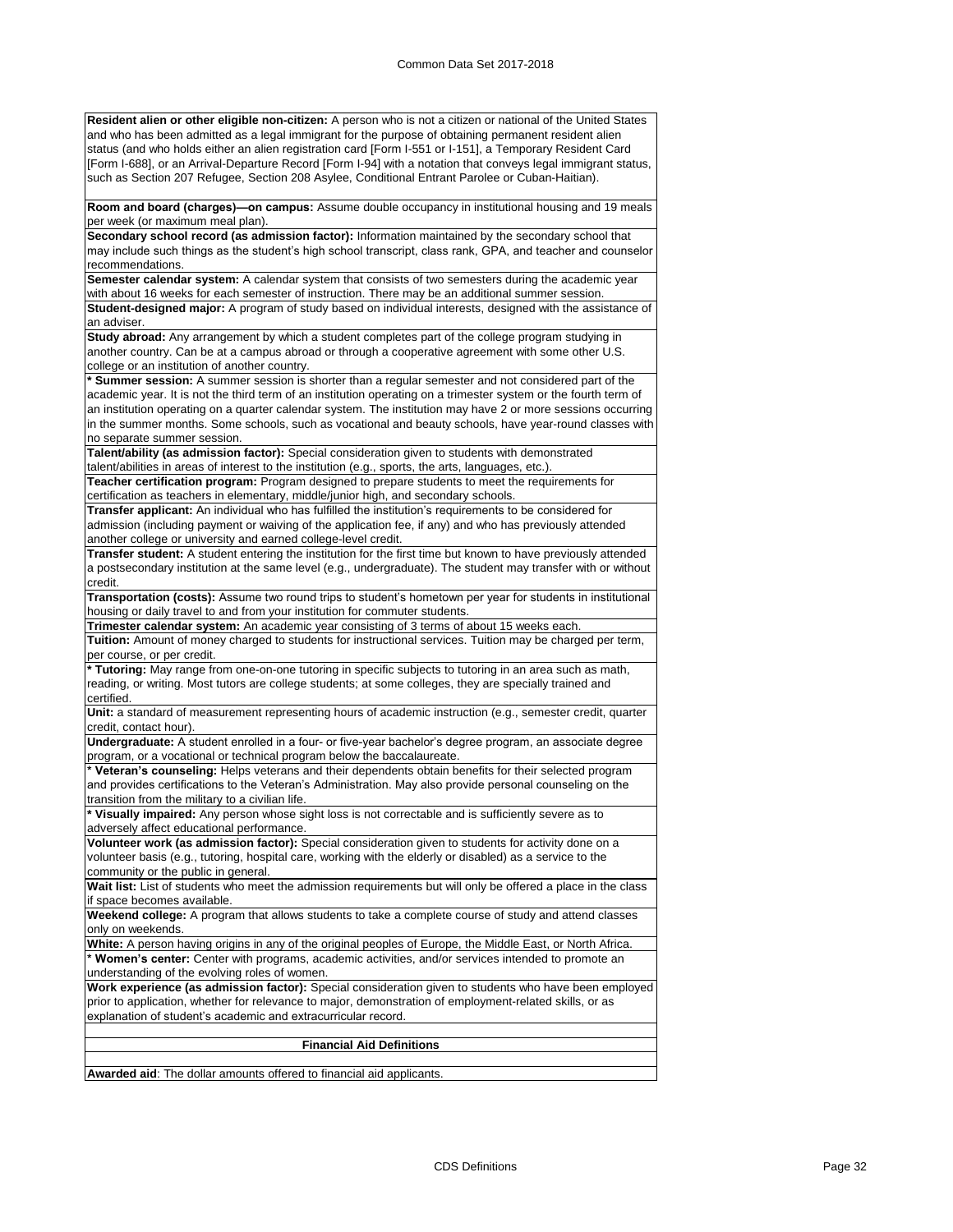**Resident alien or other eligible non-citizen:** A person who is not a citizen or national of the United States and who has been admitted as a legal immigrant for the purpose of obtaining permanent resident alien status (and who holds either an alien registration card [Form I-551 or I-151], a Temporary Resident Card [Form I-688], or an Arrival-Departure Record [Form I-94] with a notation that conveys legal immigrant status, such as Section 207 Refugee, Section 208 Asylee, Conditional Entrant Parolee or Cuban-Haitian).

**Room and board (charges)—on campus:** Assume double occupancy in institutional housing and 19 meals per week (or maximum meal plan).

**Secondary school record (as admission factor):** Information maintained by the secondary school that may include such things as the student's high school transcript, class rank, GPA, and teacher and counselor recommendations.

**Semester calendar system:** A calendar system that consists of two semesters during the academic year with about 16 weeks for each semester of instruction. There may be an additional summer session. **Student-designed major:** A program of study based on individual interests, designed with the assistance of an adviser.

**Study abroad:** Any arrangement by which a student completes part of the college program studying in another country. Can be at a campus abroad or through a cooperative agreement with some other U.S. college or an institution of another country.

**\* Summer session:** A summer session is shorter than a regular semester and not considered part of the academic year. It is not the third term of an institution operating on a trimester system or the fourth term of an institution operating on a quarter calendar system. The institution may have 2 or more sessions occurring in the summer months. Some schools, such as vocational and beauty schools, have year-round classes with no separate summer session.

**Talent/ability (as admission factor):** Special consideration given to students with demonstrated talent/abilities in areas of interest to the institution (e.g., sports, the arts, languages, etc.).

**Teacher certification program:** Program designed to prepare students to meet the requirements for certification as teachers in elementary, middle/junior high, and secondary schools.

**Transfer applicant:** An individual who has fulfilled the institution's requirements to be considered for admission (including payment or waiving of the application fee, if any) and who has previously attended another college or university and earned college-level credit.

**Transfer student:** A student entering the institution for the first time but known to have previously attended a postsecondary institution at the same level (e.g., undergraduate). The student may transfer with or without credit.

**Transportation (costs):** Assume two round trips to student's hometown per year for students in institutional housing or daily travel to and from your institution for commuter students.

**Trimester calendar system:** An academic year consisting of 3 terms of about 15 weeks each.

**Tuition:** Amount of money charged to students for instructional services. Tuition may be charged per term, per course, or per credit.

**\* Tutoring:** May range from one-on-one tutoring in specific subjects to tutoring in an area such as math, reading, or writing. Most tutors are college students; at some colleges, they are specially trained and certified.

**Unit:** a standard of measurement representing hours of academic instruction (e.g., semester credit, quarter credit, contact hour).

**Undergraduate:** A student enrolled in a four- or five-year bachelor's degree program, an associate degree program, or a vocational or technical program below the baccalaureate.

**\* Veteran's counseling:** Helps veterans and their dependents obtain benefits for their selected program and provides certifications to the Veteran's Administration. May also provide personal counseling on the transition from the military to a civilian life.

**\* Visually impaired:** Any person whose sight loss is not correctable and is sufficiently severe as to adversely affect educational performance.

**Volunteer work (as admission factor):** Special consideration given to students for activity done on a volunteer basis (e.g., tutoring, hospital care, working with the elderly or disabled) as a service to the community or the public in general.

**Wait list:** List of students who meet the admission requirements but will only be offered a place in the class if space becomes available.

**Weekend college:** A program that allows students to take a complete course of study and attend classes only on weekends.

**White:** A person having origins in any of the original peoples of Europe, the Middle East, or North Africa. **\* Women's center:** Center with programs, academic activities, and/or services intended to promote an understanding of the evolving roles of women.

**Work experience (as admission factor):** Special consideration given to students who have been employed prior to application, whether for relevance to major, demonstration of employment-related skills, or as explanation of student's academic and extracurricular record.

### **Financial Aid Definitions**

**Awarded aid**: The dollar amounts offered to financial aid applicants.